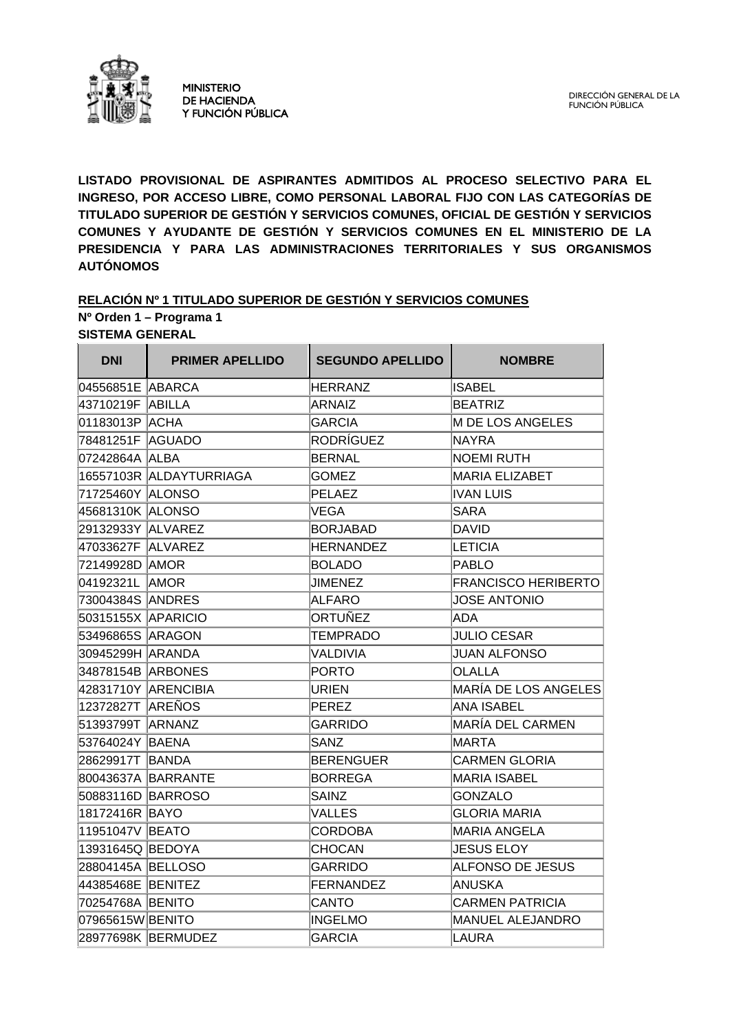

**LISTADO PROVISIONAL DE ASPIRANTES ADMITIDOS AL PROCESO SELECTIVO PARA EL INGRESO, POR ACCESO LIBRE, COMO PERSONAL LABORAL FIJO CON LAS CATEGORÍAS DE TITULADO SUPERIOR DE GESTIÓN Y SERVICIOS COMUNES, OFICIAL DE GESTIÓN Y SERVICIOS COMUNES Y AYUDANTE DE GESTIÓN Y SERVICIOS COMUNES EN EL MINISTERIO DE LA PRESIDENCIA Y PARA LAS ADMINISTRACIONES TERRITORIALES Y SUS ORGANISMOS AUTÓNOMOS** 

#### **RELACIÓN Nº 1 TITULADO SUPERIOR DE GESTIÓN Y SERVICIOS COMUNES Nº Orden 1 – Programa 1 SISTEMA GENERAL**

**DNI PRIMER APELLIDO SEGUNDO APELLIDO NOMBRE** 04556851E ABARCA HERRANZ ISABEL 43710219F ABILLA ARNAIZ BEATRIZ 01183013P ACHA GARCIA GERACIA M DE LOS ANGELES 78481251F AGUADO RODRÍGUEZ NAYRA 07242864A ALBA BERNAL NOEMI RUTH 16557103R ALDAYTURRIAGA GOMEZ MARIA ELIZABET 71725460Y ALONSO PELAEZ IVAN LUIS 45681310K ALONSO VEGA VEGA SARA 29132933Y ALVAREZ BORJABAD DAVID 47033627F ALVAREZ HERNANDEZ LETICIA 72149928D AMOR BOLADO PABLO 04192321L AMOR JIMENEZ FRANCISCO HERIBERTO 73004384S ANDRES ALFARO JUOSE ANTONIO 50315155X APARICIO ORTUÑEZ ADA 53496865S ARAGON TEMPRADO JULIO CESAR 30945299H ARANDA VALDIVIA JUAN ALFONSO 34878154B ARBONES PORTO OLALLA 42831710Y ARENCIBIA URIEN MARÍA DE LOS ANGELES 12372827T AREÑOS PEREZ ANA ISABEL 51393799T ARNANZ GARRIDO MARÍA DEL CARMEN 53764024Y BAENA SANZ MARTA 28629917T BANDA BERENGUER CARMEN GLORIA 80043637A BARRANTE BORREGA MARIA ISABEL 50883116D BARROSO SAINZ GONZALO 18172416R BAYO VALLES GLORIA MARIA 11951047V BEATO CORDOBA MARIA ANGELA 13931645Q BEDOYA CHOCAN JESUS ELOY 28804145A BELLOSO GARRIDO ALFONSO DE JESUS 44385468E BENITEZ FERNANDEZ ANUSKA 70254768A BENITO CANTO CARMEN PATRICIA 07965615W BENITO INGELMO NEGLARO MANUEL ALEJANDRO 28977698K BERMUDEZ GARCIA GARCIA LAURA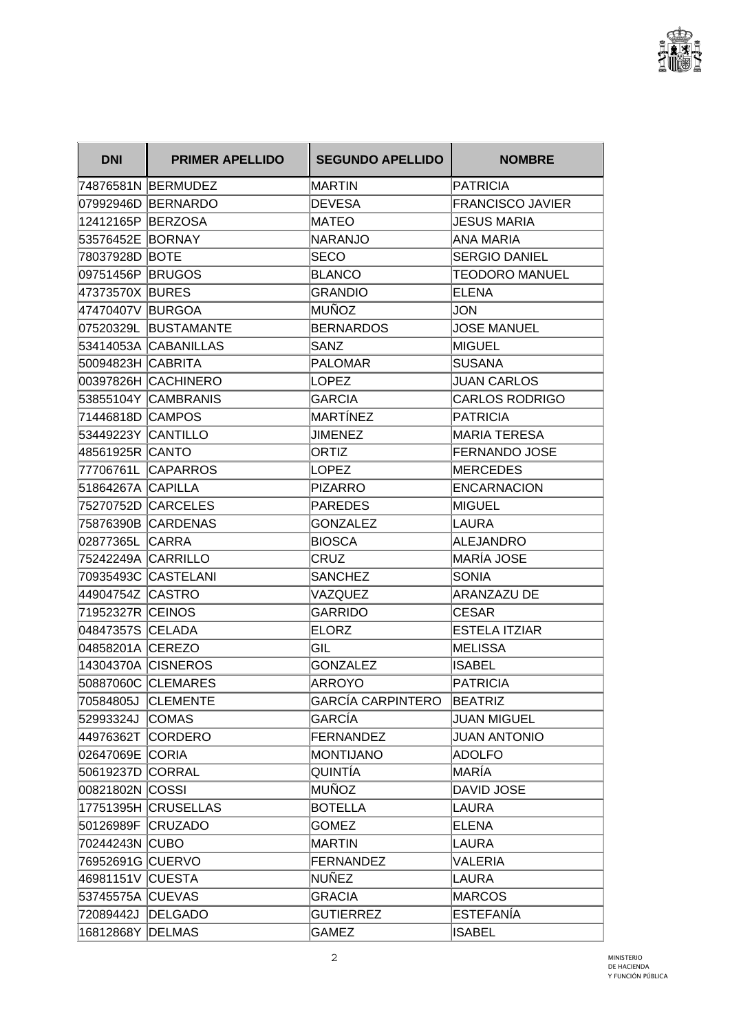

| <b>DNI</b>         | <b>PRIMER APELLIDO</b> | <b>SEGUNDO APELLIDO</b> | <b>NOMBRE</b>           |
|--------------------|------------------------|-------------------------|-------------------------|
|                    | 74876581N BERMUDEZ     | MARTIN                  | <b>PATRICIA</b>         |
|                    | 07992946D BERNARDO     | <b>DEVESA</b>           | <b>FRANCISCO JAVIER</b> |
| 12412165P BERZOSA  |                        | MATEO                   | <b>JESUS MARIA</b>      |
| 53576452E BORNAY   |                        | NARANJO                 | ANA MARIA               |
| 78037928D BOTE     |                        | <b>SECO</b>             | SERGIO DANIEL           |
| 09751456P BRUGOS   |                        | <b>BLANCO</b>           | <b>TEODORO MANUEL</b>   |
| 47373570X BURES    |                        | <b>GRANDIO</b>          | <b>ELENA</b>            |
| 47470407V BURGOA   |                        | MUÑOZ                   | JON                     |
|                    | 07520329L BUSTAMANTE   | <b>BERNARDOS</b>        | <b>JOSE MANUEL</b>      |
|                    | 53414053A CABANILLAS   | <b>SANZ</b>             | MIGUEL                  |
| 50094823H CABRITA  |                        | <b>PALOMAR</b>          | <b>SUSANA</b>           |
|                    | 00397826H CACHINERO    | LOPEZ                   | <b>JUAN CARLOS</b>      |
|                    | 53855104Y CAMBRANIS    | <b>GARCIA</b>           | <b>CARLOS RODRIGO</b>   |
| 71446818D CAMPOS   |                        | MARTÍNEZ                | PATRICIA                |
| 53449223Y CANTILLO |                        | <b>JIMENEZ</b>          | <b>MARIA TERESA</b>     |
| 48561925R CANTO    |                        | ORTIZ                   | <b>FERNANDO JOSE</b>    |
|                    | 77706761L CAPARROS     | LOPEZ                   | MERCEDES                |
| 51864267A CAPILLA  |                        | PIZARRO                 | ENCARNACION             |
|                    | 75270752D CARCELES     | PAREDES                 | MIGUEL                  |
|                    | 75876390B CARDENAS     | GONZALEZ                | LAURA                   |
| 02877365L CARRA    |                        | <b>BIOSCA</b>           | ALEJANDRO               |
| 75242249A CARRILLO |                        | CRUZ                    | MARÍA JOSE              |
|                    | 70935493C CASTELANI    | <b>SANCHEZ</b>          | SONIA                   |
| 44904754Z CASTRO   |                        | VAZQUEZ                 | ARANZAZU DE             |
| 71952327R CEINOS   |                        | GARRIDO                 | <b>CESAR</b>            |
| 04847357S CELADA   |                        | <b>ELORZ</b>            | <b>ESTELA ITZIAR</b>    |
| 04858201A CEREZO   |                        | GIL                     | IMELISSA                |
|                    | 14304370A CISNEROS     | <b>GONZALEZ</b>         | <b>ISABEL</b>           |
|                    | 50887060C CLEMARES     | ARROYO                  | PATRICIA                |
|                    | 70584805J CLEMENTE     | GARCÍA CARPINTERO       | <b>BEATRIZ</b>          |
| 52993324J COMAS    |                        | GARCÍA                  | <b>JUAN MIGUEL</b>      |
| 44976362T CORDERO  |                        | <b>FERNANDEZ</b>        | <b>JUAN ANTONIO</b>     |
| 02647069E CORIA    |                        | MONTIJANO               | <b>ADOLFO</b>           |
| 50619237D CORRAL   |                        | QUINTÍA                 | MARÍA                   |
| 00821802N COSSI    |                        | MUÑOZ                   | DAVID JOSE              |
|                    | 17751395H CRUSELLAS    | <b>BOTELLA</b>          | LAURA                   |
| 50126989F CRUZADO  |                        | <b>GOMEZ</b>            | <b>ELENA</b>            |
| 70244243N CUBO     |                        | MARTIN                  | LAURA                   |
| 76952691G CUERVO   |                        | <b>FERNANDEZ</b>        | VALERIA                 |
| 46981151V CUESTA   |                        | NUÑEZ                   | LAURA                   |
| 53745575A CUEVAS   |                        | <b>GRACIA</b>           | MARCOS                  |
| 72089442J DELGADO  |                        | <b>GUTIERREZ</b>        | ESTEFANÍA               |
| 16812868Y DELMAS   |                        | <b>GAMEZ</b>            | <b>ISABEL</b>           |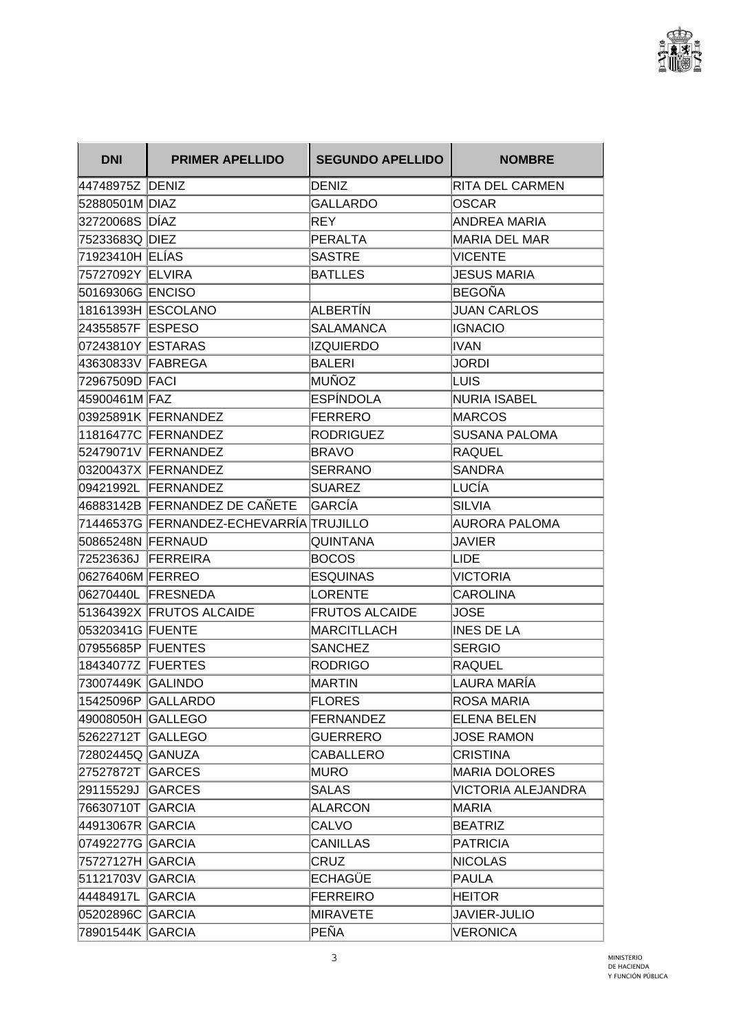

| <b>DNI</b>         | <b>PRIMER APELLIDO</b>                  | <b>SEGUNDO APELLIDO</b> | <b>NOMBRE</b>        |
|--------------------|-----------------------------------------|-------------------------|----------------------|
| 44748975Z DENIZ    |                                         | DENIZ                   | RITA DEL CARMEN      |
| 52880501M DIAZ     |                                         | <b>GALLARDO</b>         | OSCAR                |
| 32720068S DÍAZ     |                                         | <b>REY</b>              | ANDREA MARIA         |
| 75233683Q DIEZ     |                                         | PERALTA                 | <b>MARIA DEL MAR</b> |
| 71923410H ELÍAS    |                                         | <b>SASTRE</b>           | <b>VICENTE</b>       |
| 75727092Y ELVIRA   |                                         | <b>BATLLES</b>          | <b>JESUS MARIA</b>   |
| 50169306G ENCISO   |                                         |                         | BEGOÑA               |
|                    | 18161393H ESCOLANO                      | ALBERTÍN                | <b>JUAN CARLOS</b>   |
| 24355857F ESPESO   |                                         | SALAMANCA               | <b>IGNACIO</b>       |
| 07243810Y ESTARAS  |                                         | <b>IZQUIERDO</b>        | IVAN                 |
| 43630833V FABREGA  |                                         | <b>BALERI</b>           | <b>JORDI</b>         |
| 72967509D FACI     |                                         | MUÑOZ                   | LUIS                 |
| 45900461M FAZ      |                                         | ESPÍNDOLA               | <b>NURIA ISABEL</b>  |
|                    | 03925891K FERNANDEZ                     | FERRERO                 | <b>MARCOS</b>        |
|                    | 11816477C FERNANDEZ                     | RODRIGUEZ               | <b>SUSANA PALOMA</b> |
|                    | 52479071V FERNANDEZ                     | <b>BRAVO</b>            | <b>RAQUEL</b>        |
|                    | 03200437X FERNANDEZ                     | <b>SERRANO</b>          | <b>SANDRA</b>        |
|                    | 09421992L FERNANDEZ                     | <b>SUAREZ</b>           | LUCÍA                |
|                    | 46883142B FERNANDEZ DE CAÑETE           | GARCÍA                  | <b>SILVIA</b>        |
|                    | 71446537G FERNANDEZ-ECHEVARRÍA TRUJILLO |                         | <b>AURORA PALOMA</b> |
| 50865248N FERNAUD  |                                         | <b>QUINTANA</b>         | JAVIER               |
| 72523636J FERREIRA |                                         | BOCOS                   | LIDE                 |
| 06276406M FERREO   |                                         | <b>ESQUINAS</b>         | <b>VICTORIA</b>      |
|                    | 06270440L FRESNEDA                      | LORENTE                 | <b>CAROLINA</b>      |
|                    | 51364392X FRUTOS ALCAIDE                | <b>FRUTOS ALCAIDE</b>   | JOSE                 |
| 05320341G FUENTE   |                                         | MARCITLLACH             | <b>INES DE LA</b>    |
| 07955685P FUENTES  |                                         | <b>SANCHEZ</b>          | <b>SERGIO</b>        |
| 18434077Z FUERTES  |                                         | <b>RODRIGO</b>          | RAQUEL               |
| 73007449K GALINDO  |                                         | MARTIN                  | LAURA MARÍA          |
|                    | 15425096P GALLARDO                      | <b>FLORES</b>           | ROSA MARIA           |
| 49008050H GALLEGO  |                                         | FERNANDEZ               | <b>ELENA BELEN</b>   |
| 52622712T GALLEGO  |                                         | <b>GUERRERO</b>         | <b>JOSE RAMON</b>    |
| 72802445Q GANUZA   |                                         | <b>CABALLERO</b>        | <b>CRISTINA</b>      |
| 27527872T GARCES   |                                         | MURO                    | <b>MARIA DOLORES</b> |
| 29115529J GARCES   |                                         | <b>SALAS</b>            | VICTORIA ALEJANDRA   |
| 76630710T GARCIA   |                                         | <b>ALARCON</b>          | MARIA                |
| 44913067R GARCIA   |                                         | <b>CALVO</b>            | <b>BEATRIZ</b>       |
| 07492277G GARCIA   |                                         | <b>CANILLAS</b>         | <b>PATRICIA</b>      |
| 75727127H GARCIA   |                                         | <b>CRUZ</b>             | <b>NICOLAS</b>       |
| 51121703V GARCIA   |                                         | ECHAGÜE                 | PAULA                |
| 44484917L GARCIA   |                                         | <b>FERREIRO</b>         | <b>HEITOR</b>        |
| 05202896C GARCIA   |                                         | MIRAVETE                | <b>JAVIER-JULIO</b>  |
| 78901544K GARCIA   |                                         | PEÑA                    | VERONICA             |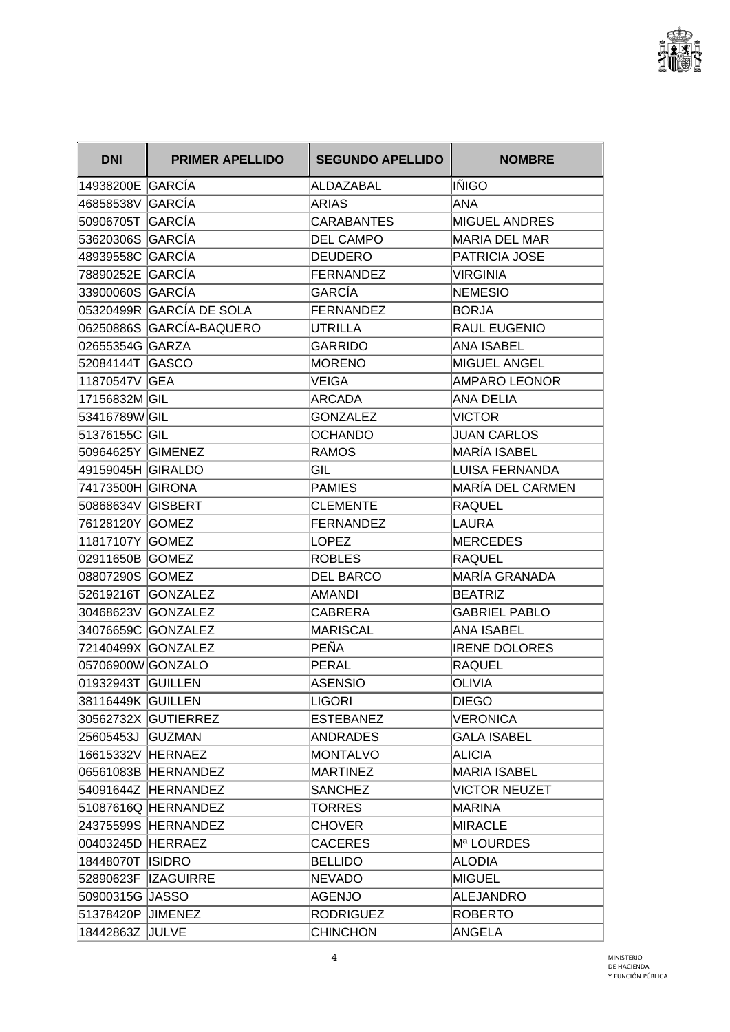

| <b>DNI</b>        | <b>PRIMER APELLIDO</b>   | <b>SEGUNDO APELLIDO</b> | <b>NOMBRE</b>           |
|-------------------|--------------------------|-------------------------|-------------------------|
| 14938200E GARCÍA  |                          | ALDAZABAL               | IÑIGO                   |
| 46858538V GARCÍA  |                          | ARIAS                   | ANA                     |
| 50906705T GARCÍA  |                          | <b>CARABANTES</b>       | <b>MIGUEL ANDRES</b>    |
| 53620306S GARCÍA  |                          | <b>DEL CAMPO</b>        | <b>MARIA DEL MAR</b>    |
| 48939558C GARCÍA  |                          | <b>DEUDERO</b>          | PATRICIA JOSE           |
| 78890252E GARCÍA  |                          | FERNANDEZ               | <b>VIRGINIA</b>         |
| 33900060S GARCÍA  |                          | <b>GARCÍA</b>           | <b>NEMESIO</b>          |
|                   | 05320499R GARCÍA DE SOLA | FERNANDEZ               | <b>BORJA</b>            |
|                   | 06250886S GARCÍA-BAQUERO | <b>UTRILLA</b>          | <b>RAUL EUGENIO</b>     |
| 02655354G GARZA   |                          | <b>GARRIDO</b>          | <b>ANA ISABEL</b>       |
| 52084144T GASCO   |                          | <b>MORENO</b>           | <b>MIGUEL ANGEL</b>     |
| 11870547V GEA     |                          | VEIGA                   | <b>AMPARO LEONOR</b>    |
| 17156832M GIL     |                          | ARCADA                  | ANA DELIA               |
| 53416789WGIL      |                          | <b>GONZALEZ</b>         | <b>VICTOR</b>           |
| 51376155C GIL     |                          | <b>OCHANDO</b>          | <b>JUAN CARLOS</b>      |
| 50964625Y GIMENEZ |                          | <b>RAMOS</b>            | MARÍA ISABEL            |
| 49159045H GIRALDO |                          | GIL                     | LUISA FERNANDA          |
| 74173500H GIRONA  |                          | <b>PAMIES</b>           | <b>MARÍA DEL CARMEN</b> |
| 50868634V GISBERT |                          | <b>CLEMENTE</b>         | <b>RAQUEL</b>           |
| 76128120Y GOMEZ   |                          | FERNANDEZ               | LAURA                   |
| 11817107Y GOMEZ   |                          | LOPEZ                   | <b>MERCEDES</b>         |
| 02911650B GOMEZ   |                          | ROBLES                  | <b>RAQUEL</b>           |
| 08807290S GOMEZ   |                          | <b>DEL BARCO</b>        | MARÍA GRANADA           |
|                   | 52619216T GONZALEZ       | AMANDI                  | <b>BEATRIZ</b>          |
|                   | 30468623V GONZALEZ       | CABRERA                 | <b>GABRIEL PABLO</b>    |
|                   | 34076659C GONZALEZ       | MARISCAL                | <b>ANA ISABEL</b>       |
|                   | 72140499X GONZALEZ       | PEÑA                    | <b>IRENE DOLORES</b>    |
| 05706900W GONZALO |                          | PERAL                   | <b>RAQUEL</b>           |
| 01932943T GUILLEN |                          | <b>ASENSIO</b>          | <b>OLIVIA</b>           |
| 38116449K GUILLEN |                          | LIGORI                  | <b>DIEGO</b>            |
|                   | 30562732X GUTIERREZ      | <b>ESTEBANEZ</b>        | <b>VERONICA</b>         |
| 25605453J GUZMAN  |                          | ANDRADES                | <b>GALA ISABEL</b>      |
| 16615332V HERNAEZ |                          | MONTALVO                | <b>ALICIA</b>           |
|                   | 06561083B HERNANDEZ      | MARTINEZ                | <b>MARIA ISABEL</b>     |
|                   | 54091644Z HERNANDEZ      | <b>SANCHEZ</b>          | <b>VICTOR NEUZET</b>    |
|                   | 51087616Q HERNANDEZ      | <b>TORRES</b>           | MARINA                  |
|                   | 24375599S HERNANDEZ      | <b>CHOVER</b>           | MIRACLE                 |
| 00403245D HERRAEZ |                          | <b>CACERES</b>          | Mª LOURDES              |
| 18448070T ISIDRO  |                          | <b>BELLIDO</b>          | ALODIA                  |
|                   | 52890623F  IZAGUIRRE     | NEVADO                  | MIGUEL                  |
| 50900315G JASSO   |                          | AGENJO                  | ALEJANDRO               |
| 51378420P JIMENEZ |                          | <b>RODRIGUEZ</b>        | <b>ROBERTO</b>          |
| 18442863Z JULVE   |                          | <b>CHINCHON</b>         | ANGELA                  |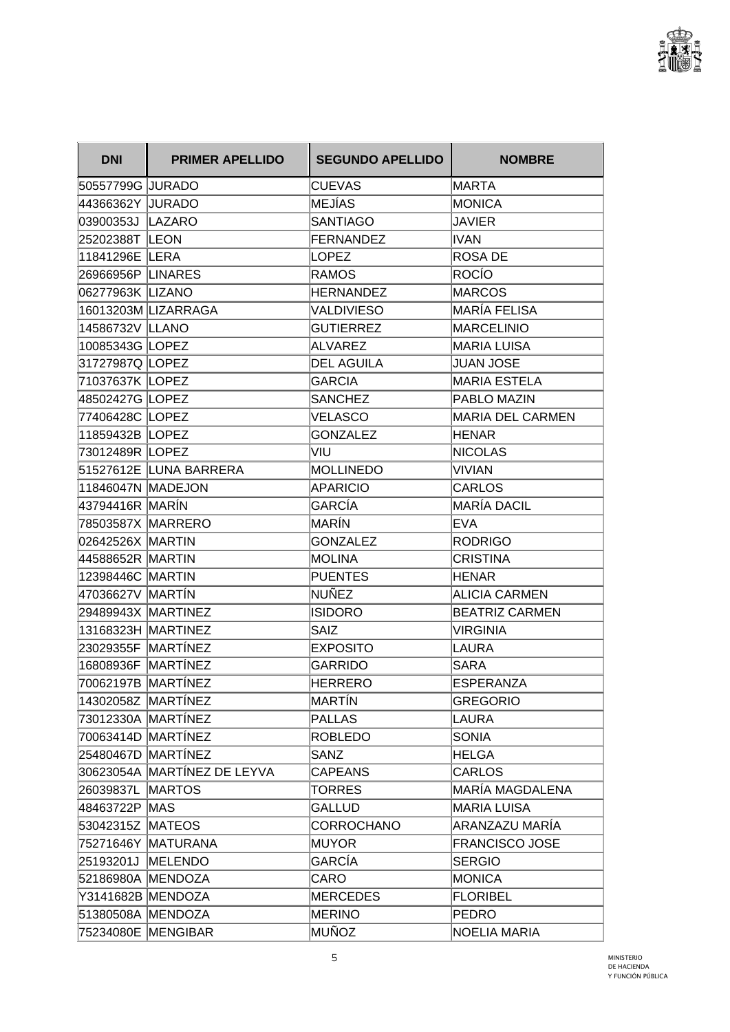

| <b>DNI</b>         | <b>PRIMER APELLIDO</b>      | <b>SEGUNDO APELLIDO</b> | <b>NOMBRE</b>         |
|--------------------|-----------------------------|-------------------------|-----------------------|
| 50557799G JURADO   |                             | <b>CUEVAS</b>           | MARTA                 |
| 44366362Y JURADO   |                             | MEJÍAS                  | MONICA                |
| 03900353J LAZARO   |                             | <b>SANTIAGO</b>         | <b>JAVIER</b>         |
| 25202388T LEON     |                             | FERNANDEZ               | IVAN                  |
| 11841296E LERA     |                             | LOPEZ                   | ROSA DE               |
| 26966956P LINARES  |                             | RAMOS                   | ROCÍO                 |
| 06277963K LIZANO   |                             | <b>HERNANDEZ</b>        | <b>MARCOS</b>         |
|                    | 16013203M LIZARRAGA         | <b>VALDIVIESO</b>       | MARÍA FELISA          |
| 14586732V LLANO    |                             | <b>GUTIERREZ</b>        | MARCELINIO            |
| 10085343G LOPEZ    |                             | ALVAREZ                 | MARIA LUISA           |
| 31727987Q LOPEZ    |                             | <b>DEL AGUILA</b>       | <b>JUAN JOSE</b>      |
| 71037637K LOPEZ    |                             | <b>GARCIA</b>           | <b>MARIA ESTELA</b>   |
| 48502427G LOPEZ    |                             | <b>SANCHEZ</b>          | PABLO MAZIN           |
| 77406428C LOPEZ    |                             | <b>VELASCO</b>          | MARIA DEL CARMEN      |
| 11859432B LOPEZ    |                             | <b>GONZALEZ</b>         | HENAR                 |
| 73012489R LOPEZ    |                             | VIU                     | <b>NICOLAS</b>        |
|                    | 51527612E LUNA BARRERA      | MOLLINEDO               | VIVIAN                |
| 11846047N MADEJON  |                             | APARICIO                | <b>CARLOS</b>         |
| 43794416R MARÍN    |                             | GARCÍA                  | MARÍA DACIL           |
| 78503587X MARRERO  |                             | lMARÍN                  | <b>EVA</b>            |
| 02642526X MARTIN   |                             | <b>GONZALEZ</b>         | <b>RODRIGO</b>        |
| 44588652R MARTIN   |                             | MOLINA                  | CRISTINA              |
| 12398446C MARTIN   |                             | <b>PUENTES</b>          | <b>HENAR</b>          |
| 47036627V MARTÍN   |                             | <b>NUÑEZ</b>            | <b>ALICIA CARMEN</b>  |
| 29489943X MARTINEZ |                             | <b>ISIDORO</b>          | BEATRIZ CARMEN        |
| 13168323H MARTINEZ |                             | <b>SAIZ</b>             | <b>VIRGINIA</b>       |
| 23029355F MARTÍNEZ |                             | <b>EXPOSITO</b>         | <b>LAURA</b>          |
| 16808936F MARTÍNEZ |                             | <b>GARRIDO</b>          | <b>SARA</b>           |
| 70062197B MARTÍNEZ |                             | HERRERO                 | <b>ESPERANZA</b>      |
| 14302058Z MARTÍNEZ |                             | MARTÍN                  | <b>GREGORIO</b>       |
| 73012330A MARTÍNEZ |                             | PALLAS                  | LAURA                 |
| 70063414D MARTÍNEZ |                             | <b>ROBLEDO</b>          | <b>SONIA</b>          |
| 25480467D MARTÍNEZ |                             | <b>SANZ</b>             | <b>HELGA</b>          |
|                    | 30623054A MARTÍNEZ DE LEYVA | <b>CAPEANS</b>          | <b>CARLOS</b>         |
| 26039837L MARTOS   |                             | <b>TORRES</b>           | MARÍA MAGDALENA       |
| 48463722P MAS      |                             | <b>GALLUD</b>           | MARIA LUISA           |
| 53042315Z MATEOS   |                             | <b>CORROCHANO</b>       | ARANZAZU MARIA        |
|                    | 75271646Y MATURANA          | MUYOR                   | <b>FRANCISCO JOSE</b> |
| 25193201J MELENDO  |                             | GARCÍA                  | <b>SERGIO</b>         |
| 52186980A MENDOZA  |                             | CARO                    | MONICA                |
| Y3141682B MENDOZA  |                             | MERCEDES                | <b>FLORIBEL</b>       |
| 51380508A MENDOZA  |                             | <b>MERINO</b>           | <b>PEDRO</b>          |
|                    | 75234080E MENGIBAR          | MUÑOZ                   | NOELIA MARIA          |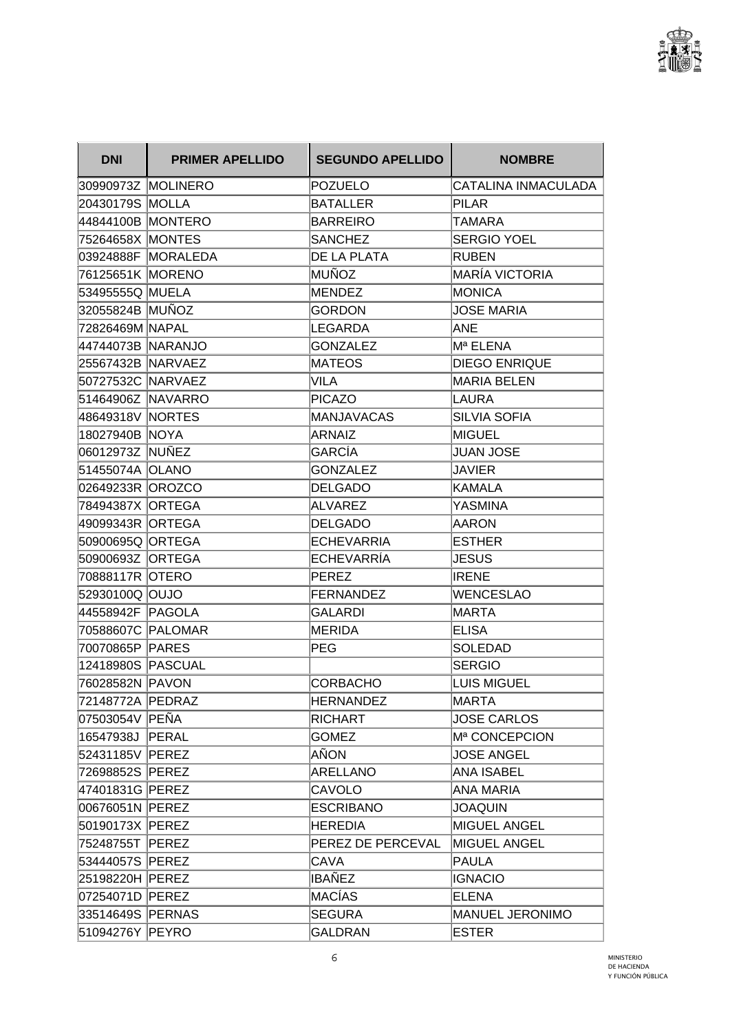

| <b>DNI</b>        | <b>PRIMER APELLIDO</b> | <b>SEGUNDO APELLIDO</b> | <b>NOMBRE</b>             |
|-------------------|------------------------|-------------------------|---------------------------|
|                   | 30990973Z MOLINERO     | <b>POZUELO</b>          | CATALINA INMACULADA       |
| 20430179S MOLLA   |                        | <b>BATALLER</b>         | <b>PILAR</b>              |
| 44844100B MONTERO |                        | <b>BARREIRO</b>         | TAMARA                    |
| 75264658X MONTES  |                        | SANCHEZ                 | <b>SERGIO YOEL</b>        |
|                   | 03924888F MORALEDA     | DE LA PLATA             | <b>RUBEN</b>              |
| 76125651K MORENO  |                        | MUÑOZ                   | <b>MARÍA VICTORIA</b>     |
| 53495555Q MUELA   |                        | MENDEZ                  | <b>MONICA</b>             |
| 32055824B MUÑOZ   |                        | <b>GORDON</b>           | <b>JOSE MARIA</b>         |
| 72826469M NAPAL   |                        | LEGARDA                 | ANE                       |
| 44744073B NARANJO |                        | <b>GONZALEZ</b>         | Mª ELENA                  |
| 25567432B NARVAEZ |                        | <b>MATEOS</b>           | <b>DIEGO ENRIQUE</b>      |
| 50727532C NARVAEZ |                        | VILA                    | <b>MARIA BELEN</b>        |
| 51464906Z NAVARRO |                        | <b>PICAZO</b>           | LAURA                     |
| 48649318V NORTES  |                        | MANJAVACAS              | <b>SILVIA SOFIA</b>       |
| 18027940B NOYA    |                        | ARNAIZ                  | MIGUEL                    |
| 06012973Z NUÑEZ   |                        | GARCÍA                  | <b>JUAN JOSE</b>          |
| 51455074A OLANO   |                        | <b>GONZALEZ</b>         | <b>JAVIER</b>             |
| 02649233R  OROZCO |                        | DELGADO                 | KAMALA                    |
| 78494387X ORTEGA  |                        | ALVAREZ                 | <b>YASMINA</b>            |
| 49099343R ORTEGA  |                        | <b>DELGADO</b>          | AARON                     |
| 50900695Q ORTEGA  |                        | <b>ECHEVARRIA</b>       | <b>ESTHER</b>             |
| 50900693Z  ORTEGA |                        | ECHEVARRIA              | <b>JESUS</b>              |
| 70888117R OTERO   |                        | PEREZ                   | <b>IRENE</b>              |
| 52930100Q OUJO    |                        | <b>FERNANDEZ</b>        | <b>WENCESLAO</b>          |
| 44558942F PAGOLA  |                        | GALARDI                 | MARTA                     |
| 70588607C PALOMAR |                        | MERIDA                  | <b>ELISA</b>              |
| 70070865P PARES   |                        | PEG                     | SOLEDAD                   |
| 12418980S PASCUAL |                        |                         | <b>SERGIO</b>             |
| 76028582N PAVON   |                        | <b>CORBACHO</b>         | <b>LUIS MIGUEL</b>        |
| 72148772A PEDRAZ  |                        | <b>HERNANDEZ</b>        | <b>MARTA</b>              |
| 07503054V PEÑA    |                        | RICHART                 | <b>JOSE CARLOS</b>        |
| 16547938J PERAL   |                        | <b>GOMEZ</b>            | M <sup>a</sup> CONCEPCION |
| 52431185V PEREZ   |                        | AÑON                    | <b>JOSE ANGEL</b>         |
| 72698852S PEREZ   |                        | ARELLANO                | ANA ISABEL                |
| 47401831G PEREZ   |                        | CAVOLO                  | ANA MARIA                 |
| 00676051N PEREZ   |                        | <b>ESCRIBANO</b>        | <b>JOAQUIN</b>            |
| 50190173X PEREZ   |                        | <b>HEREDIA</b>          | MIGUEL ANGEL              |
| 75248755T PEREZ   |                        | PEREZ DE PERCEVAL       | MIGUEL ANGEL              |
| 53444057S PEREZ   |                        | CAVA                    | PAULA                     |
| 25198220H PEREZ   |                        | IBAÑEZ                  | <b>IGNACIO</b>            |
| 07254071D PEREZ   |                        | MACÍAS                  | <b>ELENA</b>              |
| 33514649S PERNAS  |                        | <b>SEGURA</b>           | MANUEL JERONIMO           |
| 51094276Y PEYRO   |                        | <b>GALDRAN</b>          | ESTER                     |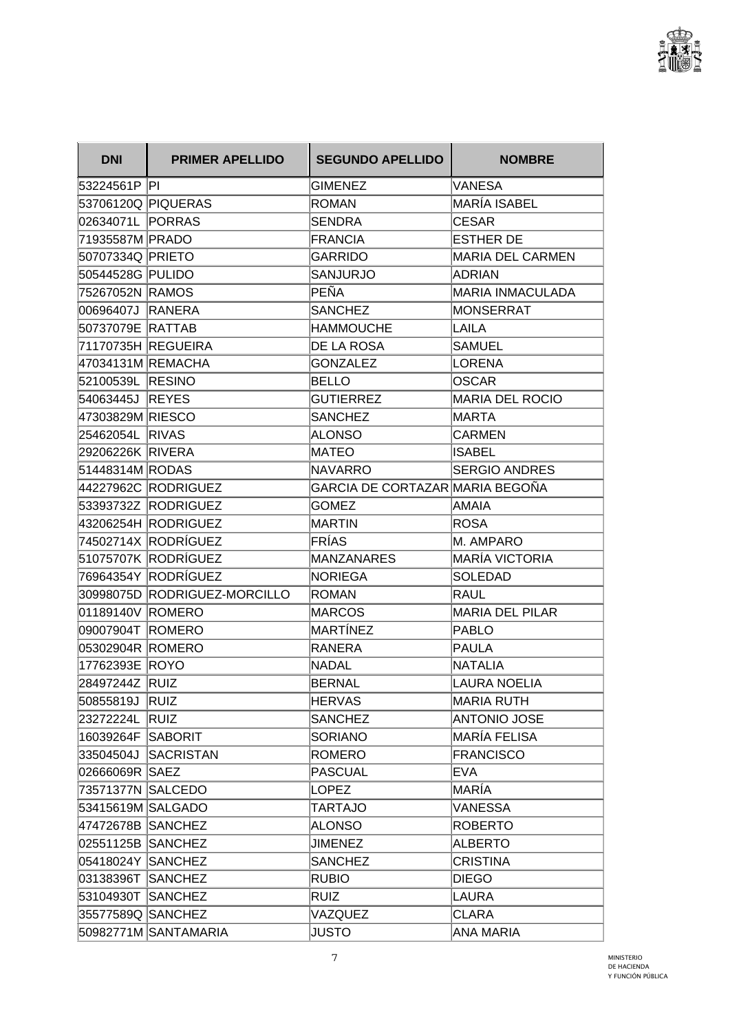

| <b>DNI</b>         | <b>PRIMER APELLIDO</b>       | <b>SEGUNDO APELLIDO</b>         | <b>NOMBRE</b>           |
|--------------------|------------------------------|---------------------------------|-------------------------|
| 53224561P PI       |                              | <b>GIMENEZ</b>                  | VANESA                  |
| 53706120Q PIQUERAS |                              | <b>ROMAN</b>                    | MARÍA ISABEL            |
| 02634071L PORRAS   |                              | SENDRA                          | <b>CESAR</b>            |
| 71935587M PRADO    |                              | <b>FRANCIA</b>                  | <b>ESTHER DE</b>        |
| 50707334Q PRIETO   |                              | GARRIDO                         | MARIA DEL CARMEN        |
| 50544528G PULIDO   |                              | SANJURJO                        | <b>ADRIAN</b>           |
| 75267052N RAMOS    |                              | PEÑA                            | <b>MARIA INMACULADA</b> |
| 00696407J RANERA   |                              | <b>SANCHEZ</b>                  | MONSERRAT               |
| 50737079E RATTAB   |                              | <b>HAMMOUCHE</b>                | LAILA                   |
|                    | 71170735H REGUEIRA           | <b>DE LA ROSA</b>               | SAMUEL                  |
| 47034131M REMACHA  |                              | <b>GONZALEZ</b>                 | LORENA                  |
| 52100539L RESINO   |                              | BELLO                           | <b>OSCAR</b>            |
| 54063445J REYES    |                              | <b>GUTIERREZ</b>                | <b>MARIA DEL ROCIO</b>  |
| 47303829M RIESCO   |                              | <b>SANCHEZ</b>                  | MARTA                   |
| 25462054L RIVAS    |                              | <b>ALONSO</b>                   | <b>CARMEN</b>           |
| 29206226K RIVERA   |                              | <b>MATEO</b>                    | <b>ISABEL</b>           |
| 51448314M RODAS    |                              | <b>NAVARRO</b>                  | <b>SERGIO ANDRES</b>    |
|                    | 44227962C RODRIGUEZ          | GARCIA DE CORTAZAR MARIA BEGOÑA |                         |
|                    | 53393732Z RODRIGUEZ          | <b>GOMEZ</b>                    | AMAIA                   |
|                    | 43206254H RODRIGUEZ          | <b>MARTIN</b>                   | ROSA                    |
|                    | 74502714X RODRÍGUEZ          | FRÍAS                           | <b>M. AMPARO</b>        |
|                    | 51075707K RODRÍGUEZ          | MANZANARES                      | MARÍA VICTORIA          |
|                    | 76964354Y RODRÍGUEZ          | NORIEGA                         | <b>SOLEDAD</b>          |
|                    | 30998075D RODRIGUEZ-MORCILLO | ROMAN                           | RAUL                    |
| 01189140V ROMERO   |                              | <b>MARCOS</b>                   | <b>MARIA DEL PILAR</b>  |
| 09007904T ROMERO   |                              | MARTÍNEZ                        | PABLO                   |
| 05302904R ROMERO   |                              | <b>RANERA</b>                   | PAULA                   |
| 17762393E ROYO     |                              | <b>NADAL</b>                    | NATALIA                 |
| 28497244Z RUIZ     |                              | BERNAL                          | LAURA NOELIA            |
| 50855819J RUIZ     |                              | <b>HERVAS</b>                   | MARIA RUTH              |
| 23272224L RUIZ     |                              | <b>SANCHEZ</b>                  | ANTONIO JOSE            |
| 16039264F SABORIT  |                              | <b>SORIANO</b>                  | MARÍA FELISA            |
|                    | 33504504J SACRISTAN          | <b>ROMERO</b>                   | <b>FRANCISCO</b>        |
| 02666069R SAEZ     |                              | <b>PASCUAL</b>                  | <b>EVA</b>              |
| 73571377N SALCEDO  |                              | LOPEZ                           | MARÍA                   |
| 53415619M SALGADO  |                              | TARTAJO                         | VANESSA                 |
| 47472678B SANCHEZ  |                              | <b>ALONSO</b>                   | <b>ROBERTO</b>          |
| 02551125B SANCHEZ  |                              | <b>JIMENEZ</b>                  | ALBERTO                 |
| 05418024Y SANCHEZ  |                              | <b>SANCHEZ</b>                  | <b>CRISTINA</b>         |
| 03138396T SANCHEZ  |                              | <b>RUBIO</b>                    | <b>DIEGO</b>            |
| 53104930T SANCHEZ  |                              | RUIZ                            | LAURA                   |
| 35577589Q SANCHEZ  |                              | VAZQUEZ                         | <b>CLARA</b>            |
|                    | 50982771M SANTAMARIA         | <b>JUSTO</b>                    | ANA MARIA               |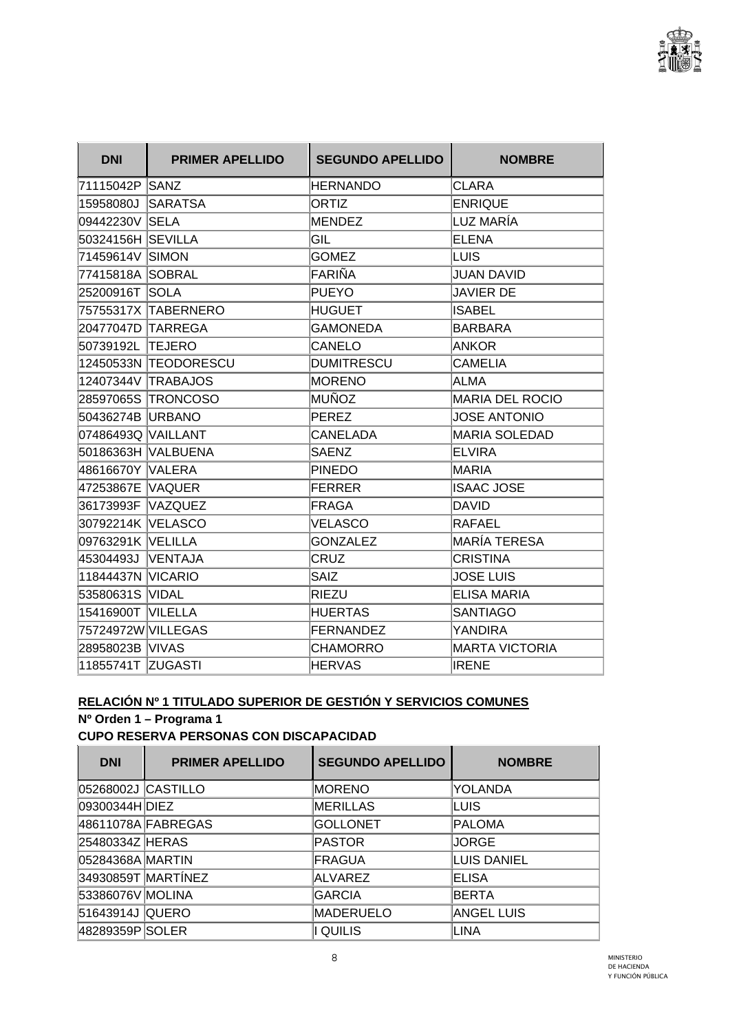

| <b>DNI</b>               | <b>PRIMER APELLIDO</b> | <b>SEGUNDO APELLIDO</b> | <b>NOMBRE</b>          |
|--------------------------|------------------------|-------------------------|------------------------|
| 71115042P SANZ           |                        | <b>HERNANDO</b>         | <b>CLARA</b>           |
| 15958080J                | <b>SARATSA</b>         | ORTIZ                   | <b>ENRIQUE</b>         |
| 09442230V SELA           |                        | <b>MENDEZ</b>           | LUZ MARÍA              |
| 50324156H SEVILLA        |                        | GIL                     | <b>ELENA</b>           |
| 71459614V SIMON          |                        | <b>GOMEZ</b>            | ILUIS.                 |
| 77415818A SOBRAL         |                        | FARIÑA                  | <b>JUAN DAVID</b>      |
| 25200916T SOLA           |                        | PUEYO                   | <b>JAVIER DE</b>       |
|                          | 75755317X TABERNERO    | <b>HUGUET</b>           | <b>ISABEL</b>          |
| 20477047D TARREGA        |                        | <b>GAMONEDA</b>         | <b>BARBARA</b>         |
| 50739192L TEJERO         |                        | CANELO                  | <b>ANKOR</b>           |
|                          | 12450533N TEODORESCU   | <b>DUMITRESCU</b>       | <b>CAMELIA</b>         |
|                          | 12407344V TRABAJOS     | <b>MORENO</b>           | ALMA                   |
|                          | 28597065S TRONCOSO     | MUÑOZ                   | <b>MARIA DEL ROCIO</b> |
| 50436274B URBANO         |                        | PEREZ                   | <b>JOSE ANTONIO</b>    |
| 07486493Q  VAILLANT      |                        | CANELADA                | <b>MARIA SOLEDAD</b>   |
|                          | 50186363H VALBUENA     | <b>SAENZ</b>            | ELVIRA                 |
| 48616670Y VALERA         |                        | <b>PINEDO</b>           | MARIA                  |
| 47253867E VAQUER         |                        | <b>FERRER</b>           | <b>ISAAC JOSE</b>      |
| 36173993F VAZQUEZ        |                        | FRAGA                   | DAVID                  |
| 30792214K VELASCO        |                        | <b>VELASCO</b>          | RAFAEL                 |
| 09763291K  VELILLA       |                        | <b>GONZALEZ</b>         | <b>MARÍA TERESA</b>    |
| 45304493J VENTAJA        |                        | <b>CRUZ</b>             | <b>CRISTINA</b>        |
| <b>11844437N VICARIO</b> |                        | <b>SAIZ</b>             | <b>JOSE LUIS</b>       |
| 53580631S VIDAL          |                        | RIEZU                   | <b>ELISA MARIA</b>     |
| 15416900T VILELLA        |                        | <b>HUERTAS</b>          | <b>SANTIAGO</b>        |
| 75724972W VILLEGAS       |                        | <b>FERNANDEZ</b>        | YANDIRA                |
| 28958023B VIVAS          |                        | <b>CHAMORRO</b>         | MARTA VICTORIA         |
| 11855741T ZUGASTI        |                        | <b>HERVAS</b>           | <b>IRENE</b>           |

# **RELACIÓN Nº 1 TITULADO SUPERIOR DE GESTIÓN Y SERVICIOS COMUNES**

**Nº Orden 1 – Programa 1** 

**CUPO RESERVA PERSONAS CON DISCAPACIDAD** 

| <b>DNI</b>         | <b>PRIMER APELLIDO</b> | <b>SEGUNDO APELLIDO</b> | <b>NOMBRE</b>      |
|--------------------|------------------------|-------------------------|--------------------|
| 05268002J CASTILLO |                        | <b>MORENO</b>           | YOLANDA            |
| 09300344H DIEZ     |                        | <b>IMERILLAS</b>        | LUIS               |
|                    | 48611078A FABREGAS     | <b>GOLLONET</b>         | <b>PALOMA</b>      |
| 25480334Z HERAS    |                        | <b>PASTOR</b>           | <b>JORGE</b>       |
| 05284368A MARTIN   |                        | FRAGUA                  | <b>LUIS DANIEL</b> |
|                    | 34930859T MARTÍNEZ     | <b>ALVAREZ</b>          | <b>ELISA</b>       |
| 53386076V MOLINA   |                        | <b>GARCIA</b>           | BERTA              |
| 51643914J QUERO    |                        | <b>MADERUELO</b>        | <b>ANGEL LUIS</b>  |
| 48289359P SOLER    |                        | <b>QUILIS</b>           | LINA               |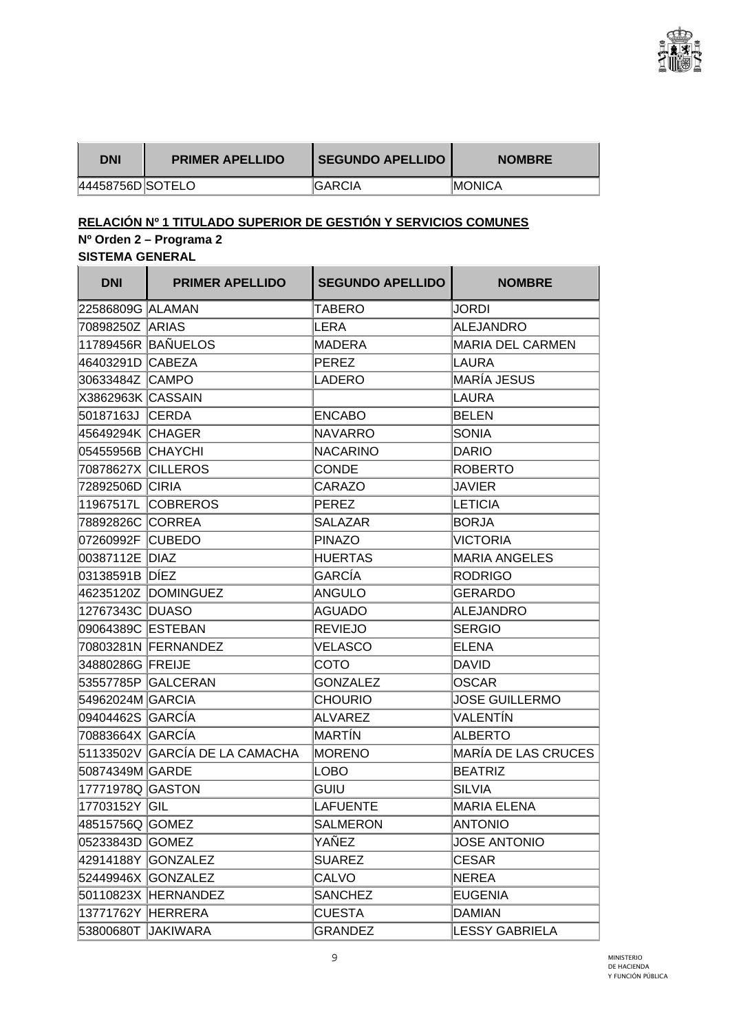

l,

| DNI              | <b>PRIMER APELLIDO</b> | I SEGUNDO APELLIDO | <b>NOMBRE</b>  |
|------------------|------------------------|--------------------|----------------|
| 44458756D SOTELO |                        | <b>IGARCIA</b>     | <b>IMONICA</b> |

# **RELACIÓN Nº 1 TITULADO SUPERIOR DE GESTIÓN Y SERVICIOS COMUNES**

## **Nº Orden 2 – Programa 2**

**SISTEMA GENERAL** 

| <b>DNI</b>         | <b>PRIMER APELLIDO</b>          | <b>SEGUNDO APELLIDO</b> | <b>NOMBRE</b>              |
|--------------------|---------------------------------|-------------------------|----------------------------|
| 22586809G ALAMAN   |                                 | TABERO                  | <b>JORDI</b>               |
| 70898250Z ARIAS    |                                 | <b>LERA</b>             | <b>ALEJANDRO</b>           |
|                    | 11789456R BAÑUELOS              | MADERA                  | <b>MARIA DEL CARMEN</b>    |
| 46403291D CABEZA   |                                 | PEREZ                   | <b>LAURA</b>               |
| 30633484Z CAMPO    |                                 | LADERO                  | <b>MARÍA JESUS</b>         |
| X3862963K CASSAIN  |                                 |                         | LAURA                      |
| 50187163J CERDA    |                                 | <b>ENCABO</b>           | <b>BELEN</b>               |
| 45649294K CHAGER   |                                 | <b>NAVARRO</b>          | <b>SONIA</b>               |
| 05455956B CHAYCHI  |                                 | <b>INACARINO</b>        | <b>DARIO</b>               |
| 70878627X CILLEROS |                                 | <b>CONDE</b>            | <b>ROBERTO</b>             |
| 72892506D CIRIA    |                                 | CARAZO                  | JAVIER                     |
|                    | 11967517L COBREROS              | PEREZ                   | <b>LETICIA</b>             |
| 78892826C CORREA   |                                 | <b>SALAZAR</b>          | <b>BORJA</b>               |
| 07260992F CUBEDO   |                                 | <b>PINAZO</b>           | <b>VICTORIA</b>            |
| 00387112E DIAZ     |                                 | <b>HUERTAS</b>          | <b>MARIA ANGELES</b>       |
| 03138591B DÍEZ     |                                 | <b>GARCÍA</b>           | <b>RODRIGO</b>             |
|                    | 46235120Z DOMINGUEZ             | ANGULO                  | <b>GERARDO</b>             |
| 12767343C DUASO    |                                 | AGUADO                  | <b>ALEJANDRO</b>           |
| 09064389C ESTEBAN  |                                 | <b>REVIEJO</b>          | <b>SERGIO</b>              |
|                    | 70803281N FERNANDEZ             | <b>VELASCO</b>          | <b>ELENA</b>               |
| 34880286G FREIJE   |                                 | СОТО                    | <b>DAVID</b>               |
|                    | 53557785P   GALCERAN            | <b>GONZALEZ</b>         | <b>OSCAR</b>               |
| 54962024M GARCIA   |                                 | <b>CHOURIO</b>          | <b>JOSE GUILLERMO</b>      |
| 09404462S  GARCÍA  |                                 | ALVAREZ                 | VALENTÍN                   |
| 70883664X GARCÍA   |                                 | IMARTÍN                 | <b>ALBERTO</b>             |
|                    | 51133502V  GARCÍA DE LA CAMACHA | <b>MORENO</b>           | <b>MARÍA DE LAS CRUCES</b> |
| 50874349M GARDE    |                                 | LOBO                    | <b>BEATRIZ</b>             |
| 17771978Q GASTON   |                                 | <b>GUIU</b>             | <b>SILVIA</b>              |
| 17703152Y GIL      |                                 | LAFUENTE                | <b>MARIA ELENA</b>         |
| 48515756Q GOMEZ    |                                 | <b>SALMERON</b>         | <b>ANTONIO</b>             |
| 05233843D GOMEZ    |                                 | YAÑEZ                   | <b>JOSE ANTONIO</b>        |
|                    | 42914188Y GONZALEZ              | <b>SUAREZ</b>           | <b>CESAR</b>               |
|                    | 52449946X GONZALEZ              | CALVO                   | <b>NEREA</b>               |
|                    | 50110823X HERNANDEZ             | <b>SANCHEZ</b>          | <b>EUGENIA</b>             |
| 13771762Y HERRERA  |                                 | <b>CUESTA</b>           | <b>DAMIAN</b>              |
|                    | 53800680T JAKIWARA              | <b>GRANDEZ</b>          | <b>LESSY GABRIELA</b>      |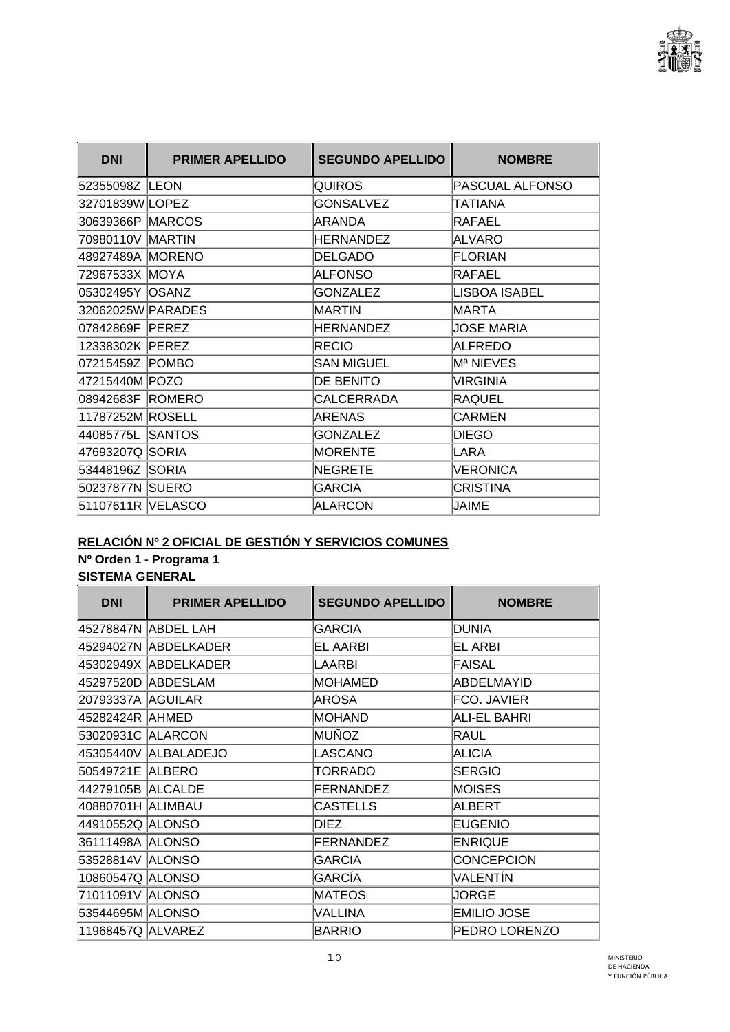

| <b>DNI</b>        | <b>PRIMER APELLIDO</b> | <b>SEGUNDO APELLIDO</b> | <b>NOMBRE</b>        |
|-------------------|------------------------|-------------------------|----------------------|
| 52355098Z LEON    |                        | <b>QUIROS</b>           | PASCUAL ALFONSO      |
| 32701839W LOPEZ   |                        | <b>GONSALVEZ</b>        | TATIANA              |
| 30639366P MARCOS  |                        | ARANDA                  | RAFAEL               |
| 70980110V MARTIN  |                        | <b>HERNANDEZ</b>        | <b>ALVARO</b>        |
| 48927489A MORENO  |                        | <b>DELGADO</b>          | <b>FLORIAN</b>       |
| 72967533X MOYA    |                        | <b>ALFONSO</b>          | <b>RAFAEL</b>        |
| 05302495Y OSANZ   |                        | <b>GONZALEZ</b>         | <b>LISBOA ISABEL</b> |
| 32062025W PARADES |                        | MARTIN                  | MARTA                |
| 07842869F PEREZ   |                        | HERNANDEZ               | <b>JOSE MARIA</b>    |
| 12338302K PEREZ   |                        | <b>RECIO</b>            | <b>ALFREDO</b>       |
| 07215459Z POMBO   |                        | <b>SAN MIGUEL</b>       | Mª NIEVES            |
| 47215440M POZO    |                        | DE BENITO               | <b>VIRGINIA</b>      |
| 08942683F ROMERO  |                        | <b>CALCERRADA</b>       | <b>RAQUEL</b>        |
| 11787252M ROSELL  |                        | <b>ARENAS</b>           | <b>CARMEN</b>        |
| 44085775L SANTOS  |                        | <b>GONZALEZ</b>         | <b>DIEGO</b>         |
| 47693207Q SORIA   |                        | <b>MORENTE</b>          | LARA                 |
| 53448196Z SORIA   |                        | NEGRETE                 | <b>VERONICA</b>      |
| 50237877N SUERO   |                        | <b>GARCIA</b>           | <b>CRISTINA</b>      |
| 51107611R VELASCO |                        | ALARCON                 | JAIME                |

### **RELACIÓN Nº 2 OFICIAL DE GESTIÓN Y SERVICIOS COMUNES**

#### **Nº Orden 1 - Programa 1**

| <b>DNI</b>          | <b>PRIMER APELLIDO</b> | <b>SEGUNDO APELLIDO</b> | <b>NOMBRE</b>       |
|---------------------|------------------------|-------------------------|---------------------|
|                     | 45278847N ABDEL LAH    | GARCIA                  | DUNIA               |
|                     | 45294027N ABDELKADER   | <b>EL AARBI</b>         | <b>EL ARBI</b>      |
|                     | 45302949X ABDELKADER   | LAARBI                  | FAISAL              |
|                     | 45297520D ABDESLAM     | <b>MOHAMED</b>          | <b>ABDELMAYID</b>   |
| 20793337A AGUILAR   |                        | AROSA                   | FCO. JAVIER         |
| 45282424R AHMED     |                        | <b>MOHAND</b>           | <b>ALI-EL BAHRI</b> |
| 53020931C   ALARCON |                        | MUÑOZ                   | RAUL                |
|                     | 45305440V ALBALADEJO   | LASCANO                 | <b>ALICIA</b>       |
| 50549721E ALBERO    |                        | <b>TORRADO</b>          | <b>SERGIO</b>       |
| 44279105B ALCALDE   |                        | FERNANDEZ               | <b>MOISES</b>       |
| 40880701H ALIMBAU   |                        | <b>CASTELLS</b>         | ALBERT              |
| 44910552Q ALONSO    |                        | DIEZ                    | <b>EUGENIO</b>      |
| 36111498A ALONSO    |                        | <b>FERNANDEZ</b>        | <b>ENRIQUE</b>      |
| 53528814V ALONSO    |                        | <b>GARCIA</b>           | <b>CONCEPCION</b>   |
| 10860547Q ALONSO    |                        | GARCÍA                  | VALENTÍN            |
| 71011091V ALONSO    |                        | <b>MATEOS</b>           | <b>JORGE</b>        |
| 53544695M ALONSO    |                        | <b>VALLINA</b>          | <b>EMILIO JOSE</b>  |
| 11968457Q ALVAREZ   |                        | BARRIO                  | PEDRO LORENZO       |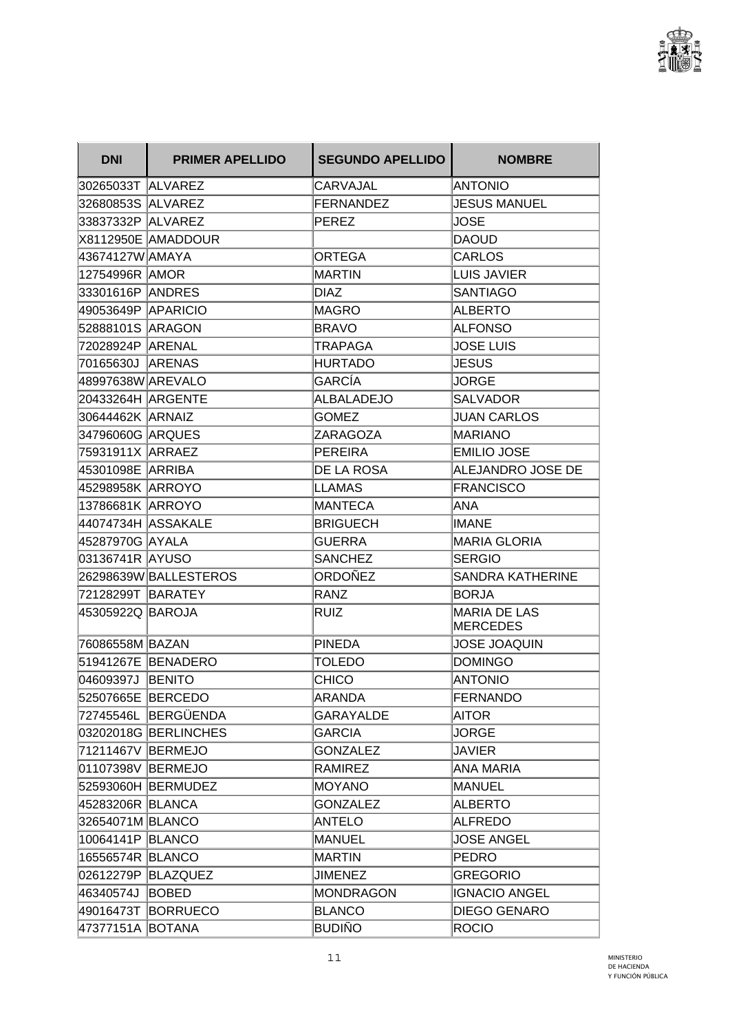

| <b>DNI</b>         | <b>PRIMER APELLIDO</b> | <b>SEGUNDO APELLIDO</b> | <b>NOMBRE</b>                          |
|--------------------|------------------------|-------------------------|----------------------------------------|
|                    |                        | CARVAJAL                | <b>ANTONIO</b>                         |
| 32680853S ALVAREZ  |                        | <b>FERNANDEZ</b>        | <b>JESUS MANUEL</b>                    |
|                    |                        | <b>PEREZ</b>            | <b>JOSE</b>                            |
|                    | X8112950E AMADDOUR     |                         | <b>DAOUD</b>                           |
| 43674127W AMAYA    |                        | <b>ORTEGA</b>           | <b>CARLOS</b>                          |
| 12754996R AMOR     |                        | MARTIN                  | LUIS JAVIER                            |
|                    |                        | <b>DIAZ</b>             | <b>SANTIAGO</b>                        |
| 49053649P APARICIO |                        | MAGRO                   | <b>ALBERTO</b>                         |
| 52888101S ARAGON   |                        | BRAVO                   | <b>ALFONSO</b>                         |
| 72028924P   ARENAL |                        | TRAPAGA                 | <b>JOSE LUIS</b>                       |
| 70165630J ARENAS   |                        | <b>HURTADO</b>          | <b>JESUS</b>                           |
| 48997638W AREVALO  |                        | GARCÍA                  | <b>JORGE</b>                           |
| 20433264H ARGENTE  |                        | <b>ALBALADEJO</b>       | <b>SALVADOR</b>                        |
| 30644462K ARNAIZ   |                        | <b>GOMEZ</b>            | <b>JUAN CARLOS</b>                     |
| 34796060G ARQUES   |                        | ZARAGOZA                | <b>MARIANO</b>                         |
| 75931911X ARRAEZ   |                        | <b>PEREIRA</b>          | <b>EMILIO JOSE</b>                     |
| 45301098E  ARRIBA  |                        | <b>DE LA ROSA</b>       | ALEJANDRO JOSE DE                      |
| 45298958K  ARROYO  |                        | LLAMAS                  | <b>FRANCISCO</b>                       |
| 13786681K ARROYO   |                        | MANTECA                 | ANA                                    |
|                    |                        | <b>BRIGUECH</b>         | <b>IMANE</b>                           |
| 45287970G AYALA    |                        | <b>GUERRA</b>           | <b>MARIA GLORIA</b>                    |
|                    |                        | <b>SANCHEZ</b>          | <b>SERGIO</b>                          |
|                    | 26298639W BALLESTEROS  | ORDOÑEZ                 | <b>SANDRA KATHERINE</b>                |
| 72128299T BARATEY  |                        | RANZ                    | <b>BORJA</b>                           |
| 45305922Q  BAROJA  |                        | RUIZ                    | <b>MARIA DE LAS</b><br><b>MERCEDES</b> |
| 76086558M BAZAN    |                        | <b>PINEDA</b>           | <b>JOSE JOAQUIN</b>                    |
|                    | 51941267E BENADERO     | <b>TOLEDO</b>           | <b>DOMINGO</b>                         |
| 04609397J BENITO   |                        | <b>CHICO</b>            | <b>ANTONIO</b>                         |
| 52507665E BERCEDO  |                        | <b>ARANDA</b>           | <b>FERNANDO</b>                        |
|                    | 72745546L BERGÜENDA    | GARAYALDE               | <b>AITOR</b>                           |
|                    | 03202018G BERLINCHES   | <b>GARCIA</b>           | <b>JORGE</b>                           |
| 71211467V BERMEJO  |                        | <b>GONZALEZ</b>         | <b>JAVIER</b>                          |
| 01107398V BERMEJO  |                        | <b>RAMIREZ</b>          | <b>ANA MARIA</b>                       |
|                    | 52593060H BERMUDEZ     | <b>MOYANO</b>           | <b>MANUEL</b>                          |
| 45283206R BLANCA   |                        | <b>GONZALEZ</b>         | <b>ALBERTO</b>                         |
| 32654071M BLANCO   |                        | <b>ANTELO</b>           | ALFREDO                                |
| 10064141P BLANCO   |                        | <b>MANUEL</b>           | <b>JOSE ANGEL</b>                      |
| 16556574R BLANCO   |                        | <b>MARTIN</b>           | PEDRO                                  |
|                    | 02612279P BLAZQUEZ     | <b>JIMENEZ</b>          | <b>GREGORIO</b>                        |
| 46340574J BOBED    |                        | MONDRAGON               | <b>IGNACIO ANGEL</b>                   |
|                    | 49016473T BORRUECO     | <b>BLANCO</b>           | <b>DIEGO GENARO</b>                    |
| 47377151A BOTANA   |                        | <b>BUDIÑO</b>           | <b>ROCIO</b>                           |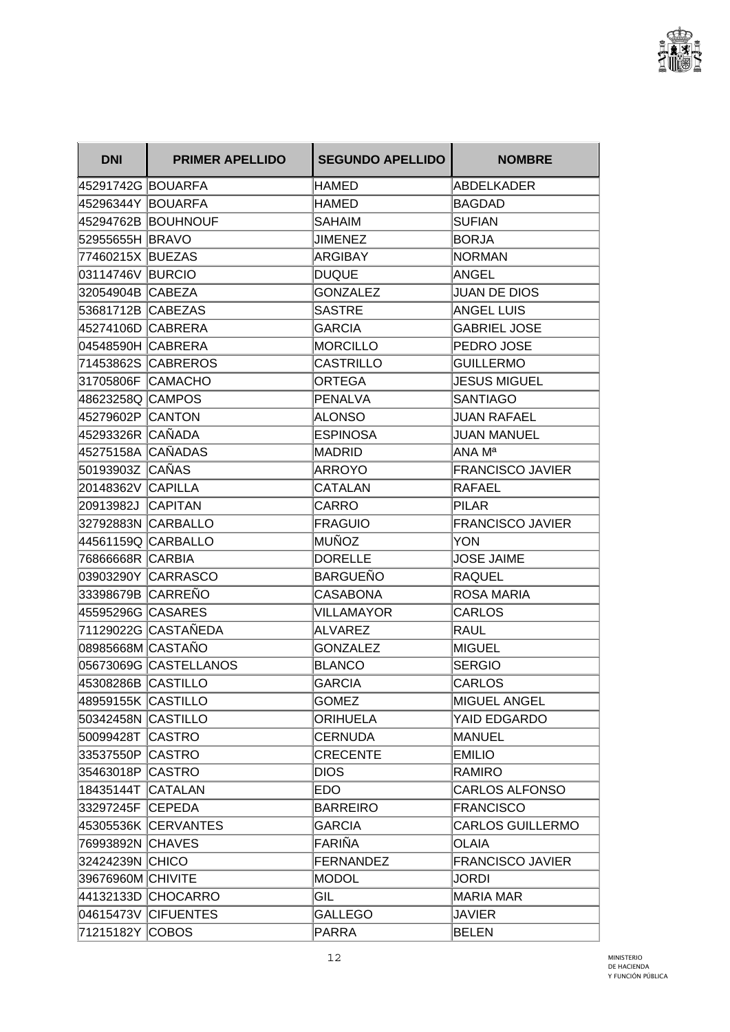

| <b>DNI</b>               | <b>PRIMER APELLIDO</b> | <b>SEGUNDO APELLIDO</b> | <b>NOMBRE</b>           |
|--------------------------|------------------------|-------------------------|-------------------------|
| 45291742G BOUARFA        |                        | <b>HAMED</b>            | <b>ABDELKADER</b>       |
| 45296344Y BOUARFA        |                        | <b>HAMED</b>            | <b>BAGDAD</b>           |
|                          | 45294762B BOUHNOUF     | <b>SAHAIM</b>           | <b>SUFIAN</b>           |
| 52955655H BRAVO          |                        | <b>JIMENEZ</b>          | <b>BORJA</b>            |
| 77460215X BUEZAS         |                        | ARGIBAY                 | INORMAN                 |
| 03114746V BURCIO         |                        | DUQUE                   | ANGEL                   |
| 32054904B CABEZA         |                        | <b>GONZALEZ</b>         | <b>JUAN DE DIOS</b>     |
| 53681712B CABEZAS        |                        | <b>SASTRE</b>           | <b>ANGEL LUIS</b>       |
| 45274106D CABRERA        |                        | <b>GARCIA</b>           | <b>GABRIEL JOSE</b>     |
| 04548590H CABRERA        |                        | MORCILLO                | PEDRO JOSE              |
|                          | 71453862S CABREROS     | <b>CASTRILLO</b>        | <b>GUILLERMO</b>        |
| 31705806F CAMACHO        |                        | <b>ORTEGA</b>           | <b>JESUS MIGUEL</b>     |
| 48623258Q CAMPOS         |                        | PENALVA                 | <b>SANTIAGO</b>         |
| 45279602P CANTON         |                        | ALONSO                  | <b>JUAN RAFAEL</b>      |
| 45293326R  CAÑADA        |                        | <b>ESPINOSA</b>         | <b>JUAN MANUEL</b>      |
| 45275158A CAÑADAS        |                        | MADRID                  | ANA Ma                  |
| 50193903Z CAÑAS          |                        | ARROYO                  | <b>FRANCISCO JAVIER</b> |
| <b>20148362V CAPILLA</b> |                        | <b>CATALAN</b>          | RAFAEL                  |
| 20913982J CAPITAN        |                        | CARRO                   | <b>PILAR</b>            |
|                          | 32792883N CARBALLO     | FRAGUIO                 | <b>FRANCISCO JAVIER</b> |
| 44561159Q CARBALLO       |                        | MUÑOZ                   | <b>YON</b>              |
| 76866668R CARBIA         |                        | <b>DORELLE</b>          | JOSE JAIME              |
|                          | 03903290Y CARRASCO     | BARGUEÑO                | <b>RAQUEL</b>           |
| 33398679B  CARREÑO       |                        | <b>CASABONA</b>         | ROSA MARIA              |
| 45595296G CASARES        |                        | VILLAMAYOR              | CARLOS                  |
|                          | 71129022G CASTAÑEDA    | ALVAREZ                 | <b>RAUL</b>             |
| 08985668M CASTAÑO        |                        | <b>GONZALEZ</b>         | <b>MIGUEL</b>           |
|                          | 05673069G CASTELLANOS  | <b>BLANCO</b>           | <b>SERGIO</b>           |
| 45308286B CASTILLO       |                        | <b>GARCIA</b>           | <b>CARLOS</b>           |
| 48959155K CASTILLO       |                        | <b>GOMEZ</b>            | <b>MIGUEL ANGEL</b>     |
| 50342458N CASTILLO       |                        | ORIHUELA                | YAID EDGARDO            |
| 50099428T CASTRO         |                        | <b>CERNUDA</b>          | <b>MANUEL</b>           |
| 33537550P CASTRO         |                        | <b>CRECENTE</b>         | <b>EMILIO</b>           |
| 35463018P CASTRO         |                        | <b>DIOS</b>             | RAMIRO                  |
| 18435144T CATALAN        |                        | EDO.                    | CARLOS ALFONSO          |
| 33297245F CEPEDA         |                        | BARREIRO                | <b>FRANCISCO</b>        |
|                          | 45305536K CERVANTES    | <b>GARCIA</b>           | <b>CARLOS GUILLERMO</b> |
| 76993892N CHAVES         |                        | FARIÑA                  | <b>OLAIA</b>            |
| 32424239N CHICO          |                        | FERNANDEZ               | <b>FRANCISCO JAVIER</b> |
| 39676960M CHIVITE        |                        | MODOL                   | JORDI                   |
|                          | 44132133D CHOCARRO     | GIL                     | MARIA MAR               |
|                          | 04615473V CIFUENTES    | <b>GALLEGO</b>          | <b>JAVIER</b>           |
| 71215182Y COBOS          |                        | PARRA                   | <b>BELEN</b>            |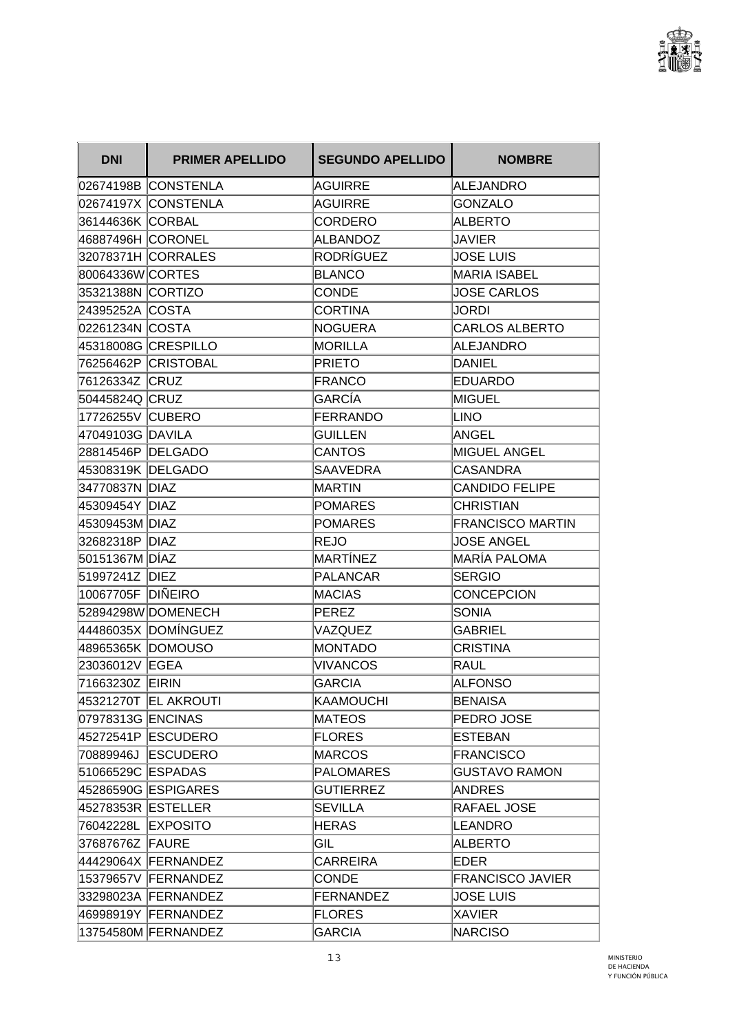

| <b>DNI</b>         | <b>PRIMER APELLIDO</b> | <b>SEGUNDO APELLIDO</b> | <b>NOMBRE</b>           |
|--------------------|------------------------|-------------------------|-------------------------|
|                    | 02674198B CONSTENLA    | AGUIRRE                 | <b>ALEJANDRO</b>        |
|                    | 02674197X CONSTENLA    | <b>AGUIRRE</b>          | <b>GONZALO</b>          |
| 36144636K CORBAL   |                        | CORDERO                 | <b>ALBERTO</b>          |
| 46887496H CORONEL  |                        | ALBANDOZ                | JAVIER                  |
|                    | 32078371H CORRALES     | RODRÍGUEZ               | <b>JOSE LUIS</b>        |
| 80064336W CORTES   |                        | BLANCO                  | <b>MARIA ISABEL</b>     |
| 35321388N CORTIZO  |                        | <b>CONDE</b>            | <b>JOSE CARLOS</b>      |
| 24395252A COSTA    |                        | <b>CORTINA</b>          | JORDI                   |
| 02261234N COSTA    |                        | NOGUERA                 | <b>CARLOS ALBERTO</b>   |
|                    | 45318008G CRESPILLO    | MORILLA                 | ALEJANDRO               |
|                    | 76256462P CRISTOBAL    | <b>PRIETO</b>           | <b>DANIEL</b>           |
| 76126334Z CRUZ     |                        | FRANCO                  | <b>EDUARDO</b>          |
| 50445824Q CRUZ     |                        | <b>GARCÍA</b>           | MIGUEL                  |
| 17726255V CUBERO   |                        | FERRANDO                | LINO                    |
| 47049103G DAVILA   |                        | <b>GUILLEN</b>          | ANGEL                   |
| 28814546P DELGADO  |                        | <b>CANTOS</b>           | <b>MIGUEL ANGEL</b>     |
| 45308319K DELGADO  |                        | <b>SAAVEDRA</b>         | <b>CASANDRA</b>         |
| 34770837N DIAZ     |                        | IMARTIN                 | <b>CANDIDO FELIPE</b>   |
| 45309454Y DIAZ     |                        | POMARES                 | <b>CHRISTIAN</b>        |
| 45309453M DIAZ     |                        | POMARES                 | <b>FRANCISCO MARTIN</b> |
| 32682318P DIAZ     |                        | REJO                    | <b>JOSE ANGEL</b>       |
| 50151367M DÍAZ     |                        | MARTÍNEZ                | MARÍA PALOMA            |
| 51997241Z DIEZ     |                        | PALANCAR                | <b>SERGIO</b>           |
| 10067705F DIÑEIRO  |                        | <b>MACIAS</b>           | <b>CONCEPCION</b>       |
|                    | 52894298W DOMENECH     | PEREZ                   | SONIA                   |
|                    | 44486035X DOMÍNGUEZ    | VAZQUEZ                 | <b>GABRIEL</b>          |
| 48965365K DOMOUSO  |                        | <b>MONTADO</b>          | <b>CRISTINA</b>         |
| 23036012V EGEA     |                        | <b>VIVANCOS</b>         | RAUL                    |
| 71663230Z EIRIN    |                        | <b>GARCIA</b>           | <b>ALFONSO</b>          |
|                    | 45321270T EL AKROUTI   | KAAMOUCHI               | <b>BENAISA</b>          |
| 07978313G ENCINAS  |                        | MATEOS                  | PEDRO JOSE              |
|                    | 45272541P ESCUDERO     | <b>FLORES</b>           | <b>ESTEBAN</b>          |
|                    | 70889946J ESCUDERO     | MARCOS                  | <b>FRANCISCO</b>        |
| 51066529C ESPADAS  |                        | <b>PALOMARES</b>        | <b>GUSTAVO RAMON</b>    |
|                    | 45286590G ESPIGARES    | <b>GUTIERREZ</b>        | <b>ANDRES</b>           |
| 45278353R ESTELLER |                        | <b>SEVILLA</b>          | RAFAEL JOSE             |
| 76042228L EXPOSITO |                        | <b>HERAS</b>            | <b>LEANDRO</b>          |
| 37687676Z FAURE    |                        | GIL                     | <b>ALBERTO</b>          |
|                    | 44429064X FERNANDEZ    | <b>CARREIRA</b>         | EDER                    |
|                    | 15379657V FERNANDEZ    | <b>CONDE</b>            | <b>FRANCISCO JAVIER</b> |
|                    | 33298023A FERNANDEZ    | FERNANDEZ               | <b>JOSE LUIS</b>        |
|                    | 46998919Y FERNANDEZ    | <b>FLORES</b>           | <b>XAVIER</b>           |
|                    | 13754580M FERNANDEZ    | <b>GARCIA</b>           | <b>NARCISO</b>          |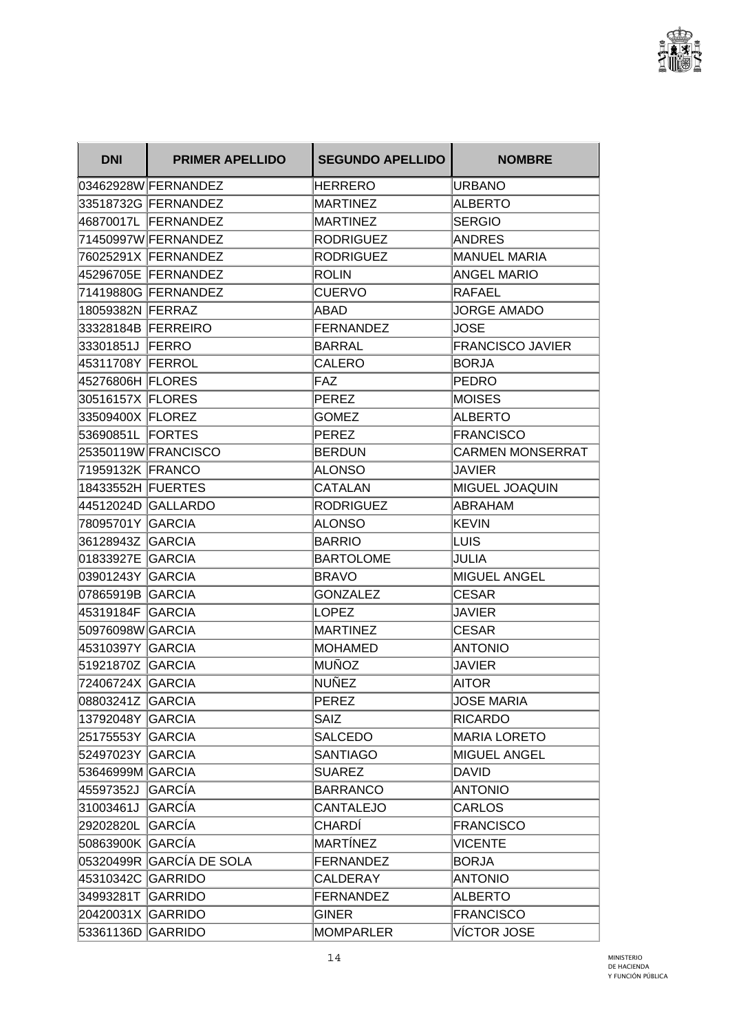

| <b>DNI</b>         | <b>PRIMER APELLIDO</b>   | <b>SEGUNDO APELLIDO</b> | <b>NOMBRE</b>           |
|--------------------|--------------------------|-------------------------|-------------------------|
|                    | 03462928W FERNANDEZ      | <b>HERRERO</b>          | <b>URBANO</b>           |
|                    | 33518732G FERNANDEZ      | MARTINEZ                | <b>ALBERTO</b>          |
|                    | 46870017L FERNANDEZ      | MARTINEZ                | <b>SERGIO</b>           |
|                    | 71450997W FERNANDEZ      | <b>RODRIGUEZ</b>        | <b>ANDRES</b>           |
|                    | 76025291X FERNANDEZ      | RODRIGUEZ               | <b>MANUEL MARIA</b>     |
|                    | 45296705E FERNANDEZ      | ROLIN                   | <b>ANGEL MARIO</b>      |
|                    | 71419880G FERNANDEZ      | <b>CUERVO</b>           | <b>RAFAEL</b>           |
| 18059382N FERRAZ   |                          | ABAD                    | <b>JORGE AMADO</b>      |
| 33328184B FERREIRO |                          | FERNANDEZ               | <b>JOSE</b>             |
| 33301851J FERRO    |                          | BARRAL                  | <b>FRANCISCO JAVIER</b> |
| 45311708Y FERROL   |                          | <b>CALERO</b>           | <b>BORJA</b>            |
| 45276806H FLORES   |                          | FAZ                     | <b>PEDRO</b>            |
| 30516157X FLORES   |                          | PEREZ                   | <b>MOISES</b>           |
| 33509400X FLOREZ   |                          | <b>GOMEZ</b>            | <b>ALBERTO</b>          |
| 53690851L FORTES   |                          | PEREZ                   | <b>FRANCISCO</b>        |
|                    | 25350119W FRANCISCO      | BERDUN                  | <b>CARMEN MONSERRAT</b> |
| 71959132K FRANCO   |                          | <b>ALONSO</b>           | JAVIER                  |
| 18433552H FUERTES  |                          | CATALAN                 | MIGUEL JOAQUIN          |
|                    | 44512024D GALLARDO       | RODRIGUEZ               | <b>ABRAHAM</b>          |
| 78095701Y GARCIA   |                          | <b>ALONSO</b>           | IKEVIN                  |
| 36128943Z GARCIA   |                          | <b>BARRIO</b>           | LUIS                    |
| 01833927E GARCIA   |                          | BARTOLOME               | JULIA                   |
| 03901243Y   GARCIA |                          | BRAVO                   | <b>MIGUEL ANGEL</b>     |
| 07865919B GARCIA   |                          | <b>GONZALEZ</b>         | <b>CESAR</b>            |
| 45319184F GARCIA   |                          | LOPEZ                   | JAVIER                  |
| 50976098W GARCIA   |                          | MARTINEZ                | <b>CESAR</b>            |
| 45310397Y GARCIA   |                          | <b>MOHAMED</b>          | ANTONIO                 |
| 51921870Z GARCIA   |                          | MUÑOZ                   | <b>JAVIER</b>           |
| 72406724X GARCIA   |                          | ∣NUÑEZ                  | <b>AITOR</b>            |
| 08803241Z GARCIA   |                          | PEREZ                   | <b>JOSE MARIA</b>       |
| 13792048Y GARCIA   |                          | <b>SAIZ</b>             | <b>RICARDO</b>          |
| 25175553Y GARCIA   |                          | <b>SALCEDO</b>          | <b>MARIA LORETO</b>     |
| 52497023Y GARCIA   |                          | <b>SANTIAGO</b>         | MIGUEL ANGEL            |
| 53646999M GARCIA   |                          | <b>SUAREZ</b>           | DAVID                   |
| 45597352J GARCÍA   |                          | <b>BARRANCO</b>         | <b>ANTONIO</b>          |
| 31003461J GARCÍA   |                          | <b>CANTALEJO</b>        | <b>CARLOS</b>           |
| 29202820L GARCÍA   |                          | CHARDÍ                  | <b>FRANCISCO</b>        |
| 50863900K GARCÍA   |                          | MARTÍNEZ                | <b>VICENTE</b>          |
|                    | 05320499R GARCÍA DE SOLA | FERNANDEZ               | <b>BORJA</b>            |
| 45310342C GARRIDO  |                          | CALDERAY                | <b>ANTONIO</b>          |
| 34993281T GARRIDO  |                          | FERNANDEZ               | <b>ALBERTO</b>          |
| 20420031X GARRIDO  |                          | <b>GINER</b>            | <b>FRANCISCO</b>        |
| 53361136D GARRIDO  |                          | MOMPARLER               | VÍCTOR JOSE             |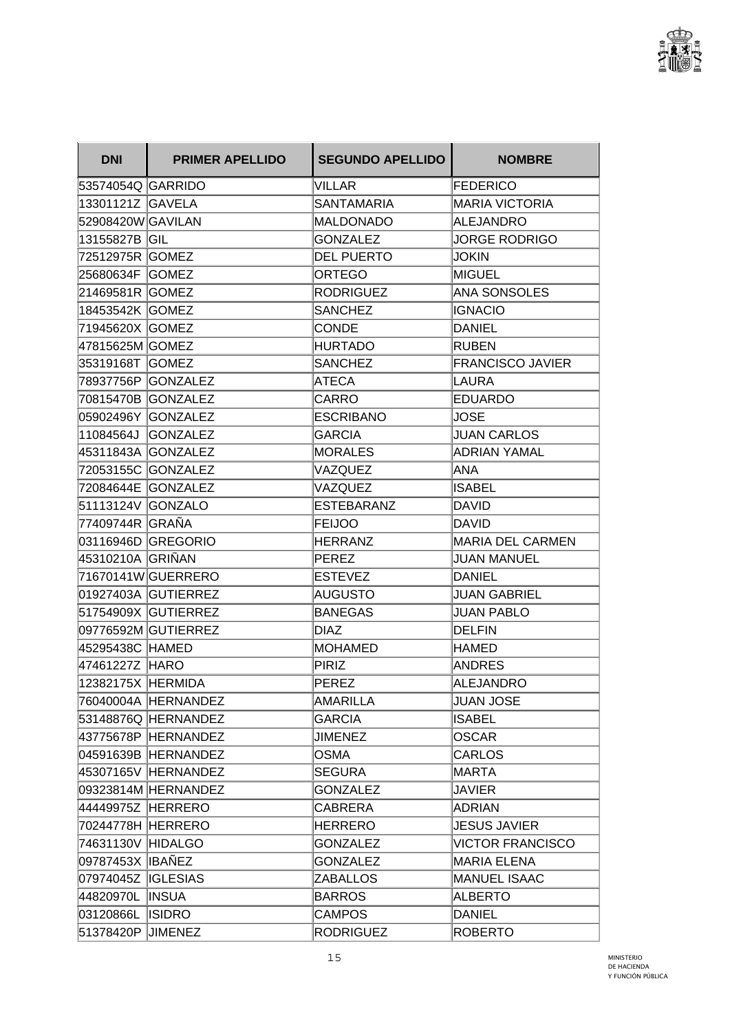

| <b>DNI</b>         | <b>PRIMER APELLIDO</b> | <b>SEGUNDO APELLIDO</b> | <b>NOMBRE</b>           |
|--------------------|------------------------|-------------------------|-------------------------|
| 53574054Q GARRIDO  |                        | VILLAR                  | <b>FEDERICO</b>         |
| 13301121Z GAVELA   |                        | <b>SANTAMARIA</b>       | <b>MARIA VICTORIA</b>   |
| 52908420W GAVILAN  |                        | <b>MALDONADO</b>        | <b>ALEJANDRO</b>        |
| 13155827B GIL      |                        | <b>GONZALEZ</b>         | <b>JORGE RODRIGO</b>    |
| 72512975R   GOMEZ  |                        | <b>DEL PUERTO</b>       | <b>JOKIN</b>            |
| 25680634F GOMEZ    |                        | ORTEGO                  | <b>MIGUEL</b>           |
| 21469581R GOMEZ    |                        | <b>RODRIGUEZ</b>        | <b>ANA SONSOLES</b>     |
| 18453542K GOMEZ    |                        | <b>SANCHEZ</b>          | <b>IGNACIO</b>          |
| 71945620X GOMEZ    |                        | <b>CONDE</b>            | <b>DANIEL</b>           |
| 47815625M GOMEZ    |                        | <b>HURTADO</b>          | <b>RUBEN</b>            |
| 35319168T GOMEZ    |                        | <b>SANCHEZ</b>          | <b>FRANCISCO JAVIER</b> |
|                    | 78937756P   GONZALEZ   | <b>ATECA</b>            | LAURA                   |
|                    | 70815470B GONZALEZ     | CARRO                   | <b>EDUARDO</b>          |
|                    | 05902496Y GONZALEZ     | <b>ESCRIBANO</b>        | <b>JOSE</b>             |
| 11084564J          | <b>GONZALEZ</b>        | <b>GARCIA</b>           | <b>JUAN CARLOS</b>      |
|                    | 45311843A GONZALEZ     | <b>MORALES</b>          | <b>ADRIAN YAMAL</b>     |
|                    | 72053155C GONZALEZ     | VAZQUEZ                 | ANA                     |
|                    | 72084644E GONZALEZ     | VAZQUEZ                 | <b>ISABEL</b>           |
| 51113124V GONZALO  |                        | <b>ESTEBARANZ</b>       | DAVID                   |
| ∣77409744R ∣GRAÑA  |                        | <b>FEIJOO</b>           | <b>DAVID</b>            |
|                    | 03116946D GREGORIO     | <b>HERRANZ</b>          | <b>MARIA DEL CARMEN</b> |
| 45310210A  GRIÑAN  |                        | PEREZ                   | <b>JUAN MANUEL</b>      |
|                    | 71670141W GUERRERO     | <b>ESTEVEZ</b>          | <b>DANIEL</b>           |
|                    | 01927403A GUTIERREZ    | AUGUSTO                 | <b>JUAN GABRIEL</b>     |
|                    | 51754909X GUTIERREZ    | <b>BANEGAS</b>          | JUAN PABLO              |
|                    | 09776592M GUTIERREZ    | <b>DIAZ</b>             | <b>DELFIN</b>           |
| 45295438C HAMED    |                        | MOHAMED                 | <b>HAMED</b>            |
| 47461227Z HARO     |                        | PIRIZ                   | <b>ANDRES</b>           |
| 12382175X HERMIDA  |                        | PEREZ                   | <b>ALEJANDRO</b>        |
|                    | 76040004A HERNANDEZ    | <b>AMARILLA</b>         | <b>JUAN JOSE</b>        |
|                    | 53148876Q HERNANDEZ    | <b>GARCIA</b>           | <b>ISABEL</b>           |
|                    | 43775678P HERNANDEZ    | <b>JIMENEZ</b>          | <b>OSCAR</b>            |
|                    | 04591639B HERNANDEZ    | <b>OSMA</b>             | <b>CARLOS</b>           |
|                    | 45307165V HERNANDEZ    | <b>SEGURA</b>           | MARTA                   |
|                    | 09323814M HERNANDEZ    | GONZALEZ                | JAVIER                  |
| 44449975Z HERRERO  |                        | <b>CABRERA</b>          | <b>ADRIAN</b>           |
| 70244778H HERRERO  |                        | <b>HERRERO</b>          | <b>JESUS JAVIER</b>     |
| 74631130V HIDALGO  |                        | <b>GONZALEZ</b>         | <b>VICTOR FRANCISCO</b> |
| 09787453X IBAÑEZ   |                        | <b>GONZALEZ</b>         | <b>MARIA ELENA</b>      |
| 07974045Z IGLESIAS |                        | <b>ZABALLOS</b>         | MANUEL ISAAC            |
| 44820970L INSUA    |                        | <b>BARROS</b>           | <b>ALBERTO</b>          |
| 03120866L ISIDRO   |                        | <b>CAMPOS</b>           | <b>DANIEL</b>           |
| 51378420P JIMENEZ  |                        | <b>RODRIGUEZ</b>        | <b>ROBERTO</b>          |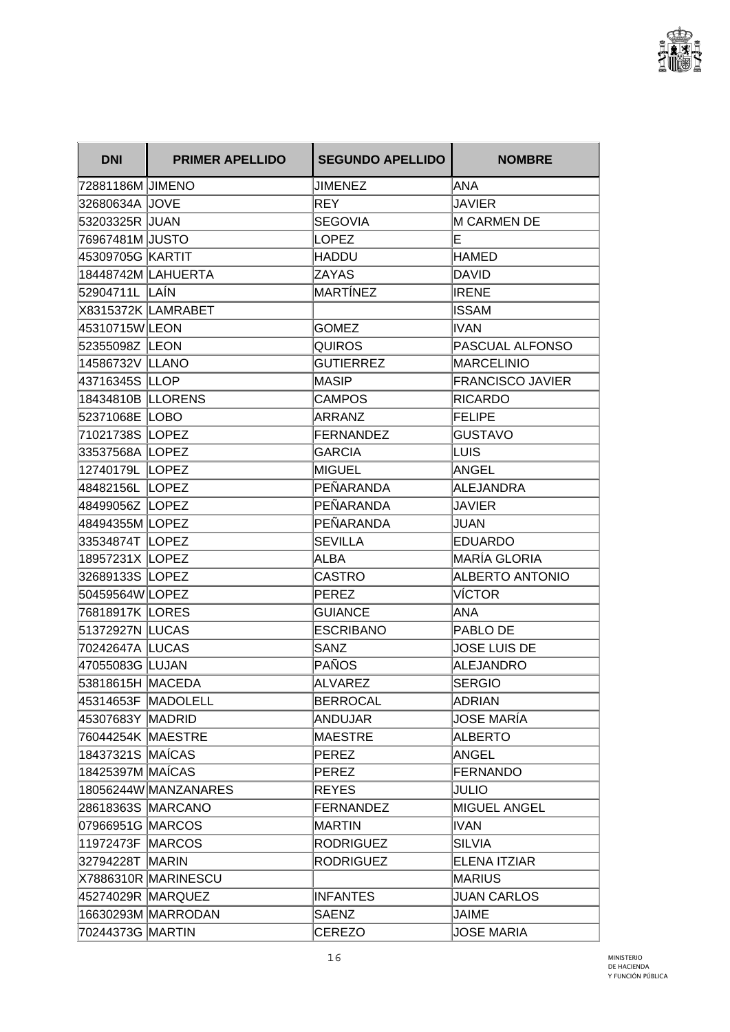

| <b>DNI</b>        | <b>PRIMER APELLIDO</b> | <b>SEGUNDO APELLIDO</b> | <b>NOMBRE</b>           |
|-------------------|------------------------|-------------------------|-------------------------|
| 72881186M JIMENO  |                        | JIMENEZ                 | ANA                     |
| 32680634A JOVE    |                        | <b>REY</b>              | <b>JAVIER</b>           |
| 53203325R JUAN    |                        | <b>SEGOVIA</b>          | <b>M CARMEN DE</b>      |
| 76967481M JUSTO   |                        | <b>LOPEZ</b>            | E                       |
| 45309705G KARTIT  |                        | HADDU                   | HAMED                   |
|                   | 18448742M LAHUERTA     | ZAYAS                   | <b>DAVID</b>            |
| 52904711L LAÍN    |                        | MARTÍNEZ                | <b>IRENE</b>            |
|                   | X8315372K LAMRABET     |                         | <b>ISSAM</b>            |
| 45310715WLEON     |                        | <b>GOMEZ</b>            | <b>IVAN</b>             |
| 52355098Z LEON    |                        | <b>QUIROS</b>           | PASCUAL ALFONSO         |
| 14586732V LLANO   |                        | <b>GUTIERREZ</b>        | <b>MARCELINIO</b>       |
| 43716345S LLOP    |                        | MASIP                   | <b>FRANCISCO JAVIER</b> |
| 18434810B LLORENS |                        | <b>CAMPOS</b>           | <b>RICARDO</b>          |
| 52371068E LOBO    |                        | ARRANZ                  | <b>FELIPE</b>           |
| 71021738S LOPEZ   |                        | <b>FERNANDEZ</b>        | <b>GUSTAVO</b>          |
| 33537568A LOPEZ   |                        | <b>GARCIA</b>           | LUIS                    |
| 12740179L LOPEZ   |                        | <b>MIGUEL</b>           | ANGEL                   |
| 48482156L LOPEZ   |                        | PEÑARANDA               | <b>ALEJANDRA</b>        |
| 48499056Z LOPEZ   |                        | PEÑARANDA               | <b>JAVIER</b>           |
| 48494355M LOPEZ   |                        | PEÑARANDA               | JUAN                    |
| 33534874T LOPEZ   |                        | <b>SEVILLA</b>          | <b>EDUARDO</b>          |
| 18957231X LOPEZ   |                        | ALBA                    | <b>MARÍA GLORIA</b>     |
| 32689133S LOPEZ   |                        | <b>CASTRO</b>           | <b>ALBERTO ANTONIO</b>  |
| 50459564W LOPEZ   |                        | PEREZ                   | <b>VÍCTOR</b>           |
| 76818917K LORES   |                        | <b>GUIANCE</b>          | ANA                     |
| 51372927N LUCAS   |                        | <b>ESCRIBANO</b>        | PABLO DE                |
| 70242647A LUCAS   |                        | <b>SANZ</b>             | <b>JOSE LUIS DE</b>     |
| 47055083G LUJAN   |                        | PAÑOS                   | <b>ALEJANDRO</b>        |
| 53818615H MACEDA  |                        | <b>ALVAREZ</b>          | <b>SERGIO</b>           |
|                   | 45314653F MADOLELL     | <b>BERROCAL</b>         | <b>ADRIAN</b>           |
| 45307683Y MADRID  |                        | <b>ANDUJAR</b>          | <b>JOSE MARÍA</b>       |
| 76044254K MAESTRE |                        | <b>MAESTRE</b>          | <b>ALBERTO</b>          |
| 18437321S MAÍCAS  |                        | <b>PEREZ</b>            | <b>ANGEL</b>            |
| 18425397M MAÍCAS  |                        | PEREZ                   | <b>FERNANDO</b>         |
|                   | 18056244W MANZANARES   | <b>REYES</b>            | <b>JULIO</b>            |
| 28618363S MARCANO |                        | <b>FERNANDEZ</b>        | <b>MIGUEL ANGEL</b>     |
| 07966951G MARCOS  |                        | <b>MARTIN</b>           | <b>IVAN</b>             |
| 11972473F MARCOS  |                        | <b>RODRIGUEZ</b>        | <b>SILVIA</b>           |
| 32794228T MARIN   |                        | <b>RODRIGUEZ</b>        | <b>ELENA ITZIAR</b>     |
|                   | X7886310R MARINESCU    |                         | MARIUS                  |
| 45274029R MARQUEZ |                        | <b>INFANTES</b>         | <b>JUAN CARLOS</b>      |
|                   | 16630293M MARRODAN     | <b>SAENZ</b>            | <b>JAIME</b>            |
| 70244373G MARTIN  |                        | CEREZO                  | <b>JOSE MARIA</b>       |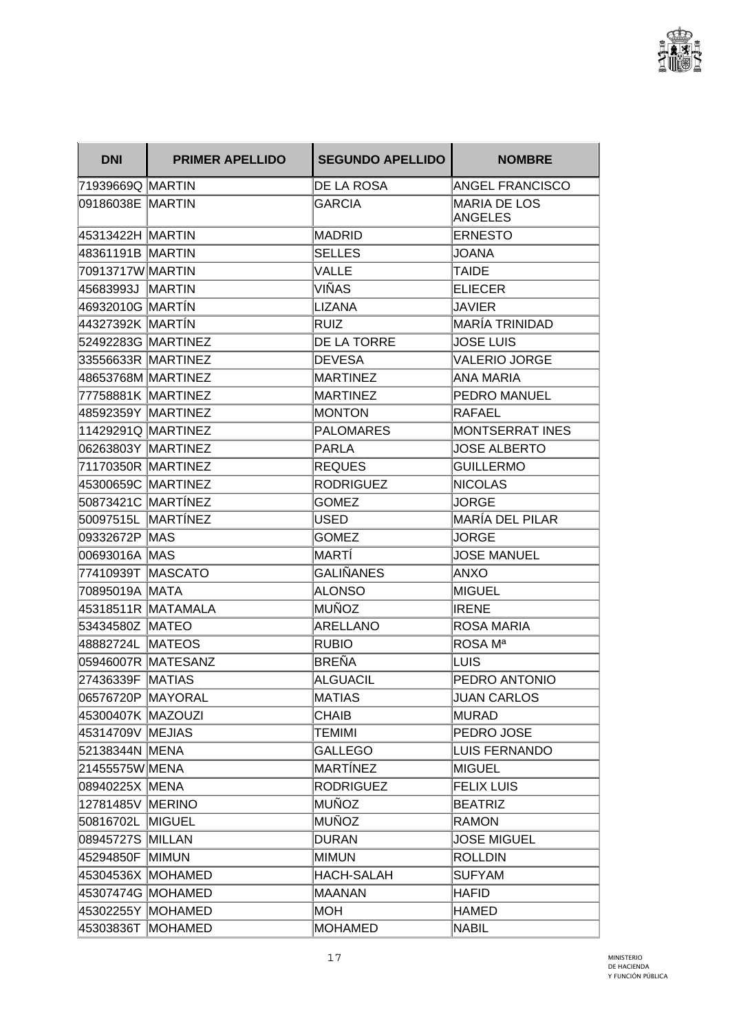

| <b>DNI</b>         | <b>PRIMER APELLIDO</b> | <b>SEGUNDO APELLIDO</b> | <b>NOMBRE</b>                         |
|--------------------|------------------------|-------------------------|---------------------------------------|
| 71939669Q MARTIN   |                        | <b>DE LA ROSA</b>       | <b>ANGEL FRANCISCO</b>                |
| 09186038E MARTIN   |                        | <b>GARCIA</b>           | <b>MARIA DE LOS</b><br><b>ANGELES</b> |
| 45313422H MARTIN   |                        | MADRID                  | <b>ERNESTO</b>                        |
| 48361191B MARTIN   |                        | <b>SELLES</b>           | JOANA                                 |
| 70913717W MARTIN   |                        | <b>VALLE</b>            | TAIDE                                 |
| 45683993J   MARTIN |                        | VIÑAS                   | <b>ELIECER</b>                        |
| 46932010G MARTÍN   |                        | <b>LIZANA</b>           | <b>JAVIER</b>                         |
| 44327392K MARTÍN   |                        | RUIZ                    | MARÍA TRINIDAD                        |
| 52492283G MARTINEZ |                        | <b>DE LA TORRE</b>      | <b>JOSE LUIS</b>                      |
| 33556633R MARTINEZ |                        | <b>DEVESA</b>           | VALERIO JORGE                         |
| 48653768M MARTINEZ |                        | MARTINEZ                | ANA MARIA                             |
| 77758881K MARTINEZ |                        | <b>MARTINEZ</b>         | PEDRO MANUEL                          |
| 48592359Y MARTINEZ |                        | <b>MONTON</b>           | <b>RAFAEL</b>                         |
| 11429291Q MARTINEZ |                        | <b>PALOMARES</b>        | MONTSERRAT INES                       |
| 06263803Y MARTINEZ |                        | PARLA                   | <b>JOSE ALBERTO</b>                   |
| 71170350R MARTINEZ |                        | <b>REQUES</b>           | <b>GUILLERMO</b>                      |
| 45300659C MARTINEZ |                        | <b>RODRIGUEZ</b>        | <b>NICOLAS</b>                        |
| 50873421C MARTÍNEZ |                        | <b>GOMEZ</b>            | <b>JORGE</b>                          |
| 50097515L MARTÍNEZ |                        | <b>USED</b>             | MARÍA DEL PILAR                       |
| 09332672P MAS      |                        | <b>GOMEZ</b>            | JORGE                                 |
| 00693016A MAS      |                        | MARTI                   | <b>JOSE MANUEL</b>                    |
| 77410939T MASCATO  |                        | GALIÑANES               | ANXO                                  |
| 70895019A  MATA    |                        | ALONSO                  | MIGUEL                                |
|                    | 45318511R MATAMALA     | MUÑOZ                   | <b>IRENE</b>                          |
| 53434580Z MATEO    |                        | <b>ARELLANO</b>         | <b>ROSA MARIA</b>                     |
| 48882724L MATEOS   |                        | <b>RUBIO</b>            | ROSA Mª                               |
|                    | 05946007R MATESANZ     | BREÑA                   | LUIS                                  |
| 27436339F   MATIAS |                        | ALGUACIL                | PEDRO ANTONIO                         |
| 06576720P MAYORAL  |                        | MATIAS                  | <b>JUAN CARLOS</b>                    |
| 45300407K MAZOUZI  |                        | <b>CHAIB</b>            | MURAD                                 |
| 45314709V MEJIAS   |                        | <b>TEMIMI</b>           | PEDRO JOSE                            |
| 52138344N MENA     |                        | <b>GALLEGO</b>          | LUIS FERNANDO                         |
| 21455575W MENA     |                        | MARTÍNEZ                | MIGUEL                                |
| 08940225X MENA     |                        | <b>RODRIGUEZ</b>        | <b>FELIX LUIS</b>                     |
| 12781485V MERINO   |                        | MUÑOZ                   | <b>BEATRIZ</b>                        |
| 50816702L MIGUEL   |                        | MUÑOZ                   | <b>RAMON</b>                          |
| 08945727S MILLAN   |                        | <b>DURAN</b>            | <b>JOSE MIGUEL</b>                    |
| 45294850F MIMUN    |                        | MIMUN                   | <b>ROLLDIN</b>                        |
|                    | 45304536X MOHAMED      | HACH-SALAH              | <b>SUFYAM</b>                         |
|                    | 45307474G MOHAMED      | MAANAN                  | HAFID                                 |
| 45302255Y MOHAMED  |                        | MOH                     | <b>HAMED</b>                          |
|                    | 45303836T MOHAMED      | <b>MOHAMED</b>          | <b>NABIL</b>                          |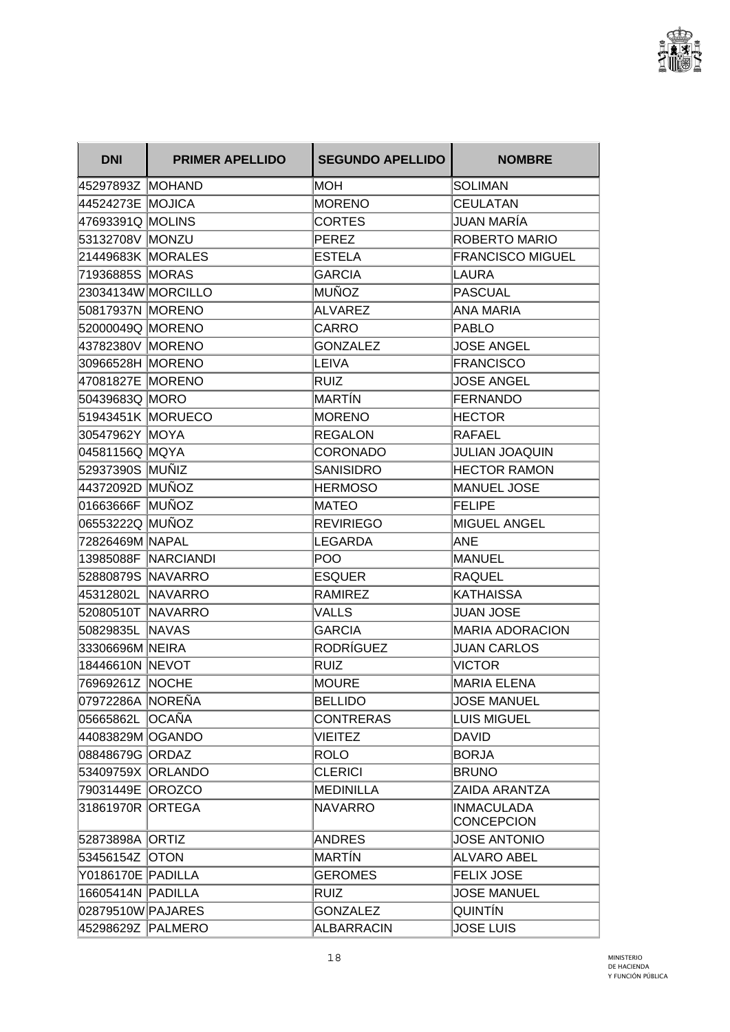

| <b>DNI</b>         | <b>PRIMER APELLIDO</b> | <b>SEGUNDO APELLIDO</b> | <b>NOMBRE</b>                          |
|--------------------|------------------------|-------------------------|----------------------------------------|
| 45297893Z  MOHAND  |                        | MOH                     | <b>SOLIMAN</b>                         |
| 44524273E MOJICA   |                        | <b>MORENO</b>           | <b>CEULATAN</b>                        |
| 47693391Q MOLINS   |                        | <b>CORTES</b>           | JUAN MARÍA                             |
| 53132708V MONZU    |                        | PEREZ                   | <b>ROBERTO MARIO</b>                   |
| 21449683K MORALES  |                        | <b>ESTELA</b>           | <b>FRANCISCO MIGUEL</b>                |
| 71936885S MORAS    |                        | <b>GARCIA</b>           | LAURA                                  |
| 23034134W MORCILLO |                        | MUÑOZ                   | PASCUAL                                |
| 50817937N MORENO   |                        | <b>ALVAREZ</b>          | <b>ANA MARIA</b>                       |
| 52000049Q MORENO   |                        | <b>CARRO</b>            | PABLO                                  |
| 43782380V MORENO   |                        | <b>GONZALEZ</b>         | JOSE ANGEL                             |
| 30966528H MORENO   |                        | LEIVA                   | FRANCISCO                              |
| 47081827E MORENO   |                        | RUIZ                    | <b>JOSE ANGEL</b>                      |
| 50439683Q MORO     |                        | MARTÍN                  | <b>FERNANDO</b>                        |
| 51943451K MORUECO  |                        | <b>MORENO</b>           | <b>HECTOR</b>                          |
| 30547962Y MOYA     |                        | <b>REGALON</b>          | RAFAEL                                 |
| 04581156Q MQYA     |                        | <b>CORONADO</b>         | <b>JULIAN JOAQUIN</b>                  |
| 52937390S MUÑIZ    |                        | <b>SANISIDRO</b>        | <b>HECTOR RAMON</b>                    |
| 44372092D MUÑOZ    |                        | <b>HERMOSO</b>          | <b>MANUEL JOSE</b>                     |
| 01663666F MUÑOZ    |                        | MATEO                   | <b>FELIPE</b>                          |
| 06553222Q MUÑOZ    |                        | <b>REVIRIEGO</b>        | <b>MIGUEL ANGEL</b>                    |
| 72826469M NAPAL    |                        | LEGARDA                 | ANE                                    |
|                    | 13985088F NARCIANDI    | POO                     | MANUEL                                 |
| 52880879S NAVARRO  |                        | <b>ESQUER</b>           | <b>RAQUEL</b>                          |
| 45312802L NAVARRO  |                        | RAMIREZ                 | IKATHAISSA                             |
| 52080510T NAVARRO  |                        | VALLS                   | <b>JUAN JOSE</b>                       |
| 50829835L NAVAS    |                        | <b>GARCIA</b>           | <b>MARIA ADORACION</b>                 |
| 33306696M NEIRA    |                        | RODRÍGUEZ               | <b>JUAN CARLOS</b>                     |
| 18446610N NEVOT    |                        | RUIZ                    | <b>VICTOR</b>                          |
| 76969261Z NOCHE    |                        | IMOURE                  | MARIA ELENA                            |
| 07972286A NOREÑA   |                        | <b>BELLIDO</b>          | <b>JOSE MANUEL</b>                     |
| 05665862L OCAÑA    |                        | <b>CONTRERAS</b>        | LUIS MIGUEL                            |
| 44083829M OGANDO   |                        | <b>VIEITEZ</b>          | <b>DAVID</b>                           |
| 08848679G ORDAZ    |                        | <b>ROLO</b>             | <b>BORJA</b>                           |
| 53409759X ORLANDO  |                        | <b>CLERICI</b>          | <b>BRUNO</b>                           |
| 79031449E OROZCO   |                        | MEDINILLA               | ZAIDA ARANTZA                          |
| 31861970R ORTEGA   |                        | NAVARRO                 | <b>INMACULADA</b><br><b>CONCEPCION</b> |
| 52873898A ORTIZ    |                        | <b>ANDRES</b>           | <b>JOSE ANTONIO</b>                    |
| 53456154Z OTON     |                        | MARTÍN                  | <b>ALVARO ABEL</b>                     |
| Y0186170E PADILLA  |                        | <b>GEROMES</b>          | <b>FELIX JOSE</b>                      |
| 16605414N PADILLA  |                        | <b>RUIZ</b>             | <b>JOSE MANUEL</b>                     |
| 02879510W PAJARES  |                        | <b>GONZALEZ</b>         | <b>QUINTÍN</b>                         |
| 45298629Z PALMERO  |                        | <b>ALBARRACIN</b>       | <b>JOSE LUIS</b>                       |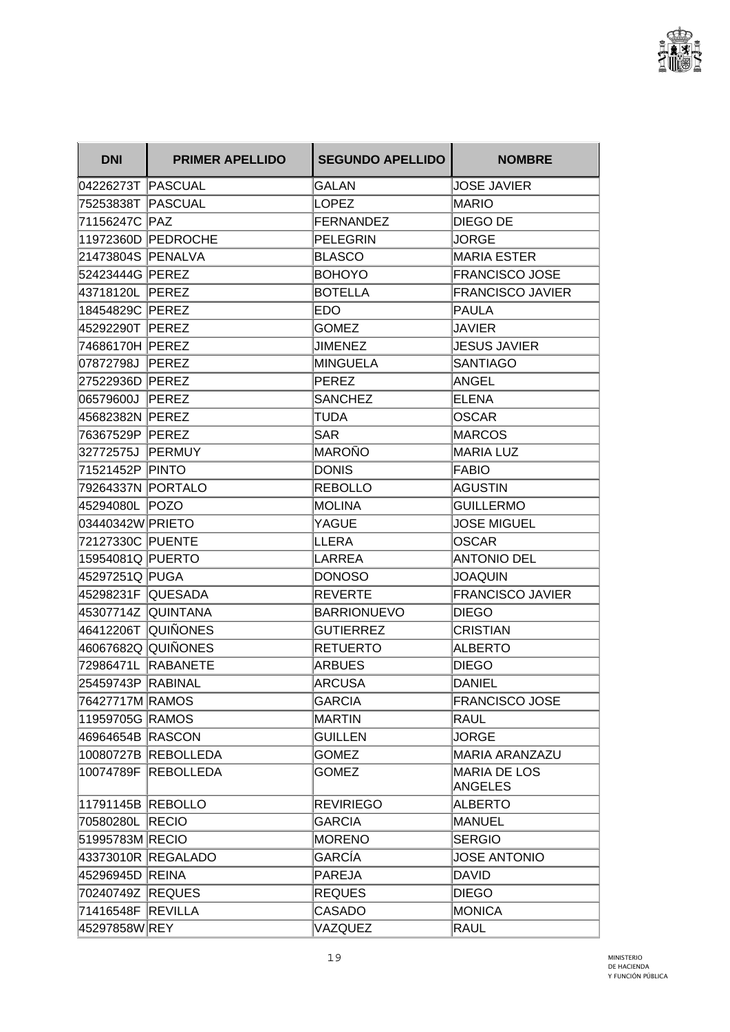

| <b>DNI</b>          | <b>PRIMER APELLIDO</b> | <b>SEGUNDO APELLIDO</b> | <b>NOMBRE</b>                  |
|---------------------|------------------------|-------------------------|--------------------------------|
| 04226273T PASCUAL   |                        | GALAN                   | <b>JOSE JAVIER</b>             |
| 75253838T PASCUAL   |                        | <b>LOPEZ</b>            | <b>MARIO</b>                   |
| 71156247C PAZ       |                        | FERNANDEZ               | DIEGO DE                       |
|                     | 11972360D PEDROCHE     | PELEGRIN                | <b>JORGE</b>                   |
| 21473804S PENALVA   |                        | <b>BLASCO</b>           | <b>MARIA ESTER</b>             |
| 52423444G PEREZ     |                        | <b>BOHOYO</b>           | <b>FRANCISCO JOSE</b>          |
| 43718120L PEREZ     |                        | <b>BOTELLA</b>          | <b>FRANCISCO JAVIER</b>        |
| 18454829C PEREZ     |                        | EDO                     | <b>PAULA</b>                   |
| 45292290T PEREZ     |                        | <b>GOMEZ</b>            | JAVIER                         |
| 74686170H PEREZ     |                        | <b>JIMENEZ</b>          | <b>JESUS JAVIER</b>            |
| 07872798J PEREZ     |                        | MINGUELA                | <b>SANTIAGO</b>                |
| 27522936D PEREZ     |                        | PEREZ                   | <b>ANGEL</b>                   |
| 06579600J PEREZ     |                        | <b>SANCHEZ</b>          | ELENA                          |
| 45682382N PEREZ     |                        | <b>TUDA</b>             | <b>OSCAR</b>                   |
| 76367529P PEREZ     |                        | <b>SAR</b>              | <b>MARCOS</b>                  |
| 32772575J PERMUY    |                        | MAROÑO                  | <b>MARIA LUZ</b>               |
| 71521452P PINTO     |                        | <b>DONIS</b>            | <b>FABIO</b>                   |
| 79264337N PORTALO   |                        | <b>REBOLLO</b>          | AGUSTIN                        |
| 45294080L POZO      |                        | MOLINA                  | <b>GUILLERMO</b>               |
| 03440342W PRIETO    |                        | YAGUE                   | <b>JOSE MIGUEL</b>             |
| 72127330C PUENTE    |                        | LLERA                   | <b>OSCAR</b>                   |
| 15954081Q PUERTO    |                        | LARREA                  | <b>ANTONIO DEL</b>             |
| 45297251Q PUGA      |                        | DONOSO                  | <b>JOAQUIN</b>                 |
| 45298231F QUESADA   |                        | REVERTE                 | <b>FRANCISCO JAVIER</b>        |
| 45307714Z  QUINTANA |                        | <b>BARRIONUEVO</b>      | <b>DIEGO</b>                   |
| 46412206T QUIÑONES  |                        | <b>GUTIERREZ</b>        | <b>CRISTIAN</b>                |
| 46067682Q QUIÑONES  |                        | RETUERTO                | <b>ALBERTO</b>                 |
| 72986471L RABANETE  |                        | ARBUES                  | <b>DIEGO</b>                   |
| 25459743P RABINAL   |                        | ARCUSA                  | <b>DANIEL</b>                  |
| 76427717M RAMOS     |                        | <b>GARCIA</b>           | <b>FRANCISCO JOSE</b>          |
| 11959705G RAMOS     |                        | MARTIN                  | <b>RAUL</b>                    |
| 46964654B RASCON    |                        | <b>GUILLEN</b>          | JORGE                          |
|                     | 10080727B REBOLLEDA    | <b>GOMEZ</b>            | <b>MARIA ARANZAZU</b>          |
|                     | 10074789F REBOLLEDA    | <b>GOMEZ</b>            | <b>MARIA DE LOS</b><br>ANGELES |
| 11791145B REBOLLO   |                        | <b>REVIRIEGO</b>        | <b>ALBERTO</b>                 |
| 70580280L RECIO     |                        | <b>GARCIA</b>           | MANUEL                         |
| 51995783M RECIO     |                        | <b>MORENO</b>           | <b>SERGIO</b>                  |
|                     | 43373010R REGALADO     | GARCÍA                  | <b>JOSE ANTONIO</b>            |
| 45296945D REINA     |                        | PAREJA                  | DAVID                          |
| 70240749Z REQUES    |                        | <b>REQUES</b>           | <b>DIEGO</b>                   |
| 71416548F REVILLA   |                        | <b>CASADO</b>           | <b>MONICA</b>                  |
| 45297858W REY       |                        | VAZQUEZ                 | RAUL                           |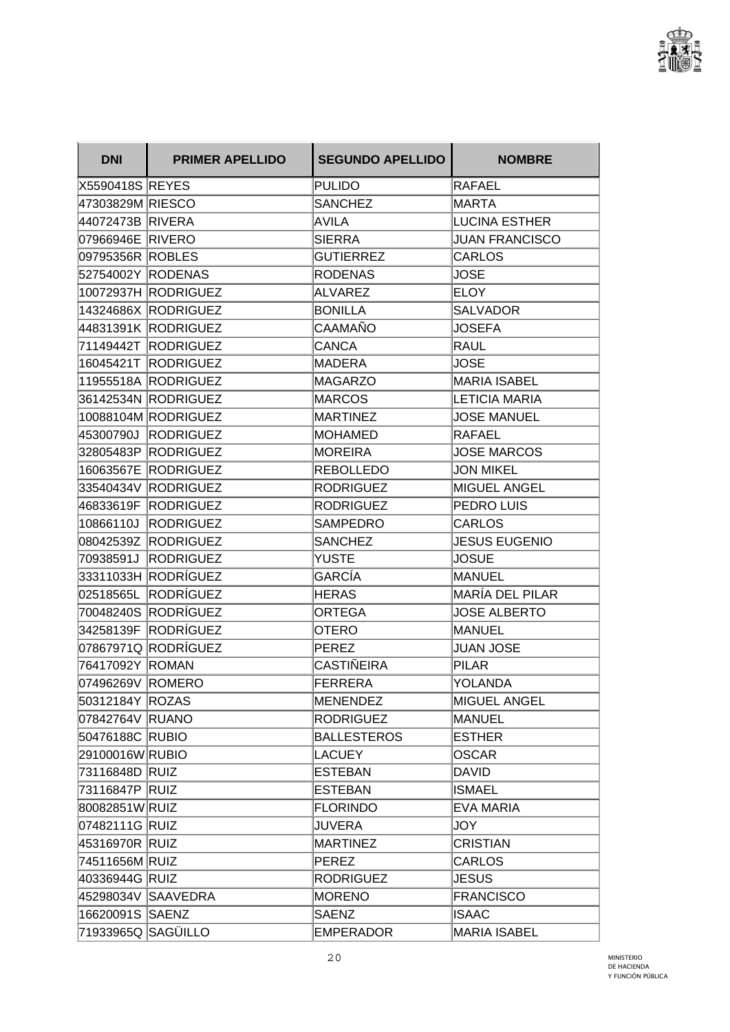

| <b>DNI</b>         | <b>PRIMER APELLIDO</b> | <b>SEGUNDO APELLIDO</b> | <b>NOMBRE</b>          |
|--------------------|------------------------|-------------------------|------------------------|
| X5590418S REYES    |                        | <b>PULIDO</b>           | <b>RAFAEL</b>          |
| 47303829M RIESCO   |                        | <b>SANCHEZ</b>          | <b>MARTA</b>           |
| 44072473B RIVERA   |                        | <b>AVILA</b>            | <b>LUCINA ESTHER</b>   |
| 07966946E RIVERO   |                        | <b>SIERRA</b>           | <b>JUAN FRANCISCO</b>  |
| 09795356R ROBLES   |                        | <b>GUTIERREZ</b>        | <b>CARLOS</b>          |
| 52754002Y RODENAS  |                        | <b>RODENAS</b>          | <b>JOSE</b>            |
|                    | 10072937H RODRIGUEZ    | <b>ALVAREZ</b>          | <b>ELOY</b>            |
|                    | 14324686X RODRIGUEZ    | <b>BONILLA</b>          | <b>SALVADOR</b>        |
|                    | 44831391K RODRIGUEZ    | CAAMAÑO                 | <b>JOSEFA</b>          |
|                    | 71149442T RODRIGUEZ    | <b>CANCA</b>            | RAUL                   |
|                    | 16045421T RODRIGUEZ    | MADERA                  | <b>JOSE</b>            |
|                    | 11955518A RODRIGUEZ    | MAGARZO                 | <b>MARIA ISABEL</b>    |
|                    | 36142534N RODRIGUEZ    | MARCOS                  | <b>LETICIA MARIA</b>   |
|                    | 10088104M RODRIGUEZ    | MARTINEZ                | <b>JOSE MANUEL</b>     |
|                    | 45300790J RODRIGUEZ    | <b>MOHAMED</b>          | <b>RAFAEL</b>          |
|                    | 32805483P RODRIGUEZ    | MOREIRA                 | <b>JOSE MARCOS</b>     |
|                    | 16063567E RODRIGUEZ    | <b>REBOLLEDO</b>        | <b>JON MIKEL</b>       |
|                    | 33540434V RODRIGUEZ    | <b>RODRIGUEZ</b>        | <b>MIGUEL ANGEL</b>    |
|                    | 46833619F RODRIGUEZ    | RODRIGUEZ               | PEDRO LUIS             |
| 10866110J          | <b>RODRIGUEZ</b>       | <b>SAMPEDRO</b>         | <b>CARLOS</b>          |
|                    | 08042539Z RODRIGUEZ    | <b>SANCHEZ</b>          | <b>JESUS EUGENIO</b>   |
|                    | 70938591J RODRIGUEZ    | YUSTE                   | <b>JOSUE</b>           |
|                    | 33311033H RODRÍGUEZ    | GARCÍA                  | <b>MANUEL</b>          |
|                    | 02518565L RODRÍGUEZ    | HERAS                   | <b>MARÍA DEL PILAR</b> |
|                    | 70048240S RODRÍGUEZ    | <b>ORTEGA</b>           | <b>JOSE ALBERTO</b>    |
|                    | 34258139F RODRÍGUEZ    | <b>OTERO</b>            | <b>MANUEL</b>          |
|                    | 07867971Q RODRÍGUEZ    | PEREZ                   | <b>JUAN JOSE</b>       |
| 76417092Y ROMAN    |                        | <b>CASTIÑEIRA</b>       | <b>PILAR</b>           |
| 07496269V ROMERO   |                        | FERRERA                 | YOLANDA                |
| 50312184Y ROZAS    |                        | MENENDEZ                | MIGUEL ANGEL           |
| 07842764V RUANO    |                        | RODRIGUEZ               | MANUEL                 |
| 50476188C RUBIO    |                        | <b>BALLESTEROS</b>      | <b>ESTHER</b>          |
| 29100016W RUBIO    |                        | <b>LACUEY</b>           | <b>OSCAR</b>           |
| 73116848D RUIZ     |                        | ESTEBAN                 | DAVID                  |
| 73116847P RUIZ     |                        | ESTEBAN                 | <b>ISMAEL</b>          |
| 80082851WRUIZ      |                        | <b>FLORINDO</b>         | <b>EVA MARIA</b>       |
| 07482111G RUIZ     |                        | <b>JUVERA</b>           | JOY                    |
| 45316970R RUIZ     |                        | <b>MARTINEZ</b>         | <b>CRISTIAN</b>        |
| 74511656M RUIZ     |                        | PEREZ                   | <b>CARLOS</b>          |
| 40336944G RUIZ     |                        | <b>RODRIGUEZ</b>        | JESUS                  |
|                    | 45298034V SAAVEDRA     | <b>MORENO</b>           | <b>FRANCISCO</b>       |
| 16620091S SAENZ    |                        | <b>SAENZ</b>            | <b>ISAAC</b>           |
| 71933965Q SAGÜILLO |                        | <b>EMPERADOR</b>        | <b>MARIA ISABEL</b>    |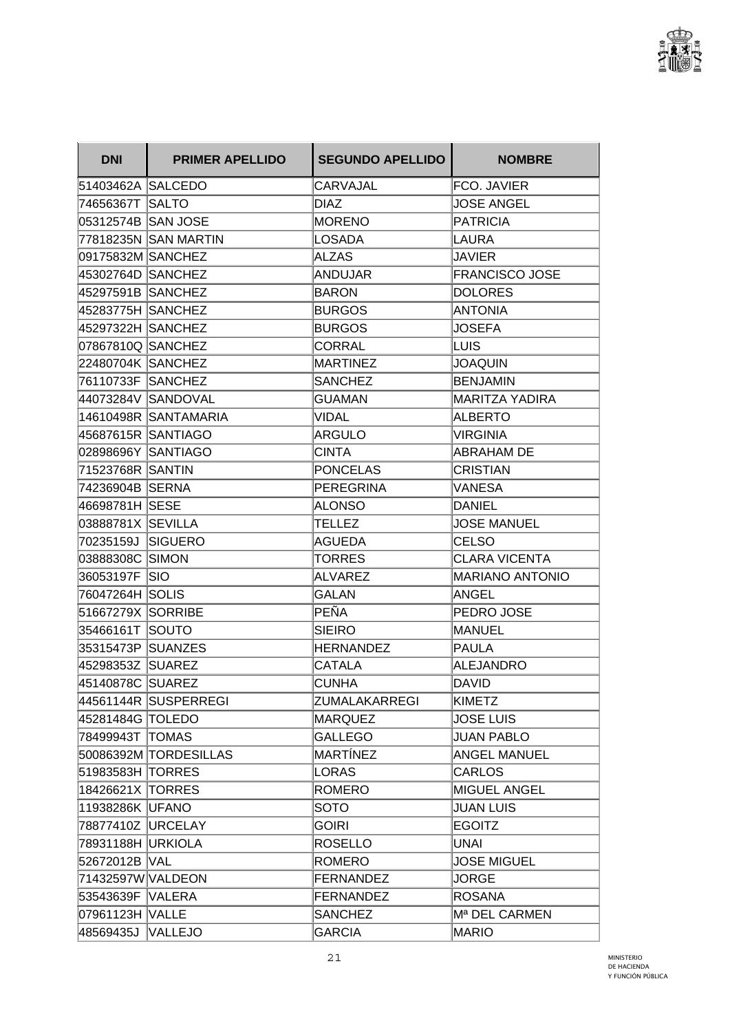

| <b>DNI</b>         | <b>PRIMER APELLIDO</b> | <b>SEGUNDO APELLIDO</b> | <b>NOMBRE</b>             |
|--------------------|------------------------|-------------------------|---------------------------|
| 51403462A SALCEDO  |                        | <b>CARVAJAL</b>         | FCO. JAVIER               |
| 74656367T SALTO    |                        | <b>DIAZ</b>             | <b>JOSE ANGEL</b>         |
|                    |                        | <b>MORENO</b>           | <b>PATRICIA</b>           |
|                    | 77818235N SAN MARTIN   | LOSADA                  | LAURA                     |
| 09175832M SANCHEZ  |                        | ALZAS                   | JAVIER                    |
| 45302764D SANCHEZ  |                        | ANDUJAR                 | <b>FRANCISCO JOSE</b>     |
| 45297591B SANCHEZ  |                        | BARON                   | <b>DOLORES</b>            |
| 45283775H SANCHEZ  |                        | <b>BURGOS</b>           | <b>ANTONIA</b>            |
| 45297322H  SANCHEZ |                        | <b>BURGOS</b>           | <b>JOSEFA</b>             |
| 07867810Q SANCHEZ  |                        | <b>CORRAL</b>           | LUIS                      |
| 22480704K SANCHEZ  |                        | <b>MARTINEZ</b>         | JOAQUIN                   |
| 76110733F SANCHEZ  |                        | <b>SANCHEZ</b>          | <b>BENJAMIN</b>           |
|                    | 44073284V  SANDOVAL    | <b>GUAMAN</b>           | MARITZA YADIRA            |
|                    | 14610498R SANTAMARIA   | <b>VIDAL</b>            | <b>ALBERTO</b>            |
| 45687615R SANTIAGO |                        | ARGULO                  | <b>VIRGINIA</b>           |
| 02898696Y SANTIAGO |                        | <b>CINTA</b>            | <b>ABRAHAM DE</b>         |
| 71523768R SANTIN   |                        | <b>PONCELAS</b>         | <b>CRISTIAN</b>           |
| 74236904B SERNA    |                        | PEREGRINA               | VANESA                    |
| 46698781H SESE     |                        | ALONSO                  | <b>DANIEL</b>             |
| 03888781X SEVILLA  |                        | TELLEZ                  | <b>JOSE MANUEL</b>        |
| 70235159J SIGUERO  |                        | AGUEDA                  | <b>CELSO</b>              |
| 03888308C SIMON    |                        | TORRES                  | <b>CLARA VICENTA</b>      |
| 36053197F SIO      |                        | <b>ALVAREZ</b>          | MARIANO ANTONIO           |
| 76047264H   SOLIS  |                        | <b>GALAN</b>            | ANGEL                     |
| 51667279X SORRIBE  |                        | PEÑA                    | PEDRO JOSE                |
| 35466161T SOUTO    |                        | <b>SIEIRO</b>           | <b>MANUEL</b>             |
| 35315473P SUANZES  |                        | HERNANDEZ               | <b>PAULA</b>              |
| 45298353Z SUAREZ   |                        | <b>CATALA</b>           | <b>ALEJANDRO</b>          |
| 45140878C SUAREZ   |                        | <b>CUNHA</b>            | DAVID                     |
|                    | 44561144R SUSPERREGI   | ZUMALAKARREGI           | <b>KIMETZ</b>             |
| 45281484G TOLEDO   |                        | MARQUEZ                 | <b>JOSE LUIS</b>          |
| 78499943T TOMAS    |                        | <b>GALLEGO</b>          | <b>JUAN PABLO</b>         |
|                    | 50086392M TORDESILLAS  | MARTÍNEZ                | <b>ANGEL MANUEL</b>       |
| 51983583H TORRES   |                        | LORAS                   | <b>CARLOS</b>             |
| 18426621X TORRES   |                        | <b>ROMERO</b>           | <b>MIGUEL ANGEL</b>       |
| 11938286K UFANO    |                        | <b>SOTO</b>             | <b>JUAN LUIS</b>          |
| 78877410Z URCELAY  |                        | <b>GOIRI</b>            | <b>EGOITZ</b>             |
| 78931188H URKIOLA  |                        | ROSELLO                 | <b>UNAI</b>               |
| 52672012B VAL      |                        | ROMERO                  | <b>JOSE MIGUEL</b>        |
| 71432597W VALDEON  |                        | FERNANDEZ               | <b>JORGE</b>              |
| 53543639F VALERA   |                        | FERNANDEZ               | <b>ROSANA</b>             |
| 07961123H VALLE    |                        | <b>SANCHEZ</b>          | M <sup>a</sup> DEL CARMEN |
| 48569435J VALLEJO  |                        | <b>GARCIA</b>           | MARIO                     |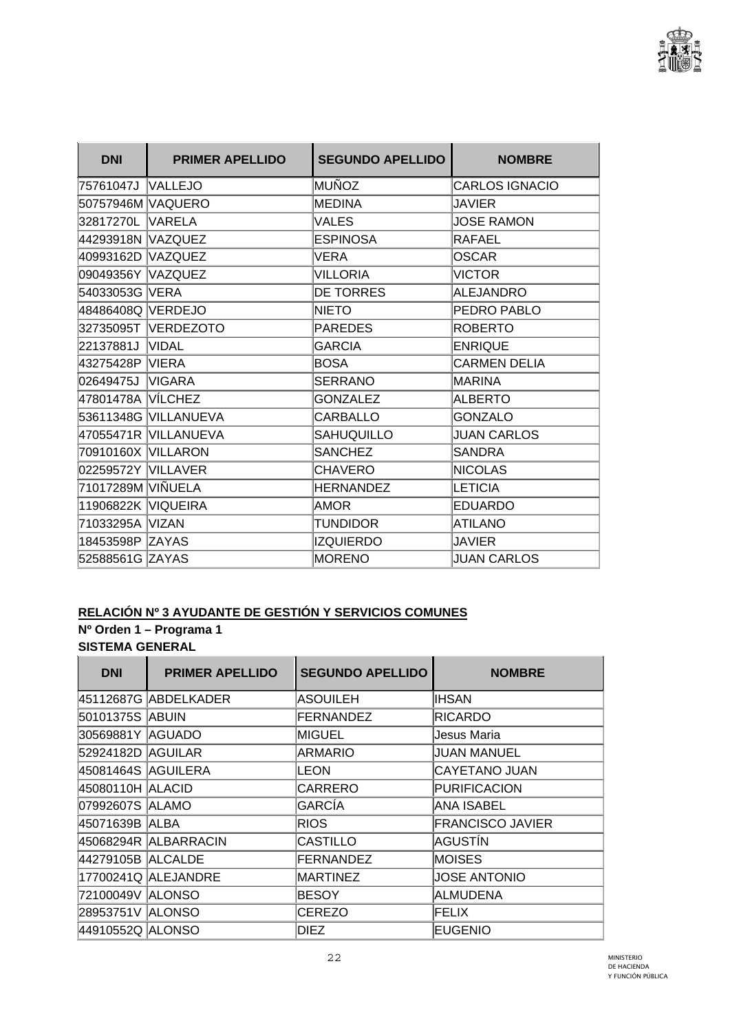

| <b>DNI</b>         | <b>PRIMER APELLIDO</b> | <b>SEGUNDO APELLIDO</b> | <b>NOMBRE</b>         |
|--------------------|------------------------|-------------------------|-----------------------|
| 75761047J VALLEJO  |                        | MUÑOZ                   | <b>CARLOS IGNACIO</b> |
| 50757946M VAQUERO  |                        | <b>MEDINA</b>           | <b>JAVIER</b>         |
| 32817270L VARELA   |                        | <b>VALES</b>            | <b>JOSE RAMON</b>     |
| 44293918N VAZQUEZ  |                        | <b>ESPINOSA</b>         | <b>RAFAEL</b>         |
| 40993162D VAZQUEZ  |                        | VERA                    | <b>OSCAR</b>          |
| 09049356Y VAZQUEZ  |                        | <b>VILLORIA</b>         | <b>VICTOR</b>         |
| 54033053G VERA     |                        | <b>DE TORRES</b>        | ALEJANDRO             |
| 48486408Q VERDEJO  |                        | NIETO                   | PEDRO PABLO           |
|                    | 32735095T VERDEZOTO    | <b>PAREDES</b>          | <b>ROBERTO</b>        |
| 22137881J VIDAL    |                        | <b>GARCIA</b>           | <b>ENRIQUE</b>        |
| 43275428P VIERA    |                        | BOSA                    | <b>CARMEN DELIA</b>   |
| 02649475J          | <b>VIGARA</b>          | <b>SERRANO</b>          | <b>MARINA</b>         |
| 47801478A VÍLCHEZ  |                        | <b>GONZALEZ</b>         | ALBERTO               |
|                    | 53611348G VILLANUEVA   | <b>CARBALLO</b>         | <b>GONZALO</b>        |
|                    | 47055471R VILLANUEVA   | SAHUQUILLO              | <b>JUAN CARLOS</b>    |
| 70910160X VILLARON |                        | <b>SANCHEZ</b>          | <b>SANDRA</b>         |
| 02259572Y VILLAVER |                        | <b>CHAVERO</b>          | <b>INICOLAS</b>       |
| 71017289M VIÑUELA  |                        | HERNANDEZ               | LETICIA               |
| 11906822K VIQUEIRA |                        | AMOR                    | <b>EDUARDO</b>        |
| 71033295A VIZAN    |                        | <b>TUNDIDOR</b>         | <b>ATILANO</b>        |
| 18453598P ZAYAS    |                        | <b>IZQUIERDO</b>        | <b>JAVIER</b>         |
| 52588561G ZAYAS    |                        | <b>MORENO</b>           | <b>JUAN CARLOS</b>    |

# **RELACIÓN Nº 3 AYUDANTE DE GESTIÓN Y SERVICIOS COMUNES**

### **Nº Orden 1 – Programa 1 SISTEMA GENERAL**

| <b>DNI</b>         | <b>PRIMER APELLIDO</b> | <b>SEGUNDO APELLIDO</b> | <b>NOMBRE</b>           |
|--------------------|------------------------|-------------------------|-------------------------|
|                    | 45112687G ABDELKADER   | <b>ASOUILEH</b>         | <b>IHSAN</b>            |
| 50101375S   ABUIN  |                        | FERNANDEZ               | <b>RICARDO</b>          |
| 30569881Y AGUADO   |                        | <b>MIGUEL</b>           | Jesus Maria             |
| 52924182D AGUILAR  |                        | <b>ARMARIO</b>          | <b>JUAN MANUEL</b>      |
| 45081464S AGUILERA |                        | LEON                    | CAYETANO JUAN           |
| 45080110H ALACID   |                        | <b>CARRERO</b>          | <b>PURIFICACION</b>     |
| 07992607S ALAMO    |                        | <b>GARCÍA</b>           | ANA ISABEL              |
| 45071639B  ALBA    |                        | <b>RIOS</b>             | <b>FRANCISCO JAVIER</b> |
|                    | 45068294R ALBARRACIN   | <b>CASTILLO</b>         | AGUSTÍN                 |
| 44279105B ALCALDE  |                        | <b>FERNANDEZ</b>        | <b>MOISES</b>           |
|                    | 17700241Q ALEJANDRE    | <b>MARTINEZ</b>         | <b>JOSE ANTONIO</b>     |
| 72100049V ALONSO   |                        | <b>BESOY</b>            | <b>ALMUDENA</b>         |
| 28953751V ALONSO   |                        | CEREZO                  | FELIX                   |
| 44910552Q ALONSO   |                        | DIEZ                    | <b>EUGENIO</b>          |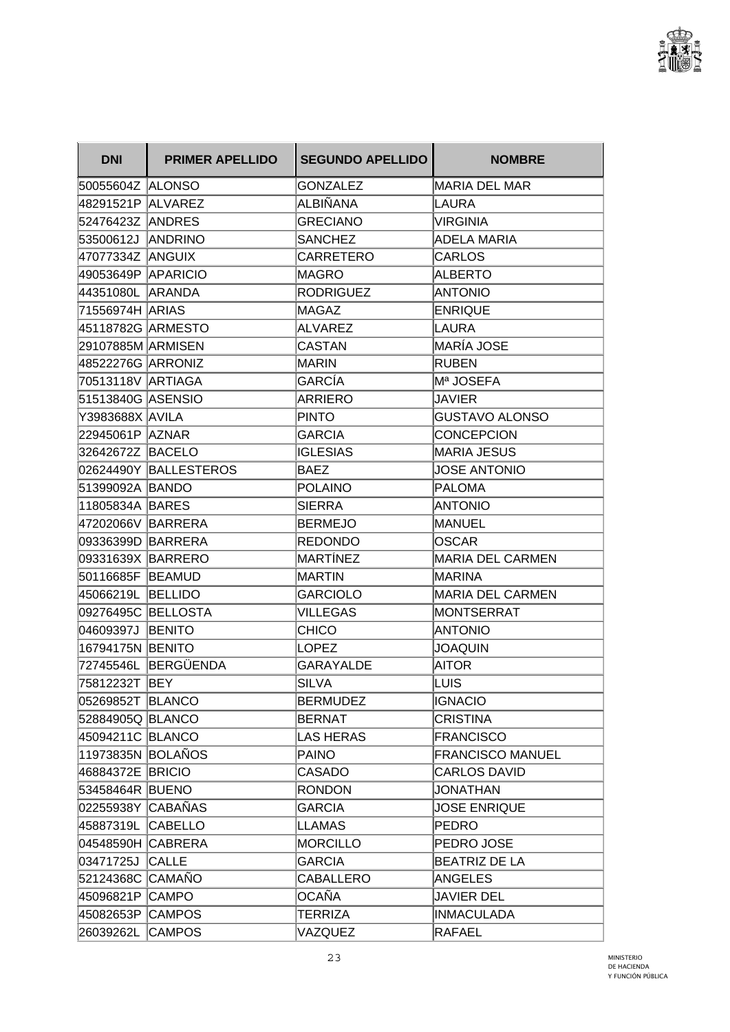

| <b>DNI</b>          | <b>PRIMER APELLIDO</b> | <b>SEGUNDO APELLIDO</b> | <b>NOMBRE</b>           |
|---------------------|------------------------|-------------------------|-------------------------|
| 50055604Z ALONSO    |                        | GONZALEZ                | <b>MARIA DEL MAR</b>    |
| 48291521P ALVAREZ   |                        | ALBIÑANA                | LAURA                   |
| 52476423Z  ANDRES   |                        | <b>GRECIANO</b>         | <b>VIRGINIA</b>         |
| 53500612J ANDRINO   |                        | <b>SANCHEZ</b>          | ADELA MARIA             |
| 47077334Z ANGUIX    |                        | <b>CARRETERO</b>        | <b>CARLOS</b>           |
| 49053649P APARICIO  |                        | MAGRO                   | <b>ALBERTO</b>          |
| 44351080L ARANDA    |                        | <b>RODRIGUEZ</b>        | <b>ANTONIO</b>          |
| 71556974H ARIAS     |                        | MAGAZ                   | <b>ENRIQUE</b>          |
| 45118782G  ARMESTO  |                        | ALVAREZ                 | LAURA                   |
| 29107885M ARMISEN   |                        | <b>CASTAN</b>           | MARÍA JOSE              |
| 48522276G   ARRONIZ |                        | <b>MARIN</b>            | <b>RUBEN</b>            |
| 70513118V ARTIAGA   |                        | GARCÍA                  | M <sup>a</sup> JOSEFA   |
| 51513840G ASENSIO   |                        | ARRIERO                 | <b>JAVIER</b>           |
| Y3983688X AVILA     |                        | <b>PINTO</b>            | <b>GUSTAVO ALONSO</b>   |
| 22945061P AZNAR     |                        | <b>GARCIA</b>           | <b>CONCEPCION</b>       |
| 32642672Z BACELO    |                        | <b>IGLESIAS</b>         | <b>MARIA JESUS</b>      |
|                     | 02624490Y BALLESTEROS  | <b>BAEZ</b>             | <b>JOSE ANTONIO</b>     |
| 51399092A BANDO     |                        | <b>POLAINO</b>          | <b>PALOMA</b>           |
| 11805834A BARES     |                        | <b>SIERRA</b>           | <b>ANTONIO</b>          |
| 47202066V BARRERA   |                        | <b>BERMEJO</b>          | <b>MANUEL</b>           |
| 09336399D BARRERA   |                        | <b>REDONDO</b>          | OSCAR                   |
| 09331639X BARRERO   |                        | MARTÍNEZ                | <b>MARIA DEL CARMEN</b> |
| 50116685F BEAMUD    |                        | MARTIN                  | <b>MARINA</b>           |
| 45066219L BELLIDO   |                        | <b>GARCIOLO</b>         | <b>MARIA DEL CARMEN</b> |
| 09276495C BELLOSTA  |                        | <b>VILLEGAS</b>         | <b>MONTSERRAT</b>       |
| 04609397J BENITO    |                        | <b>CHICO</b>            | <b>ANTONIO</b>          |
| 16794175N BENITO    |                        | <b>LOPEZ</b>            | <b>JOAQUIN</b>          |
|                     | 72745546L BERGÜENDA    | GARAYALDE               | AITOR                   |
| 75812232T BEY       |                        | <b>SILVA</b>            | LUIS                    |
| 05269852T BLANCO    |                        | BERMUDEZ                | <b>IGNACIO</b>          |
| 52884905Q BLANCO    |                        | <b>BERNAT</b>           | <b>CRISTINA</b>         |
| 45094211C BLANCO    |                        | LAS HERAS               | <b>FRANCISCO</b>        |
| 11973835N BOLAÑOS   |                        | PAINO                   | <b>FRANCISCO MANUEL</b> |
| 46884372E BRICIO    |                        | CASADO                  | <b>CARLOS DAVID</b>     |
| 53458464R BUENO     |                        | <b>RONDON</b>           | <b>JONATHAN</b>         |
| 02255938Y CABAÑAS   |                        | <b>GARCIA</b>           | <b>JOSE ENRIQUE</b>     |
| 45887319L CABELLO   |                        | LLAMAS                  | <b>PEDRO</b>            |
| 04548590H CABRERA   |                        | <b>MORCILLO</b>         | PEDRO JOSE              |
| 03471725J CALLE     |                        | <b>GARCIA</b>           | <b>BEATRIZ DE LA</b>    |
| 52124368C CAMAÑO    |                        | CABALLERO               | <b>ANGELES</b>          |
| 45096821P CAMPO     |                        | OCAÑA                   | <b>JAVIER DEL</b>       |
| 45082653P CAMPOS    |                        | TERRIZA                 | <b>INMACULADA</b>       |
| 26039262L CAMPOS    |                        | VAZQUEZ                 | RAFAEL                  |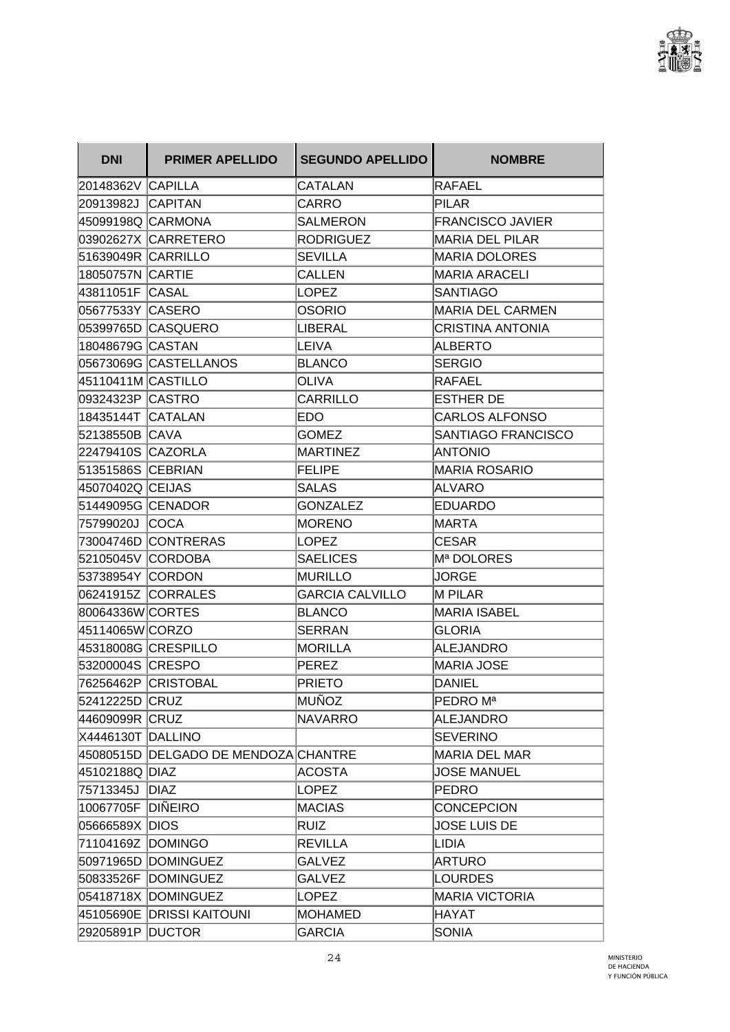

| <b>DNI</b>         | <b>PRIMER APELLIDO</b>               | <b>SEGUNDO APELLIDO</b> | <b>NOMBRE</b>           |
|--------------------|--------------------------------------|-------------------------|-------------------------|
| 20148362V CAPILLA  |                                      | CATALAN                 | RAFAEL                  |
| 20913982J CAPITAN  |                                      | CARRO                   | <b>PILAR</b>            |
| 45099198Q CARMONA  |                                      | <b>SALMERON</b>         | <b>FRANCISCO JAVIER</b> |
|                    | 03902627X CARRETERO                  | <b>RODRIGUEZ</b>        | MARIA DEL PILAR         |
| 51639049R CARRILLO |                                      | <b>SEVILLA</b>          | MARIA DOLORES           |
| 18050757N CARTIE   |                                      | <b>CALLEN</b>           | MARIA ARACELI           |
| 43811051F CASAL    |                                      | <b>LOPEZ</b>            | <b>SANTIAGO</b>         |
| 05677533Y  CASERO  |                                      | <b>OSORIO</b>           | <b>MARIA DEL CARMEN</b> |
|                    | 05399765D CASQUERO                   | LIBERAL                 | <b>CRISTINA ANTONIA</b> |
| 18048679G CASTAN   |                                      | LEIVA                   | <b>ALBERTO</b>          |
|                    | 05673069G CASTELLANOS                | <b>BLANCO</b>           | <b>SERGIO</b>           |
| 45110411M CASTILLO |                                      | <b>OLIVA</b>            | RAFAEL                  |
|                    |                                      | CARRILLO                | <b>ESTHER DE</b>        |
| 18435144T CATALAN  |                                      | EDO                     | <b>CARLOS ALFONSO</b>   |
| 52138550B CAVA     |                                      | GOMEZ                   | SANTIAGO FRANCISCO      |
| 22479410S CAZORLA  |                                      | <b>MARTINEZ</b>         | <b>ANTONIO</b>          |
| 51351586S CEBRIAN  |                                      | <b>FELIPE</b>           | MARIA ROSARIO           |
| 45070402Q CEIJAS   |                                      | <b>SALAS</b>            | ALVARO                  |
| 51449095G CENADOR  |                                      | <b>GONZALEZ</b>         | <b>EDUARDO</b>          |
| 75799020J  COCA    |                                      | <b>MORENO</b>           | MARTA                   |
|                    | 73004746D CONTRERAS                  | <b>LOPEZ</b>            | <b>CESAR</b>            |
| 52105045V CORDOBA  |                                      | <b>SAELICES</b>         | Mª DOLORES              |
| 53738954Y CORDON   |                                      | <b>MURILLO</b>          | <b>JORGE</b>            |
|                    | 06241915Z CORRALES                   | <b>GARCIA CALVILLO</b>  | <b>M PILAR</b>          |
| 80064336W CORTES   |                                      | <b>BLANCO</b>           | <b>MARIA ISABEL</b>     |
| 45114065W CORZO    |                                      | <b>SERRAN</b>           | <b>GLORIA</b>           |
|                    |                                      | <b>MORILLA</b>          | ALEJANDRO               |
| 53200004S CRESPO   |                                      | <b>PEREZ</b>            | MARIA JOSE              |
|                    | 76256462P  CRISTOBAL                 | <b>PRIETO</b>           | <b>DANIEL</b>           |
| 52412225D CRUZ     |                                      | MUÑOZ                   | PEDRO M <sup>a</sup>    |
| 44609099R CRUZ     |                                      | <b>NAVARRO</b>          | ALEJANDRO               |
| X4446130T DALLINO  |                                      |                         | <b>SEVERINO</b>         |
|                    | 45080515D DELGADO DE MENDOZA CHANTRE |                         | <b>MARIA DEL MAR</b>    |
| 45102188Q DIAZ     |                                      | ACOSTA                  | <b>JOSE MANUEL</b>      |
| 75713345J DIAZ     |                                      | <b>LOPEZ</b>            | <b>PEDRO</b>            |
| 10067705F DIÑEIRO  |                                      | <b>MACIAS</b>           | <b>CONCEPCION</b>       |
| 05666589X DIOS     |                                      | <b>RUIZ</b>             | <b>JOSE LUIS DE</b>     |
| 71104169Z DOMINGO  |                                      | <b>REVILLA</b>          | LIDIA                   |
|                    | 50971965D DOMINGUEZ                  | <b>GALVEZ</b>           | <b>ARTURO</b>           |
|                    | 50833526F DOMINGUEZ                  | <b>GALVEZ</b>           | <b>LOURDES</b>          |
|                    | 05418718X DOMINGUEZ                  | <b>LOPEZ</b>            | MARIA VICTORIA          |
|                    | 45105690E DRISSI KAITOUNI            | <b>MOHAMED</b>          | <b>HAYAT</b>            |
| 29205891P DUCTOR   |                                      | <b>GARCIA</b>           | <b>SONIA</b>            |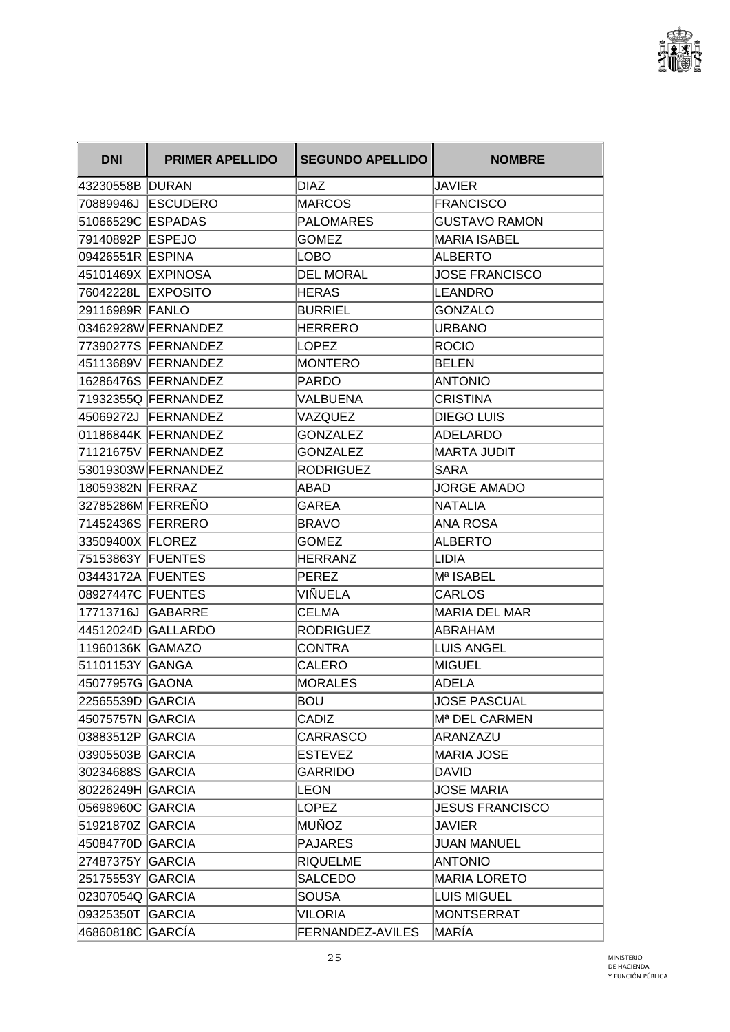

| <b>DNI</b>         | <b>PRIMER APELLIDO</b> | <b>SEGUNDO APELLIDO</b> | <b>NOMBRE</b>          |
|--------------------|------------------------|-------------------------|------------------------|
| 43230558B DURAN    |                        | DIAZ                    | <b>JAVIER</b>          |
|                    | 70889946J ESCUDERO     | <b>MARCOS</b>           | <b>FRANCISCO</b>       |
| 51066529C ESPADAS  |                        | <b>PALOMARES</b>        | <b>GUSTAVO RAMON</b>   |
| 79140892P  ESPEJO  |                        | <b>GOMEZ</b>            | <b>MARIA ISABEL</b>    |
| 09426551R ESPINA   |                        | <b>LOBO</b>             | ALBERTO                |
| 45101469X EXPINOSA |                        | <b>DEL MORAL</b>        | <b>JOSE FRANCISCO</b>  |
| 76042228L EXPOSITO |                        | <b>HERAS</b>            | LEANDRO                |
| 29116989R FANLO    |                        | <b>BURRIEL</b>          | <b>GONZALO</b>         |
|                    | 03462928W FERNANDEZ    | <b>HERRERO</b>          | <b>URBANO</b>          |
|                    | 77390277S FERNANDEZ    | <b>LOPEZ</b>            | ROCIO                  |
|                    | 45113689V FERNANDEZ    | MONTERO                 | <b>BELEN</b>           |
|                    | 16286476S FERNANDEZ    | <b>PARDO</b>            | ANTONIO                |
|                    | 71932355Q FERNANDEZ    | VALBUENA                | <b>CRISTINA</b>        |
|                    | 45069272J FERNANDEZ    | VAZQUEZ                 | <b>DIEGO LUIS</b>      |
|                    | 01186844K FERNANDEZ    | <b>GONZALEZ</b>         | <b>ADELARDO</b>        |
|                    | 71121675V FERNANDEZ    | <b>GONZALEZ</b>         | <b>MARTA JUDIT</b>     |
|                    | 53019303W FERNANDEZ    | <b>RODRIGUEZ</b>        | <b>SARA</b>            |
| 18059382N FERRAZ   |                        | ABAD                    | JORGE AMADO            |
| 32785286M FERREÑO  |                        | <b>GAREA</b>            | <b>NATALIA</b>         |
| 71452436S FERRERO  |                        | <b>BRAVO</b>            | ANA ROSA               |
| 33509400X FLOREZ   |                        | <b>GOMEZ</b>            | <b>ALBERTO</b>         |
| 75153863Y FUENTES  |                        | <b>HERRANZ</b>          | LIDIA                  |
| 03443172A FUENTES  |                        | <b>PEREZ</b>            | Mª ISABEL              |
| 08927447C FUENTES  |                        | VIÑUELA                 | CARLOS                 |
| 17713716J GABARRE  |                        | <b>CELMA</b>            | <b>MARIA DEL MAR</b>   |
|                    | 44512024D GALLARDO     | <b>RODRIGUEZ</b>        | <b>ABRAHAM</b>         |
| 11960136K GAMAZO   |                        | <b>CONTRA</b>           | <b>LUIS ANGEL</b>      |
| 51101153Y GANGA    |                        | <b>CALERO</b>           | <b>MIGUEL</b>          |
| 45077957G  GAONA   |                        | <b>MORALES</b>          | ADELA                  |
| 22565539D GARCIA   |                        | <b>BOU</b>              | <b>JOSE PASCUAL</b>    |
| 45075757N GARCIA   |                        | CADIZ                   | Mª DEL CARMEN          |
| 03883512P GARCIA   |                        | <b>CARRASCO</b>         | ARANZAZU               |
| 03905503B GARCIA   |                        | <b>ESTEVEZ</b>          | <b>MARIA JOSE</b>      |
| 30234688S GARCIA   |                        | <b>GARRIDO</b>          | <b>DAVID</b>           |
| 80226249H GARCIA   |                        | LEON                    | <b>JOSE MARIA</b>      |
| 05698960C GARCIA   |                        | <b>LOPEZ</b>            | <b>JESUS FRANCISCO</b> |
| 51921870Z GARCIA   |                        | <b>MUÑOZ</b>            | <b>JAVIER</b>          |
| 45084770D GARCIA   |                        | <b>PAJARES</b>          | <b>JUAN MANUEL</b>     |
| 27487375Y GARCIA   |                        | RIQUELME                | <b>ANTONIO</b>         |
| 25175553Y GARCIA   |                        | SALCEDO                 | <b>MARIA LORETO</b>    |
| 02307054Q GARCIA   |                        | <b>SOUSA</b>            | <b>LUIS MIGUEL</b>     |
| 09325350T GARCIA   |                        | VILORIA                 | MONTSERRAT             |
| 46860818C GARCÍA   |                        | FERNANDEZ-AVILES        | MARÍA                  |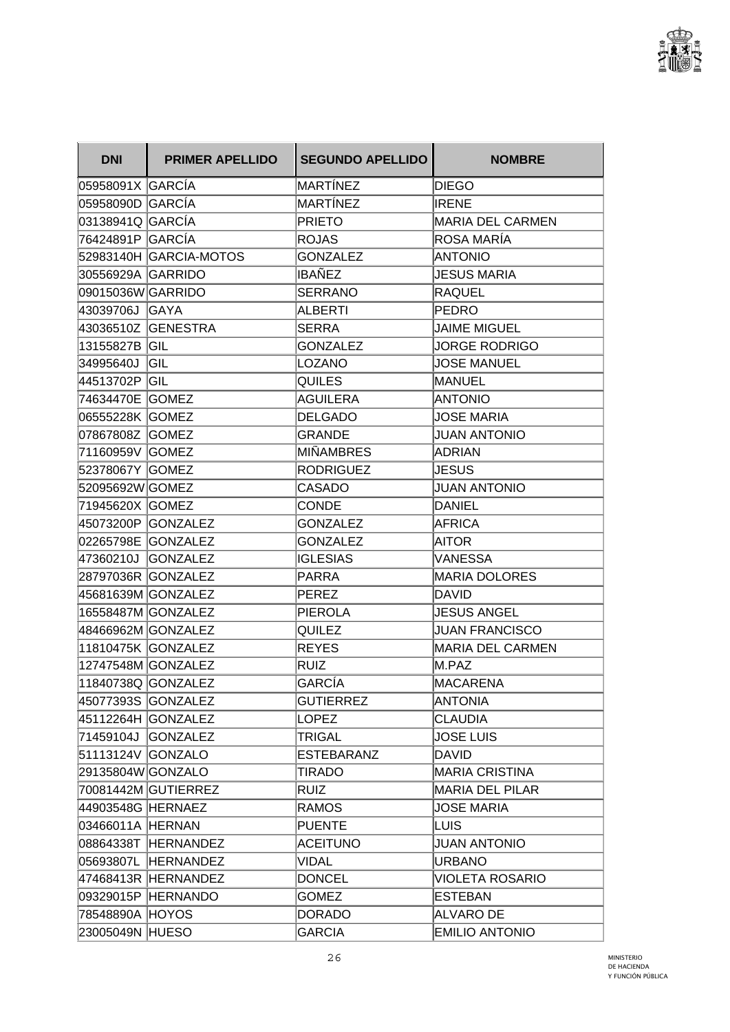

| <b>DNI</b>        | <b>PRIMER APELLIDO</b> | <b>SEGUNDO APELLIDO</b> | <b>NOMBRE</b>           |
|-------------------|------------------------|-------------------------|-------------------------|
| 05958091X GARCÍA  |                        | MARTÍNEZ                | <b>DIEGO</b>            |
| 05958090D GARCÍA  |                        | <b>MARTÍNEZ</b>         | <b>IRENE</b>            |
| 03138941Q  GARCÍA |                        | <b>PRIETO</b>           | <b>MARIA DEL CARMEN</b> |
| 76424891P  GARCÍA |                        | <b>ROJAS</b>            | ROSA MARÍA              |
|                   | 52983140H GARCIA-MOTOS | <b>GONZALEZ</b>         | <b>ANTONIO</b>          |
| 30556929A GARRIDO |                        | IBAÑEZ                  | <b>JESUS MARIA</b>      |
| 09015036W GARRIDO |                        | <b>SERRANO</b>          | <b>RAQUEL</b>           |
| 43039706J GAYA    |                        | <b>ALBERTI</b>          | <b>PEDRO</b>            |
|                   | 43036510Z GENESTRA     | <b>SERRA</b>            | <b>JAIME MIGUEL</b>     |
| 13155827B GIL     |                        | <b>GONZALEZ</b>         | <b>JORGE RODRIGO</b>    |
| 34995640J         | GIL                    | LOZANO                  | <b>JOSE MANUEL</b>      |
| 44513702P GIL     |                        | <b>QUILES</b>           | MANUEL                  |
| 74634470E GOMEZ   |                        | <b>AGUILERA</b>         | <b>ANTONIO</b>          |
| 06555228K GOMEZ   |                        | <b>DELGADO</b>          | <b>JOSE MARIA</b>       |
| 07867808Z GOMEZ   |                        | <b>GRANDE</b>           | <b>JUAN ANTONIO</b>     |
| 71160959V GOMEZ   |                        | MIÑAMBRES               | <b>ADRIAN</b>           |
| 52378067Y GOMEZ   |                        | <b>RODRIGUEZ</b>        | JESUS                   |
| 52095692W GOMEZ   |                        | <b>CASADO</b>           | <b>JUAN ANTONIO</b>     |
| 71945620X GOMEZ   |                        | <b>CONDE</b>            | <b>DANIEL</b>           |
| 45073200P         | <b>GONZALEZ</b>        | <b>GONZALEZ</b>         | <b>AFRICA</b>           |
|                   | 02265798E GONZALEZ     | <b>GONZALEZ</b>         | AITOR                   |
|                   | 47360210J GONZALEZ     | <b>IGLESIAS</b>         | <b>VANESSA</b>          |
|                   | 28797036R GONZALEZ     | <b>PARRA</b>            | <b>MARIA DOLORES</b>    |
|                   | 45681639M GONZALEZ     | PEREZ                   | <b>DAVID</b>            |
|                   | 16558487M GONZALEZ     | <b>PIEROLA</b>          | <b>JESUS ANGEL</b>      |
|                   | 48466962M GONZALEZ     | QUILEZ                  | <b>JUAN FRANCISCO</b>   |
|                   | 11810475K GONZALEZ     | <b>REYES</b>            | <b>MARIA DEL CARMEN</b> |
|                   | 12747548M GONZALEZ     | RUIZ                    | M.PAZ                   |
|                   | 11840738Q GONZALEZ     | <b>GARCÍA</b>           | MACARENA                |
|                   | 45077393S GONZALEZ     | <b>GUTIERREZ</b>        | ANTONIA                 |
|                   | 45112264H GONZALEZ     | LOPEZ                   | <b>CLAUDIA</b>          |
|                   | 71459104J GONZALEZ     | <b>TRIGAL</b>           | <b>JOSE LUIS</b>        |
| 51113124V GONZALO |                        | <b>ESTEBARANZ</b>       | <b>DAVID</b>            |
| 29135804W GONZALO |                        | TIRADO                  | MARIA CRISTINA          |
|                   | 70081442M GUTIERREZ    | <b>RUIZ</b>             | <b>MARIA DEL PILAR</b>  |
| 44903548G HERNAEZ |                        | <b>RAMOS</b>            | <b>JOSE MARIA</b>       |
| 03466011A HERNAN  |                        | <b>PUENTE</b>           | LUIS.                   |
|                   | 08864338T HERNANDEZ    | <b>ACEITUNO</b>         | <b>JUAN ANTONIO</b>     |
|                   | 05693807L HERNANDEZ    | <b>VIDAL</b>            | <b>URBANO</b>           |
|                   | 47468413R HERNANDEZ    | <b>DONCEL</b>           | <b>VIOLETA ROSARIO</b>  |
|                   | 09329015P HERNANDO     | <b>GOMEZ</b>            | <b>ESTEBAN</b>          |
| 78548890A HOYOS   |                        | <b>DORADO</b>           | <b>ALVARO DE</b>        |
| 23005049N HUESO   |                        | <b>GARCIA</b>           | <b>EMILIO ANTONIO</b>   |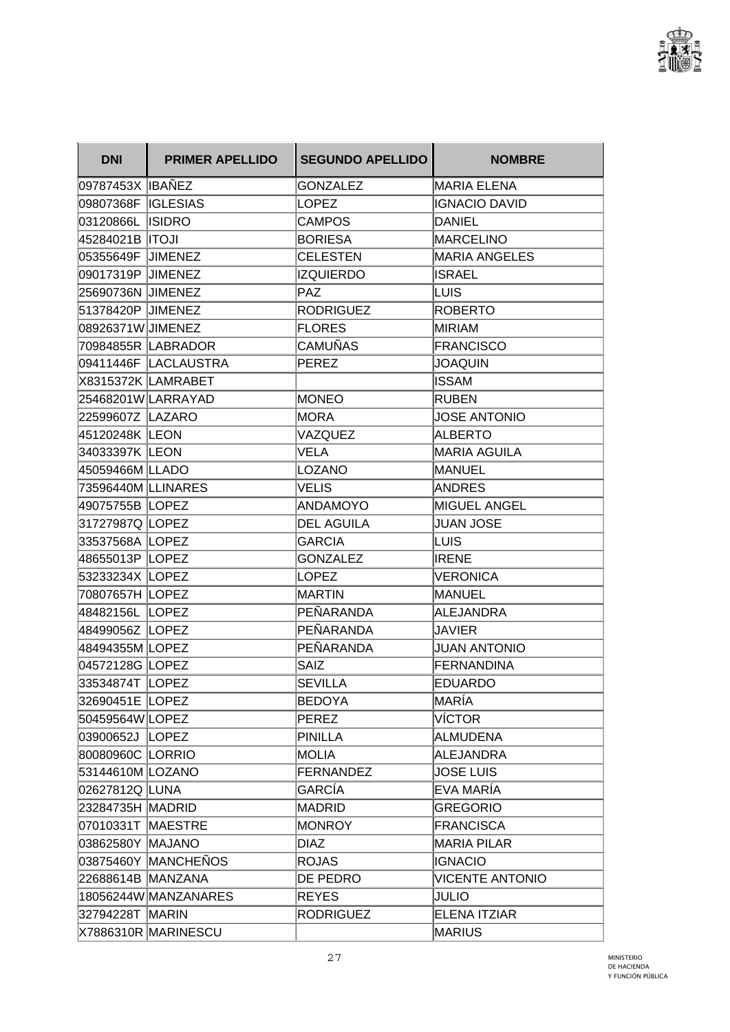

| <b>DNI</b>         | <b>PRIMER APELLIDO</b> | <b>SEGUNDO APELLIDO</b> | <b>NOMBRE</b>          |
|--------------------|------------------------|-------------------------|------------------------|
| 09787453X IBAÑEZ   |                        | GONZALEZ                | <b>MARIA ELENA</b>     |
| 09807368F IGLESIAS |                        | <b>LOPEZ</b>            | <b>IGNACIO DAVID</b>   |
| 03120866L ISIDRO   |                        | CAMPOS                  | <b>DANIEL</b>          |
| 45284021B  ITOJI   |                        | <b>BORIESA</b>          | MARCELINO              |
| 05355649F JIMENEZ  |                        | <b>CELESTEN</b>         | <b>MARIA ANGELES</b>   |
| 09017319P JJIMENEZ |                        | IZQUIERDO               | <b>ISRAEL</b>          |
| 25690736N JIMENEZ  |                        | <b>PAZ</b>              | LUIS                   |
| 51378420P JIMENEZ  |                        | <b>RODRIGUEZ</b>        | <b>ROBERTO</b>         |
| 08926371W JIMENEZ  |                        | <b>FLORES</b>           | MIRIAM                 |
|                    | 70984855R LABRADOR     | CAMUÑAS                 | <b>FRANCISCO</b>       |
|                    | 09411446F LACLAUSTRA   | <b>PEREZ</b>            | <b>JOAQUIN</b>         |
|                    | X8315372K LAMRABET     |                         | <b>ISSAM</b>           |
|                    | 25468201WLARRAYAD      | <b>MONEO</b>            | <b>RUBEN</b>           |
| 22599607Z LAZARO   |                        | <b>MORA</b>             | <b>JOSE ANTONIO</b>    |
| 45120248K LEON     |                        | VAZQUEZ                 | <b>ALBERTO</b>         |
| 34033397K LEON     |                        | VELA                    | <b>MARIA AGUILA</b>    |
| 45059466M LLADO    |                        | <b>LOZANO</b>           | <b>MANUEL</b>          |
| 73596440M LLINARES |                        | VELIS                   | <b>ANDRES</b>          |
| 49075755B LOPEZ    |                        | <b>ANDAMOYO</b>         | <b>MIGUEL ANGEL</b>    |
| 31727987Q LOPEZ    |                        | <b>DEL AGUILA</b>       | <b>JUAN JOSE</b>       |
| 33537568A LOPEZ    |                        | <b>GARCIA</b>           | LUIS                   |
| 48655013P   LOPEZ  |                        | <b>GONZALEZ</b>         | <b>IRENE</b>           |
| 53233234X LOPEZ    |                        | LOPEZ                   | <b>VERONICA</b>        |
| 70807657H LOPEZ    |                        | <b>MARTIN</b>           | MANUEL                 |
| 48482156L LOPEZ    |                        | PEÑARANDA               | <b>ALEJANDRA</b>       |
| 48499056Z LOPEZ    |                        | PEÑARANDA               | <b>JAVIER</b>          |
| 48494355M LOPEZ    |                        | PEÑARANDA               | <b>JUAN ANTONIO</b>    |
| 04572128G LOPEZ    |                        | SAIZ                    | FERNANDINA             |
| 33534874T LOPEZ    |                        | SEVILLA                 | <b>EDUARDO</b>         |
| 32690451E LOPEZ    |                        | <b>BEDOYA</b>           | ∣MARÍA                 |
| 50459564W LOPEZ    |                        | <b>PEREZ</b>            | <b>VÍCTOR</b>          |
| 03900652J LOPEZ    |                        | <b>PINILLA</b>          | <b>ALMUDENA</b>        |
| 80080960C LORRIO   |                        | <b>MOLIA</b>            | <b>ALEJANDRA</b>       |
| 53144610M LOZANO   |                        | <b>FERNANDEZ</b>        | <b>JOSE LUIS</b>       |
| 02627812Q LUNA     |                        | GARCÍA                  | EVA MARÍA              |
| 23284735H MADRID   |                        | <b>MADRID</b>           | <b>GREGORIO</b>        |
| 07010331T MAESTRE  |                        | <b>MONROY</b>           | <b>FRANCISCA</b>       |
| 03862580Y MAJANO   |                        | <b>DIAZ</b>             | <b>MARIA PILAR</b>     |
|                    | 03875460Y MANCHEÑOS    | ROJAS                   | <b>IGNACIO</b>         |
| 22688614B MANZANA  |                        | DE PEDRO                | <b>VICENTE ANTONIO</b> |
|                    | 18056244W MANZANARES   | <b>REYES</b>            | JULIO                  |
| 32794228T MARIN    |                        | <b>RODRIGUEZ</b>        | <b>ELENA ITZIAR</b>    |
|                    | X7886310R MARINESCU    |                         | <b>MARIUS</b>          |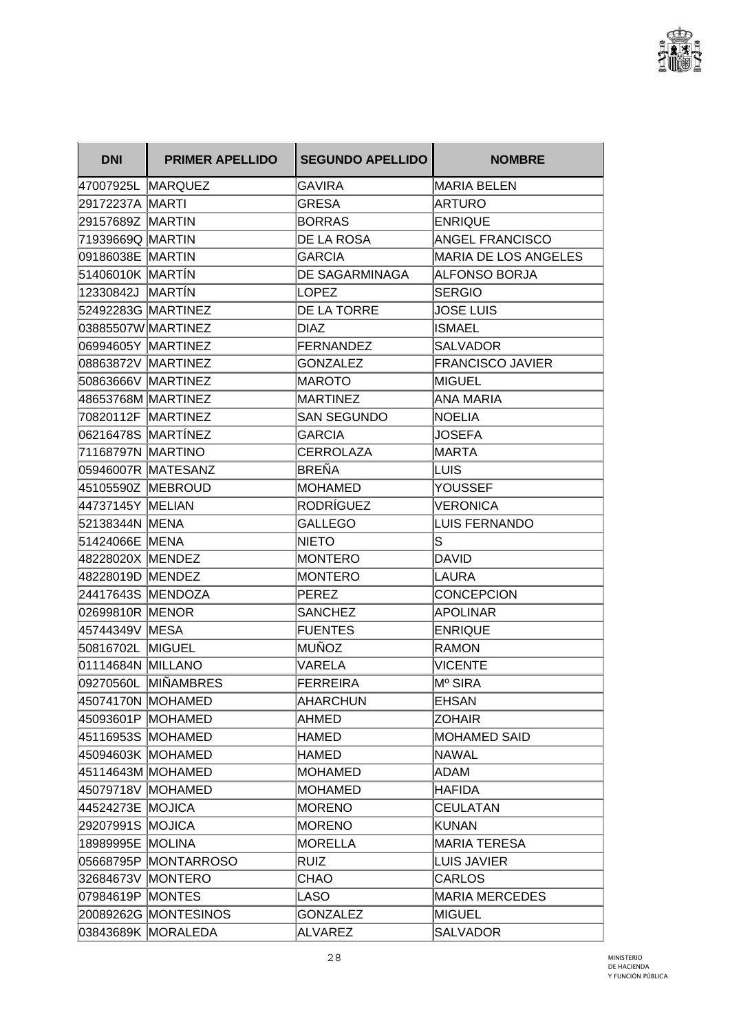

| <b>DNI</b>         | <b>PRIMER APELLIDO</b> | <b>SEGUNDO APELLIDO</b> | <b>NOMBRE</b>               |
|--------------------|------------------------|-------------------------|-----------------------------|
| 47007925L MARQUEZ  |                        | GAVIRA                  | MARIA BELEN                 |
| 29172237A MARTI    |                        | <b>GRESA</b>            | ARTURO                      |
| 29157689Z MARTIN   |                        | <b>BORRAS</b>           | <b>ENRIQUE</b>              |
| 71939669Q MARTIN   |                        | DE LA ROSA              | <b>ANGEL FRANCISCO</b>      |
| 09186038E MARTIN   |                        | <b>GARCIA</b>           | <b>MARIA DE LOS ANGELES</b> |
| 51406010K MARTIN   |                        | <b>DE SAGARMINAGA</b>   | <b>ALFONSO BORJA</b>        |
| 12330842J MARTÍN   |                        | <b>LOPEZ</b>            | <b>SERGIO</b>               |
| 52492283G MARTINEZ |                        | DE LA TORRE             | <b>JOSE LUIS</b>            |
| 03885507W MARTINEZ |                        | <b>DIAZ</b>             | <b>ISMAEL</b>               |
| 06994605Y MARTINEZ |                        | <b>FERNANDEZ</b>        | <b>SALVADOR</b>             |
| 08863872V MARTINEZ |                        | <b>GONZALEZ</b>         | <b>FRANCISCO JAVIER</b>     |
| 50863666V MARTINEZ |                        | <b>MAROTO</b>           | <b>MIGUEL</b>               |
| 48653768M MARTINEZ |                        | <b>MARTINEZ</b>         | <b>ANA MARIA</b>            |
| 70820112F MARTINEZ |                        | <b>SAN SEGUNDO</b>      | <b>NOELIA</b>               |
| 06216478S MARTÍNEZ |                        | <b>GARCIA</b>           | JOSEFA                      |
| 71168797N MARTINO  |                        | <b>CERROLAZA</b>        | <b>MARTA</b>                |
|                    | 05946007R MATESANZ     | <b>BREÑA</b>            | LUIS                        |
| 45105590Z MEBROUD  |                        | <b>MOHAMED</b>          | YOUSSEF                     |
| 44737145Y MELIAN   |                        | RODRÍGUEZ               | <b>VERONICA</b>             |
| 52138344N MENA     |                        | <b>GALLEGO</b>          | <b>LUIS FERNANDO</b>        |
| 51424066E MENA     |                        | <b>NIETO</b>            | lS                          |
| 48228020X MENDEZ   |                        | <b>MONTERO</b>          | <b>DAVID</b>                |
| 48228019D MENDEZ   |                        | <b>MONTERO</b>          | LAURA                       |
| 24417643S MENDOZA  |                        | <b>PEREZ</b>            | <b>CONCEPCION</b>           |
| 02699810R MENOR    |                        | <b>SANCHEZ</b>          | <b>APOLINAR</b>             |
| 45744349V MESA     |                        | <b>FUENTES</b>          | <b>ENRIQUE</b>              |
| 50816702L MIGUEL   |                        | MUÑOZ                   | <b>RAMON</b>                |
| 01114684N MILLANO  |                        | VARELA                  | <b>VICENTE</b>              |
|                    | 09270560L MIÑAMBRES    | <b>FERREIRA</b>         | Mº SIRA                     |
| 45074170N MOHAMED  |                        | <b>AHARCHUN</b>         | <b>EHSAN</b>                |
| 45093601P MOHAMED  |                        | <b>AHMED</b>            | <b>ZOHAIR</b>               |
| 45116953S MOHAMED  |                        | HAMED                   | <b>MOHAMED SAID</b>         |
| 45094603K MOHAMED  |                        | <b>HAMED</b>            | <b>NAWAL</b>                |
| 45114643M MOHAMED  |                        | <b>MOHAMED</b>          | ADAM                        |
| 45079718V MOHAMED  |                        | <b>MOHAMED</b>          | <b>HAFIDA</b>               |
| 44524273E MOJICA   |                        | <b>MORENO</b>           | <b>CEULATAN</b>             |
| 29207991S MOJICA   |                        | <b>MORENO</b>           | <b>KUNAN</b>                |
| 18989995E MOLINA   |                        | <b>MORELLA</b>          | <b>MARIA TERESA</b>         |
|                    | 05668795P MONTARROSO   | <b>RUIZ</b>             | <b>LUIS JAVIER</b>          |
| 32684673V MONTERO  |                        | CHAO                    | <b>CARLOS</b>               |
| 07984619P MONTES   |                        | LASO                    | <b>MARIA MERCEDES</b>       |
|                    | 20089262G MONTESINOS   | <b>GONZALEZ</b>         | <b>MIGUEL</b>               |
|                    | 03843689K MORALEDA     | <b>ALVAREZ</b>          | <b>SALVADOR</b>             |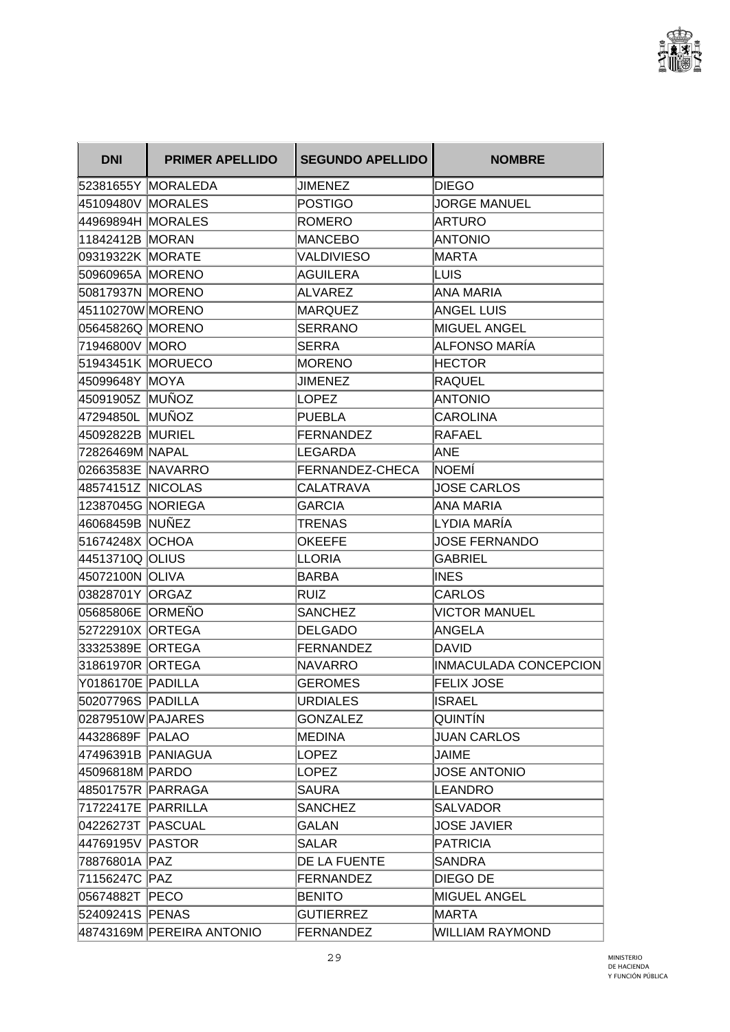

| <b>DNI</b>         | <b>PRIMER APELLIDO</b>    | <b>SEGUNDO APELLIDO</b> | <b>NOMBRE</b>          |
|--------------------|---------------------------|-------------------------|------------------------|
|                    | 52381655Y MORALEDA        | JIMENEZ                 | <b>DIEGO</b>           |
| 45109480V MORALES  |                           | <b>POSTIGO</b>          | <b>JORGE MANUEL</b>    |
| 44969894H MORALES  |                           | ROMERO                  | ARTURO                 |
| 11842412B MORAN    |                           | <b>MANCEBO</b>          | <b>ANTONIO</b>         |
| 09319322K MORATE   |                           | <b>VALDIVIESO</b>       | MARTA                  |
| 50960965A MORENO   |                           | <b>AGUILERA</b>         | LUIS                   |
| 50817937N MORENO   |                           | <b>ALVAREZ</b>          | <b>ANA MARIA</b>       |
| 45110270W MORENO   |                           | <b>MARQUEZ</b>          | <b>ANGEL LUIS</b>      |
| 05645826Q MORENO   |                           | <b>SERRANO</b>          | MIGUEL ANGEL           |
| 71946800V MORO     |                           | <b>SERRA</b>            | ALFONSO MARÍA          |
| 51943451K MORUECO  |                           | <b>MORENO</b>           | <b>HECTOR</b>          |
| 45099648Y MOYA     |                           | <b>JIMENEZ</b>          | <b>RAQUEL</b>          |
| 45091905Z  MUÑOZ   |                           | <b>LOPEZ</b>            | <b>ANTONIO</b>         |
| 47294850L MUÑOZ    |                           | <b>PUEBLA</b>           | <b>CAROLINA</b>        |
| 45092822B MURIEL   |                           | FERNANDEZ               | RAFAEL                 |
| 72826469M NAPAL    |                           | LEGARDA                 | ANE                    |
| 02663583E  NAVARRO |                           | FERNANDEZ-CHECA         | <b>INOEMI</b>          |
| 48574151Z NICOLAS  |                           | CALATRAVA               | <b>JOSE CARLOS</b>     |
| 12387045G NORIEGA  |                           | <b>GARCIA</b>           | <b>ANA MARIA</b>       |
| 46068459B NUÑEZ    |                           | TRENAS                  | LYDIA MARÍA            |
| 51674248X OCHOA    |                           | <b>OKEEFE</b>           | <b>JOSE FERNANDO</b>   |
| 44513710Q OLIUS    |                           | LLORIA                  | <b>GABRIEL</b>         |
| 45072100N OLIVA    |                           | <b>BARBA</b>            | <b>INES</b>            |
| 03828701Y ORGAZ    |                           | Ruiz                    | <b>CARLOS</b>          |
| 05685806E ORMEÑO   |                           | <b>SANCHEZ</b>          | <b>VICTOR MANUEL</b>   |
| 52722910X ORTEGA   |                           | <b>DELGADO</b>          | <b>ANGELA</b>          |
| 33325389E ORTEGA   |                           | FERNANDEZ               | <b>DAVID</b>           |
| 31861970R ORTEGA   |                           | <b>NAVARRO</b>          | INMACULADA CONCEPCION  |
| Y0186170E PADILLA  |                           | <b>GEROMES</b>          | <b>FELIX JOSE</b>      |
| 50207796S PADILLA  |                           | <b>URDIALES</b>         | <b>ISRAEL</b>          |
| 02879510W PAJARES  |                           | <b>GONZALEZ</b>         | <b>QUINTIN</b>         |
| 44328689F PALAO    |                           | MEDINA                  | <b>JUAN CARLOS</b>     |
| 47496391B PANIAGUA |                           | <b>LOPEZ</b>            | <b>JAIME</b>           |
| 45096818M PARDO    |                           | LOPEZ                   | <b>JOSE ANTONIO</b>    |
| 48501757R PARRAGA  |                           | <b>SAURA</b>            | <b>LEANDRO</b>         |
| 71722417E PARRILLA |                           | <b>SANCHEZ</b>          | <b>SALVADOR</b>        |
| 04226273T PASCUAL  |                           | <b>GALAN</b>            | <b>JOSE JAVIER</b>     |
| 44769195V PASTOR   |                           | <b>SALAR</b>            | <b>PATRICIA</b>        |
| 78876801A PAZ      |                           | <b>DE LA FUENTE</b>     | SANDRA                 |
| 71156247C PAZ      |                           | FERNANDEZ               | DIEGO DE               |
| 05674882T PECO     |                           | <b>BENITO</b>           | <b>MIGUEL ANGEL</b>    |
| 52409241S PENAS    |                           | <b>GUTIERREZ</b>        | <b>MARTA</b>           |
|                    | 48743169M PEREIRA ANTONIO | FERNANDEZ               | <b>WILLIAM RAYMOND</b> |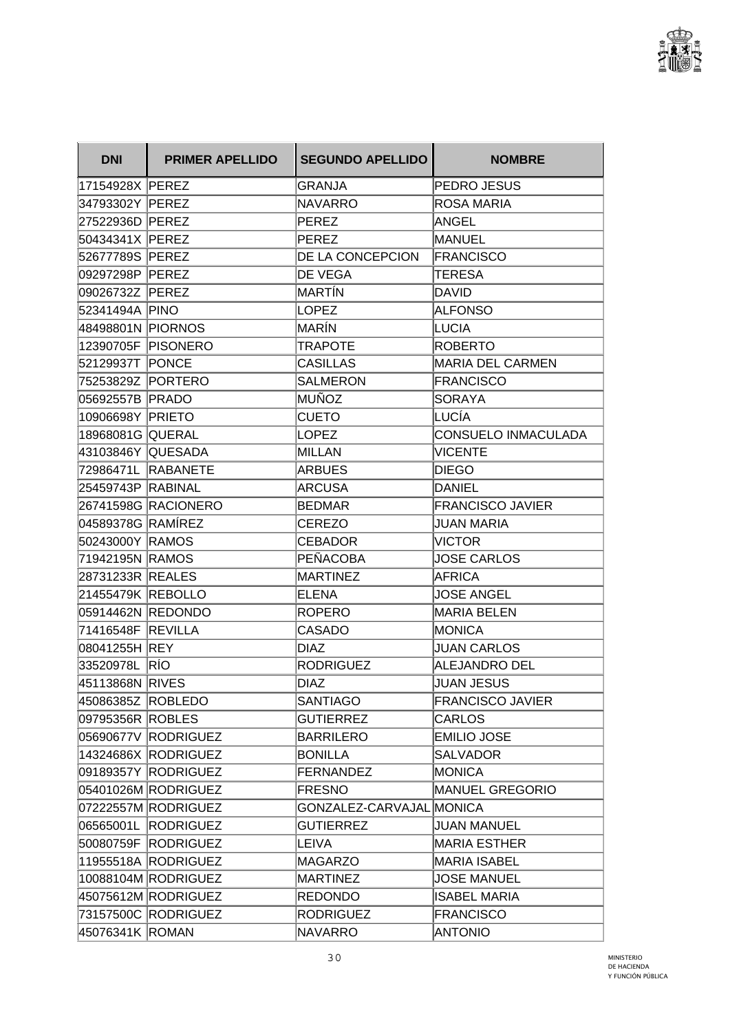

| <b>DNI</b>        | <b>PRIMER APELLIDO</b> | <b>SEGUNDO APELLIDO</b>  | <b>NOMBRE</b>              |
|-------------------|------------------------|--------------------------|----------------------------|
| 17154928X PEREZ   |                        | GRANJA                   | PEDRO JESUS                |
| 34793302Y PEREZ   |                        | <b>NAVARRO</b>           | <b>ROSA MARIA</b>          |
| 27522936D PEREZ   |                        | PEREZ                    | ANGEL                      |
| 50434341X PEREZ   |                        | PEREZ                    | <b>MANUEL</b>              |
| 52677789S PEREZ   |                        | DE LA CONCEPCION         | <b>FRANCISCO</b>           |
| 09297298P PEREZ   |                        | <b>DE VEGA</b>           | TERESA                     |
| 09026732Z PEREZ   |                        | MARTÍN                   | <b>DAVID</b>               |
| 52341494A PINO    |                        | <b>LOPEZ</b>             | <b>ALFONSO</b>             |
| 48498801N PIORNOS |                        | MARÍN                    | <b>LUCIA</b>               |
|                   | 12390705F PISONERO     | <b>TRAPOTE</b>           | <b>ROBERTO</b>             |
| 52129937T PONCE   |                        | <b>CASILLAS</b>          | <b>MARIA DEL CARMEN</b>    |
| 75253829Z PORTERO |                        | <b>SALMERON</b>          | <b>FRANCISCO</b>           |
| 05692557B PRADO   |                        | MUÑOZ                    | <b>SORAYA</b>              |
| 10906698Y PRIETO  |                        | <b>CUETO</b>             | LUCÍA                      |
| 18968081G QUERAL  |                        | <b>LOPEZ</b>             | <b>CONSUELO INMACULADA</b> |
| 43103846Y QUESADA |                        | <b>MILLAN</b>            | <b>VICENTE</b>             |
|                   | 72986471L RABANETE     | <b>ARBUES</b>            | <b>DIEGO</b>               |
| 25459743P RABINAL |                        | <b>ARCUSA</b>            | <b>DANIEL</b>              |
|                   | 26741598G RACIONERO    | <b>BEDMAR</b>            | <b>FRANCISCO JAVIER</b>    |
| 04589378G RAMÍREZ |                        | <b>CEREZO</b>            | JUAN MARIA                 |
| 50243000Y RAMOS   |                        | <b>CEBADOR</b>           | <b>VICTOR</b>              |
| 71942195N RAMOS   |                        | PEÑACOBA                 | JOSE CARLOS                |
| 28731233R REALES  |                        | <b>MARTINEZ</b>          | <b>AFRICA</b>              |
| 21455479K REBOLLO |                        | <b>ELENA</b>             | <b>JOSE ANGEL</b>          |
| 05914462N REDONDO |                        | <b>ROPERO</b>            | <b>MARIA BELEN</b>         |
| 71416548F REVILLA |                        | <b>CASADO</b>            | <b>MONICA</b>              |
| 08041255H REY     |                        | <b>DIAZ</b>              | <b>JUAN CARLOS</b>         |
| 33520978L         | RÍO                    | <b>RODRIGUEZ</b>         | <b>ALEJANDRO DEL</b>       |
| 45113868N RIVES   |                        | <b>DIAZ</b>              | <b>JUAN JESUS</b>          |
| 45086385Z ROBLEDO |                        | <b>SANTIAGO</b>          | <b>FRANCISCO JAVIER</b>    |
| 09795356R ROBLES  |                        | <b>GUTIERREZ</b>         | <b>CARLOS</b>              |
|                   | 05690677V RODRIGUEZ    | <b>BARRILERO</b>         | <b>EMILIO JOSE</b>         |
|                   | 14324686X RODRIGUEZ    | <b>BONILLA</b>           | <b>SALVADOR</b>            |
|                   | 09189357Y RODRIGUEZ    | <b>FERNANDEZ</b>         | <b>MONICA</b>              |
|                   | 05401026M RODRIGUEZ    | <b>FRESNO</b>            | <b>MANUEL GREGORIO</b>     |
|                   | 07222557M RODRIGUEZ    | GONZALEZ-CARVAJAL MONICA |                            |
|                   | 06565001L RODRIGUEZ    | <b>GUTIERREZ</b>         | <b>JUAN MANUEL</b>         |
|                   | 50080759F RODRIGUEZ    | <b>LEIVA</b>             | <b>MARIA ESTHER</b>        |
|                   | 11955518A RODRIGUEZ    | <b>MAGARZO</b>           | <b>MARIA ISABEL</b>        |
|                   | 10088104M RODRIGUEZ    | <b>MARTINEZ</b>          | <b>JOSE MANUEL</b>         |
|                   | 45075612M RODRIGUEZ    | <b>REDONDO</b>           | <b>ISABEL MARIA</b>        |
|                   | 73157500C RODRIGUEZ    | <b>RODRIGUEZ</b>         | <b>FRANCISCO</b>           |
| 45076341K ROMAN   |                        | <b>NAVARRO</b>           | <b>ANTONIO</b>             |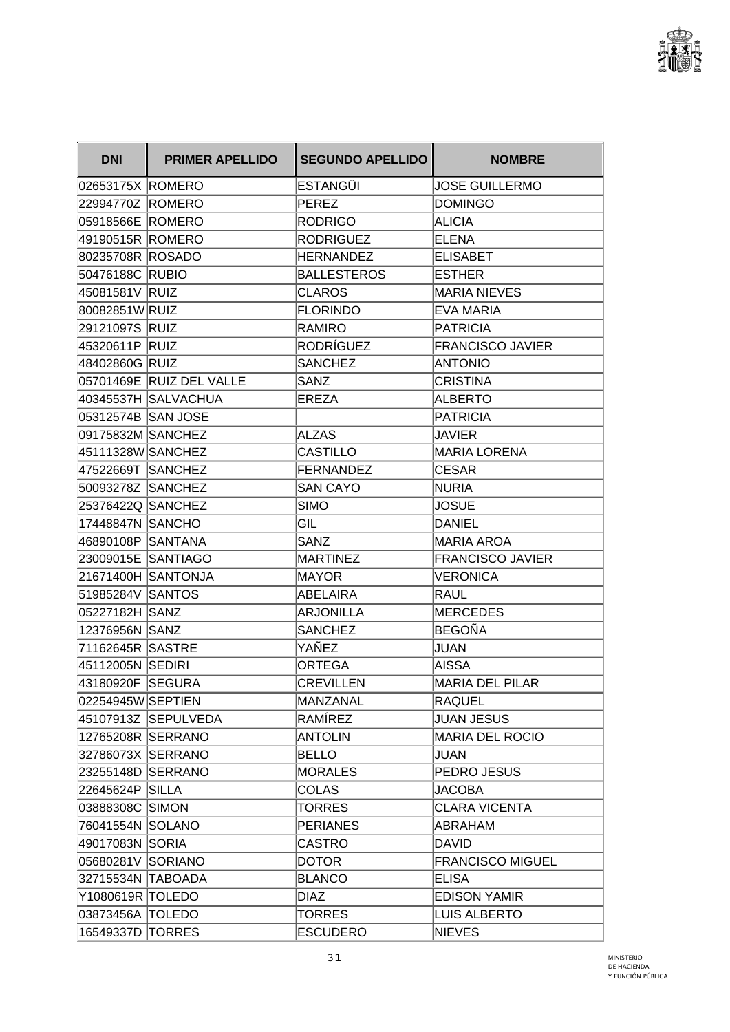

| <b>DNI</b>         | <b>PRIMER APELLIDO</b>   | <b>SEGUNDO APELLIDO</b> | <b>NOMBRE</b>           |
|--------------------|--------------------------|-------------------------|-------------------------|
| 02653175X ROMERO   |                          | ESTANGÜI                | <b>JOSE GUILLERMO</b>   |
| 22994770Z ROMERO   |                          | <b>PEREZ</b>            | <b>DOMINGO</b>          |
| 05918566E ROMERO   |                          | <b>RODRIGO</b>          | <b>ALICIA</b>           |
| 49190515R ROMERO   |                          | <b>RODRIGUEZ</b>        | <b>ELENA</b>            |
| 80235708R ROSADO   |                          | <b>HERNANDEZ</b>        | <b>ELISABET</b>         |
| 50476188C RUBIO    |                          | <b>BALLESTEROS</b>      | <b>ESTHER</b>           |
| 45081581V RUIZ     |                          | <b>CLAROS</b>           | <b>MARIA NIEVES</b>     |
| 80082851W RUIZ     |                          | <b>FLORINDO</b>         | <b>EVA MARIA</b>        |
| 29121097S RUIZ     |                          | <b>RAMIRO</b>           | <b>PATRICIA</b>         |
| 45320611P RUIZ     |                          | RODRÍGUEZ               | <b>FRANCISCO JAVIER</b> |
| 48402860G RUIZ     |                          | <b>SANCHEZ</b>          | <b>ANTONIO</b>          |
|                    | 05701469E RUIZ DEL VALLE | <b>SANZ</b>             | <b>CRISTINA</b>         |
|                    | 40345537H SALVACHUA      | EREZA                   | <b>ALBERTO</b>          |
| 05312574B SAN JOSE |                          |                         | PATRICIA                |
| 09175832M SANCHEZ  |                          | <b>ALZAS</b>            | JAVIER                  |
| 45111328W SANCHEZ  |                          | CASTILLO                | <b>MARIA LORENA</b>     |
| 47522669T SANCHEZ  |                          | FERNANDEZ               | <b>CESAR</b>            |
| 50093278Z SANCHEZ  |                          | <b>SAN CAYO</b>         | <b>NURIA</b>            |
| 25376422Q SANCHEZ  |                          | <b>SIMO</b>             | <b>JOSUE</b>            |
| 17448847N SANCHO   |                          | GIL                     | <b>DANIEL</b>           |
| 46890108P SANTANA  |                          | <b>SANZ</b>             | <b>MARIA AROA</b>       |
| 23009015E SANTIAGO |                          | <b>MARTINEZ</b>         | <b>FRANCISCO JAVIER</b> |
|                    | 21671400H SANTONJA       | <b>MAYOR</b>            | <b>VERONICA</b>         |
| 51985284V SANTOS   |                          | <b>ABELAIRA</b>         | <b>RAUL</b>             |
| 05227182H SANZ     |                          | <b>ARJONILLA</b>        | <b>MERCEDES</b>         |
| 12376956N SANZ     |                          | <b>SANCHEZ</b>          | <b>BEGOÑA</b>           |
|                    |                          | YAÑEZ                   | <b>JUAN</b>             |
| 45112005N SEDIRI   |                          | <b>ORTEGA</b>           | AISSA                   |
| 43180920F          | <b>SEGURA</b>            | <b>CREVILLEN</b>        | <b>MARIA DEL PILAR</b>  |
| 02254945W SEPTIEN  |                          | MANZANAL                | <b>RAQUEL</b>           |
|                    | 45107913Z SEPULVEDA      | RAMÍREZ                 | <b>JUAN JESUS</b>       |
| 12765208R SERRANO  |                          | <b>ANTOLIN</b>          | <b>MARIA DEL ROCIO</b>  |
| 32786073X SERRANO  |                          | <b>BELLO</b>            | JUAN                    |
| 23255148D SERRANO  |                          | <b>MORALES</b>          | PEDRO JESUS             |
| 22645624P SILLA    |                          | <b>COLAS</b>            | <b>JACOBA</b>           |
| 03888308C SIMON    |                          | <b>TORRES</b>           | <b>CLARA VICENTA</b>    |
| 76041554N SOLANO   |                          | <b>PERIANES</b>         | ABRAHAM                 |
| 49017083N SORIA    |                          | <b>CASTRO</b>           | <b>DAVID</b>            |
| 05680281V SORIANO  |                          | <b>DOTOR</b>            | <b>FRANCISCO MIGUEL</b> |
| 32715534N TABOADA  |                          | <b>BLANCO</b>           | <b>ELISA</b>            |
| Y1080619R TOLEDO   |                          | <b>DIAZ</b>             | <b>EDISON YAMIR</b>     |
| 03873456A TOLEDO   |                          | <b>TORRES</b>           | <b>LUIS ALBERTO</b>     |
| 16549337D TORRES   |                          | <b>ESCUDERO</b>         | <b>NIEVES</b>           |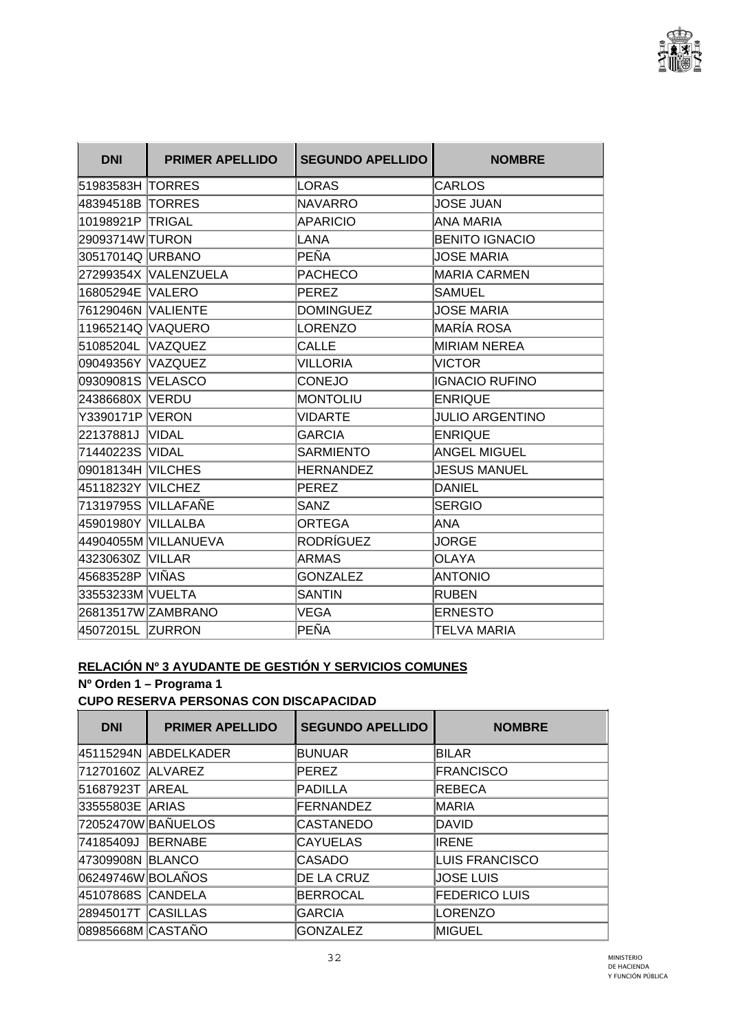

| <b>DNI</b>          | <b>PRIMER APELLIDO</b> | <b>SEGUNDO APELLIDO</b> | <b>NOMBRE</b>          |
|---------------------|------------------------|-------------------------|------------------------|
| 51983583H TORRES    |                        | LORAS                   | <b>CARLOS</b>          |
| 48394518B TORRES    |                        | <b>NAVARRO</b>          | <b>JOSE JUAN</b>       |
| 10198921P TRIGAL    |                        | <b>APARICIO</b>         | <b>ANA MARIA</b>       |
| 29093714W TURON     |                        | <b>LANA</b>             | <b>BENITO IGNACIO</b>  |
| 30517014Q URBANO    |                        | PEÑA                    | <b>JOSE MARIA</b>      |
|                     | 27299354X VALENZUELA   | <b>PACHECO</b>          | <b>MARIA CARMEN</b>    |
| 16805294E VALERO    |                        | <b>PEREZ</b>            | <b>SAMUEL</b>          |
| 76129046N  VALIENTE |                        | <b>DOMINGUEZ</b>        | <b>JOSE MARIA</b>      |
| 11965214Q VAQUERO   |                        | <b>LORENZO</b>          | <b>MARÍA ROSA</b>      |
| 51085204L VAZQUEZ   |                        | <b>CALLE</b>            | <b>MIRIAM NEREA</b>    |
| 09049356Y VAZQUEZ   |                        | <b>VILLORIA</b>         | <b>VICTOR</b>          |
| 09309081S VELASCO   |                        | <b>CONEJO</b>           | <b>IGNACIO RUFINO</b>  |
| 24386680X VERDU     |                        | <b>MONTOLIU</b>         | <b>ENRIQUE</b>         |
| Y3390171P VERON     |                        | <b>VIDARTE</b>          | <b>JULIO ARGENTINO</b> |
| 22137881J VIDAL     |                        | <b>GARCIA</b>           | <b>ENRIQUE</b>         |
| 71440223S VIDAL     |                        | <b>SARMIENTO</b>        | <b>ANGEL MIGUEL</b>    |
| 09018134H VILCHES   |                        | <b>HERNANDEZ</b>        | <b>JESUS MANUEL</b>    |
| 45118232Y VILCHEZ   |                        | <b>PEREZ</b>            | <b>DANIEL</b>          |
| 71319795S VILLAFAÑE |                        | SANZ                    | <b>SERGIO</b>          |
| 45901980Y VILLALBA  |                        | <b>ORTEGA</b>           | <b>ANA</b>             |
|                     | 44904055M VILLANUEVA   | <b>RODRÍGUEZ</b>        | JORGE                  |
| 43230630Z VILLAR    |                        | <b>ARMAS</b>            | <b>OLAYA</b>           |
| 45683528P VIÑAS     |                        | <b>GONZALEZ</b>         | <b>ANTONIO</b>         |
| 33553233M VUELTA    |                        | <b>SANTIN</b>           | <b>RUBEN</b>           |
|                     | 26813517W ZAMBRANO     | VEGA                    | <b>ERNESTO</b>         |
| 45072015L ZURRON    |                        | PEÑA                    | <b>TELVA MARIA</b>     |

### **RELACIÓN Nº 3 AYUDANTE DE GESTIÓN Y SERVICIOS COMUNES**

### **Nº Orden 1 – Programa 1 CUPO RESERVA PERSONAS CON DISCAPACIDAD**

| <b>DNI</b>         | <b>PRIMER APELLIDO</b> | <b>SEGUNDO APELLIDO</b> | <b>NOMBRE</b>         |
|--------------------|------------------------|-------------------------|-----------------------|
|                    | 45115294N ABDELKADER   | <b>BUNUAR</b>           | <b>BILAR</b>          |
| 71270160Z ALVAREZ  |                        | <b>PEREZ</b>            | <b>FRANCISCO</b>      |
| 51687923T          | <b>AREAL</b>           | PADILLA                 | <b>REBECA</b>         |
| 33555803E ARIAS    |                        | <b>FERNANDEZ</b>        | MARIA                 |
|                    | 72052470W BAÑUELOS     | CASTANEDO               | <b>DAVID</b>          |
| 74185409J          | <b>BERNABE</b>         | <b>CAYUELAS</b>         | IRENE                 |
| 47309908N BLANCO   |                        | CASADO                  | <b>LUIS FRANCISCO</b> |
| 06249746W BOLAÑOS  |                        | DE LA CRUZ              | <b>JOSE LUIS</b>      |
| 45107868S CANDELA  |                        | <b>BERROCAL</b>         | <b>FEDERICO LUIS</b>  |
| 28945017T CASILLAS |                        | <b>GARCIA</b>           | <b>LORENZO</b>        |
| 08985668M CASTAÑO  |                        | <b>GONZALEZ</b>         | <b>MIGUEL</b>         |